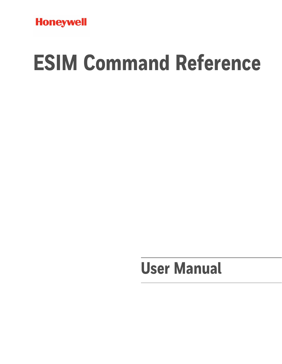

# **ESIM Command Reference**

# **User Manual**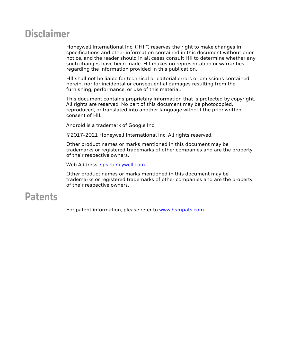### **Disclaimer**

Honeywell International Inc. ("HII") reserves the right to make changes in specifications and other information contained in this document without prior notice, and the reader should in all cases consult HII to determine whether any such changes have been made. HII makes no representation or warranties regarding the information provided in this publication.

HII shall not be liable for technical or editorial errors or omissions contained herein; nor for incidental or consequential damages resulting from the furnishing, performance, or use of this material.

This document contains proprietary information that is protected by copyright. All rights are reserved. No part of this document may be photocopied, reproduced, or translated into another language without the prior written consent of HII.

Android is a trademark of Google Inc.

©2017-2021 Honeywell International Inc. All rights reserved.

Other product names or marks mentioned in this document may be trademarks or registered trademarks of other companies and are the property of their respective owners.

Web Address: [sps.honeywell.com.](https://sps.honeywell.com/)

Other product names or marks mentioned in this document may be trademarks or registered trademarks of other companies and are the property of their respective owners.

### **Patents**

For patent information, please refer to [www.hsmpats.com.](http://www.honeywellaidc.com/Pages/patents.aspx)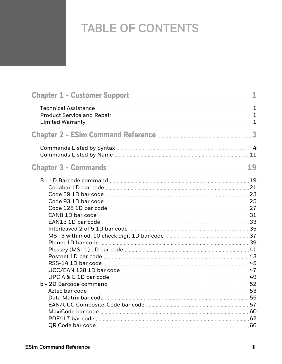# TABLE OF CONTENTS

| Chapter 1 - Customer Support <b>Manual Access 2019</b> | 1  |
|--------------------------------------------------------|----|
|                                                        |    |
| Chapter 2 - ESim Command Reference <b>Manual</b> 2 - 3 |    |
|                                                        |    |
|                                                        | 19 |
|                                                        |    |
|                                                        |    |
|                                                        |    |
|                                                        |    |
|                                                        |    |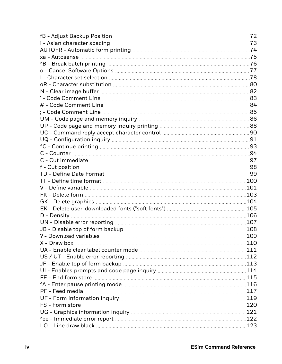| .72  |
|------|
|      |
|      |
|      |
|      |
|      |
|      |
|      |
|      |
|      |
|      |
|      |
|      |
|      |
|      |
|      |
|      |
|      |
|      |
|      |
|      |
|      |
|      |
|      |
|      |
|      |
|      |
|      |
| .108 |
| 109  |
| 110  |
|      |
|      |
|      |
|      |
|      |
|      |
|      |
|      |
|      |
|      |
|      |
|      |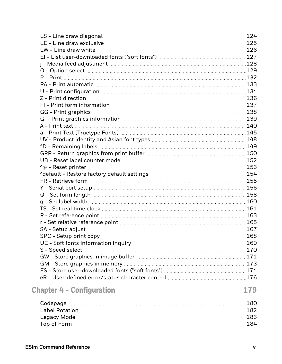| UV - Product identity and Asian font types <b>Manual Community</b> 148 |     |
|------------------------------------------------------------------------|-----|
|                                                                        |     |
|                                                                        |     |
|                                                                        |     |
|                                                                        |     |
|                                                                        |     |
|                                                                        |     |
|                                                                        |     |
|                                                                        |     |
|                                                                        |     |
|                                                                        |     |
|                                                                        |     |
|                                                                        |     |
|                                                                        |     |
|                                                                        | 168 |
|                                                                        |     |
|                                                                        |     |
|                                                                        |     |
|                                                                        |     |
|                                                                        |     |
|                                                                        |     |
|                                                                        |     |
|                                                                        | 179 |
|                                                                        |     |
|                                                                        |     |
|                                                                        |     |
|                                                                        |     |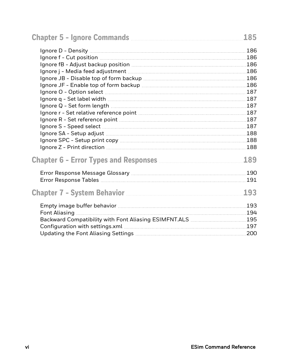|                                                                                           | 185        |
|-------------------------------------------------------------------------------------------|------------|
|                                                                                           |            |
|                                                                                           |            |
|                                                                                           |            |
|                                                                                           |            |
|                                                                                           |            |
|                                                                                           |            |
|                                                                                           |            |
|                                                                                           |            |
|                                                                                           |            |
|                                                                                           |            |
|                                                                                           |            |
|                                                                                           |            |
|                                                                                           |            |
|                                                                                           |            |
|                                                                                           |            |
| Chapter 6 - Error Types and Responses <b>Manual</b> Chapter 6 - Error Types and Responses | 189        |
|                                                                                           |            |
|                                                                                           | <b>191</b> |
| Chapter 7 - System Behavior <b>Manual Access 2018</b>                                     | 193        |
|                                                                                           |            |
|                                                                                           |            |
| Backward Compatibility with Font Aliasing ESIMFNT.ALS  195                                |            |
|                                                                                           |            |
|                                                                                           |            |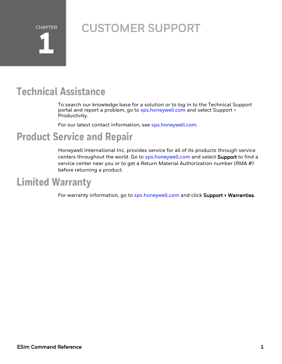**CHAPTER 1**

# <span id="page-6-0"></span>CUSTOMER SUPPORT

## <span id="page-6-1"></span>**Technical Assistance**

To search our knowledge base for a solution or to log in to the Technical Support portal and report a problem, go to [sps.honeywell.com](http://www.sps.honeywell.com/) and select Support > Productivity.

For our latest contact information, see [sps.honeywell.com.](http://www.sps.honeywell.com/)

### <span id="page-6-2"></span>**Product Service and Repair**

Honeywell International Inc. provides service for all of its products through service centers throughout the world. Go to [sps.honeywell.com](http://www.sps.honeywell.com/) and select Support to find a service center near you or to get a Return Material Authorization number (RMA  $#$ ) before returning a product.

# <span id="page-6-3"></span>**Limited Warranty**

For warranty information, go to [sps.honeywell.com](http://www.sps.honeywell.com/) and click Support > Warranties.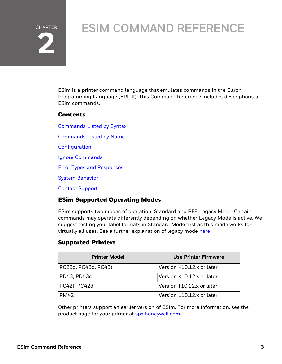# CHAPTER **2**

# <span id="page-8-0"></span>ESIM COMMAND REFERENCE

ESim is a printer command language that emulates commands in the Eltron Programming Language (EPL II). This Command Reference includes descriptions of ESim commands.

#### **Contents**

[Commands](#page-9-0) Listed by Syntax [Commands](#page-16-0) Listed by Name **[Configuration](#page-184-0)** Ignore [Commands](#page-190-0) Error Types and [Responses](#page-194-0) System [Behavior](#page-198-0) Contact [Support](../../../../../Content/Files/Contact Support.htm)

#### ESim Supported Operating Modes

ESim supports two modes of operation: Standard and PF8 Legacy Mode. Certain commands may operate differently depending on whether Legacy Mode is active. We suggest testing your label formats in Standard Mode first as this mode works for virtually all uses. See a further explanation of legacy mode [here](#page-188-0)

#### Supported Printers

| <b>Printer Model</b> | Use Printer Firmware      |
|----------------------|---------------------------|
| PC23d, PC43d, PC43t  | Version K10.12.x or later |
| PD43, PD43c          | Version K10.12.x or later |
| PC42t, PC42d         | Version T10.12.x or later |
| <b>PM42</b>          | Version L10.12.x or later |

Other printers support an earlier version of ESim. For more information, see the product page for your printer at [sps.honeywell.com](https://www.sps.honeywell.com/).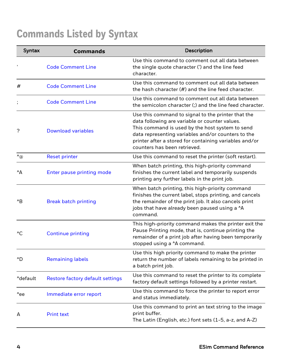# <span id="page-9-0"></span>**Commands Listed by Syntax**

| Syntax                          | <b>Commands</b>                  | Description                                                                                                                                                                                                                                                                                             |
|---------------------------------|----------------------------------|---------------------------------------------------------------------------------------------------------------------------------------------------------------------------------------------------------------------------------------------------------------------------------------------------------|
|                                 | <b>Code Comment Line</b>         | Use this command to comment out all data between<br>the single quote character (') and the line feed<br>character.                                                                                                                                                                                      |
| #                               | <b>Code Comment Line</b>         | Use this command to comment out all data between<br>the hash character (#) and the line feed character.                                                                                                                                                                                                 |
|                                 | <b>Code Comment Line</b>         | Use this command to comment out all data between<br>the semicolon character (;) and the line feed character.                                                                                                                                                                                            |
| ?                               | <b>Download variables</b>        | Use this command to signal to the printer that the<br>data following are variable or counter values.<br>This command is used by the host system to send<br>data representing variables and/or counters to the<br>printer after a stored for containing variables and/or<br>counters has been retrieved. |
| $\mathcal{L}_{\textcircled{a}}$ | <b>Reset printer</b>             | Use this command to reset the printer (soft restart).                                                                                                                                                                                                                                                   |
| $^{\wedge}$ A                   | <b>Enter pause printing mode</b> | When batch printing, this high-priority command<br>finishes the current label and temporarily suspends<br>printing any further labels in the print job.                                                                                                                                                 |
| $^{\wedge}B$                    | <b>Break batch printing</b>      | When batch printing, this high-priority command<br>finishes the current label, stops printing, and cancels<br>the remainder of the print job. It also cancels print<br>jobs that have already been paused using a ^A<br>command.                                                                        |
| $^{\wedge}$ C                   | <b>Continue printing</b>         | This high-priority command makes the printer exit the<br>Pause Printing mode, that is, continue printing the<br>remainder of a print job after having been temporarily<br>stopped using a 'A command.                                                                                                   |
| ^D                              | <b>Remaining labels</b>          | Use this high priority command to make the printer<br>return the number of labels remaining to be printed in<br>a batch print job.                                                                                                                                                                      |
| ^default                        | Restore factory default settings | Use this command to reset the printer to its complete<br>factory default settings followed by a printer restart.                                                                                                                                                                                        |
| ^ee                             | Immediate error report           | Use this command to force the printer to report error<br>and status immediately.                                                                                                                                                                                                                        |
| Α                               | <b>Print text</b>                | Use this command to print an text string to the image<br>print buffer.<br>The Latin (English, etc.) font sets (1-5, a-z, and A-Z)                                                                                                                                                                       |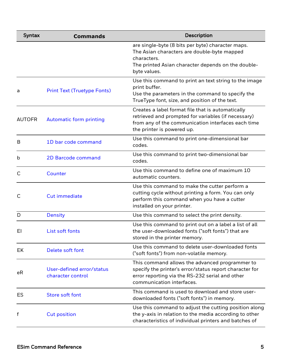| Syntax        | <b>Commands</b>                                | Description                                                                                                                                                                                  |
|---------------|------------------------------------------------|----------------------------------------------------------------------------------------------------------------------------------------------------------------------------------------------|
|               |                                                | are single-byte (8 bits per byte) character maps.<br>The Asian characters are double-byte mapped<br>characters.<br>The printed Asian character depends on the double-                        |
|               |                                                | byte values.                                                                                                                                                                                 |
| a             | <b>Print Text (Truetype Fonts)</b>             | Use this command to print an text string to the image<br>print buffer.<br>Use the parameters in the command to specify the<br>TrueType font, size, and position of the text.                 |
| <b>AUTOFR</b> | <b>Automatic form printing</b>                 | Creates a label format file that is automatically<br>retrieved and prompted for variables (if necessary)<br>from any of the communication interfaces each time<br>the printer is powered up. |
| B             | 1D bar code command                            | Use this command to print one-dimensional bar<br>codes.                                                                                                                                      |
| b             | <b>2D Barcode command</b>                      | Use this command to print two-dimensional bar<br>codes.                                                                                                                                      |
| C             | Counter                                        | Use this command to define one of maximum 10<br>automatic counters.                                                                                                                          |
| C             | <b>Cut immediate</b>                           | Use this command to make the cutter perform a<br>cutting cycle without printing a form. You can only<br>perform this command when you have a cutter<br>installed on your printer.            |
| D             | <b>Density</b>                                 | Use this command to select the print density.                                                                                                                                                |
| EI            | List soft fonts                                | Use this command to print out on a label a list of all<br>the user-downloaded fonts ("soft fonts") that are<br>stored in the printer memory.                                                 |
| EK            | Delete soft font                               | Use this command to delete user-downloaded fonts<br>("soft fonts") from non-volatile memory.                                                                                                 |
| еR            | User-defined error/status<br>character control | This command allows the advanced programmer to<br>specify the printer's error/status report character for<br>error reporting via the RS-232 serial and other<br>communication interfaces.    |
| ES            | <b>Store soft font</b>                         | This command is used to download and store user-<br>downloaded fonts ("soft fonts") in memory.                                                                                               |
| f             | <b>Cut position</b>                            | Use this command to adjust the cutting position along<br>the y-axis in relation to the media according to other<br>characteristics of individual printers and batches of                     |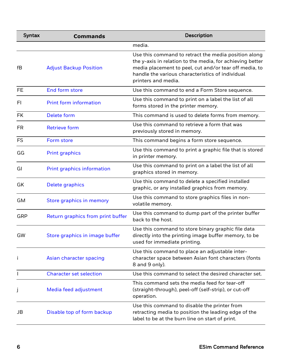| Syntax    | <b>Commands</b>                   | <b>Description</b>                                                                                                                                                                                                                                     |
|-----------|-----------------------------------|--------------------------------------------------------------------------------------------------------------------------------------------------------------------------------------------------------------------------------------------------------|
|           |                                   | media.                                                                                                                                                                                                                                                 |
| fB        | <b>Adjust Backup Position</b>     | Use this command to retract the media position along<br>the y-axis in relation to the media, for achieving better<br>media placement to peel, cut and/or tear off media, to<br>handle the various characteristics of individual<br>printers and media. |
| <b>FE</b> | End form store                    | Use this command to end a Form Store sequence.                                                                                                                                                                                                         |
| FI.       | <b>Print form information</b>     | Use this command to print on a label the list of all<br>forms stored in the printer memory.                                                                                                                                                            |
| <b>FK</b> | Delete form                       | This command is used to delete forms from memory.                                                                                                                                                                                                      |
| <b>FR</b> | <b>Retrieve form</b>              | Use this command to retrieve a form that was<br>previously stored in memory.                                                                                                                                                                           |
| <b>FS</b> | Form store                        | This command begins a form store sequence.                                                                                                                                                                                                             |
| GG        | <b>Print graphics</b>             | Use this command to print a graphic file that is stored<br>in printer memory.                                                                                                                                                                          |
| GI        | Print graphics information        | Use this command to print on a label the list of all<br>graphics stored in memory.                                                                                                                                                                     |
| GK        | Delete graphics                   | Use this command to delete a specified installed<br>graphic, or any installed graphics from memory.                                                                                                                                                    |
| GM        | Store graphics in memory          | Use this command to store graphics files in non-<br>volatile memory.                                                                                                                                                                                   |
| GRP       | Return graphics from print buffer | Use this command to dump part of the printer buffer<br>back to the host.                                                                                                                                                                               |
| GW        | Store graphics in image buffer    | Use this command to store binary graphic file data<br>directly into the printing image buffer memory, to be<br>used for immediate printing.                                                                                                            |
| Ť         | Asian character spacing           | Use this command to place an adjustable inter-<br>character space between Asian font characters (fonts<br>8 and 9 only).                                                                                                                               |
|           | <b>Character set selection</b>    | Use this command to select the desired character set.                                                                                                                                                                                                  |
|           | Media feed adjustment             | This command sets the media feed for tear-off<br>(straight-through), peel-off (self-strip), or cut-off<br>operation.                                                                                                                                   |
| JB        | Disable top of form backup        | Use this command to disable the printer from<br>retracting media to position the leading edge of the<br>label to be at the burn line on start of print.                                                                                                |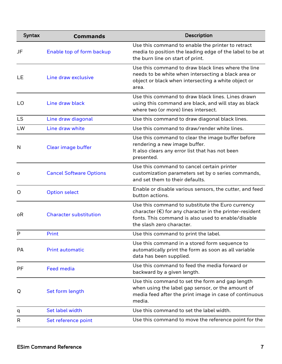| Syntax    | <b>Commands</b>                | Description                                                                                                                                                                                             |
|-----------|--------------------------------|---------------------------------------------------------------------------------------------------------------------------------------------------------------------------------------------------------|
| JF        | Enable top of form backup      | Use this command to enable the printer to retract<br>media to position the leading edge of the label to be at<br>the burn line on start of print.                                                       |
| LE        | Line draw exclusive            | Use this command to draw black lines where the line<br>needs to be white when intersecting a black area or<br>object or black when intersecting a white object or<br>area.                              |
| LO        | Line draw black                | Use this command to draw black lines. Lines drawn<br>using this command are black, and will stay as black<br>where two (or more) lines intersect.                                                       |
| <b>LS</b> | Line draw diagonal             | Use this command to draw diagonal black lines.                                                                                                                                                          |
| LW        | Line draw white                | Use this command to draw/render white lines.                                                                                                                                                            |
| N         | Clear image buffer             | Use this command to clear the image buffer before<br>rendering a new image buffer.<br>It also clears any error list that has not been<br>presented.                                                     |
| о         | <b>Cancel Software Options</b> | Use this command to cancel certain printer<br>customization parameters set by o series commands,<br>and set them to their defaults.                                                                     |
| O         | <b>Option select</b>           | Enable or disable various sensors, the cutter, and feed<br>button actions.                                                                                                                              |
| οR        | <b>Character substitution</b>  | Use this command to substitute the Euro currency<br>character $(\epsilon)$ for any character in the printer-resident<br>fonts. This command is also used to enable/disable<br>the slash zero character. |
| P         | Print                          | Use this command to print the label.                                                                                                                                                                    |
| PА        | <b>Print automatic</b>         | Use this command in a stored form sequence to<br>automatically print the form as soon as all variable<br>data has been supplied.                                                                        |
| PF        | <b>Feed media</b>              | Use this command to feed the media forward or<br>backward by a given length.                                                                                                                            |
| Q         | Set form length                | Use this command to set the form and gap length<br>when using the label gap sensor, or the amount of<br>media feed after the print image in case of continuous<br>media.                                |
| q         | Set label width                | Use this command to set the label width.                                                                                                                                                                |
| R         | Set reference point            | Use this command to move the reference point for the                                                                                                                                                    |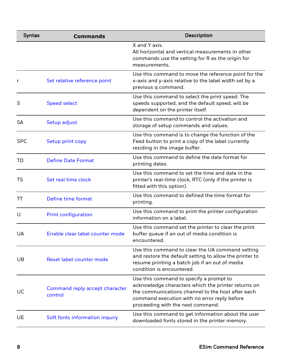| <b>Syntax</b> | <b>Commands</b>                           | <b>Description</b>                                                                                                                                                                                                                       |
|---------------|-------------------------------------------|------------------------------------------------------------------------------------------------------------------------------------------------------------------------------------------------------------------------------------------|
|               |                                           | X and Y axis.<br>All horizontal and vertical measurements in other<br>commands use the setting for R as the origin for<br>measurements.                                                                                                  |
| r             | Set relative reference point              | Use this command to move the reference point for the<br>x-axis and y-axis relative to the label width set by a<br>previous q command.                                                                                                    |
| S             | <b>Speed select</b>                       | Use this command to select the print speed. The<br>speeds supported, and the default speed, will be<br>dependent on the printer itself.                                                                                                  |
| <b>SA</b>     | Setup adjust                              | Use this command to control the activation and<br>storage of setup commands and values.                                                                                                                                                  |
| <b>SPC</b>    | Setup print copy                          | Use this command is to change the function of the<br>Feed button to print a copy of the label currently<br>residing in the image buffer.                                                                                                 |
| TD            | <b>Define Date Format</b>                 | Use this command to define the date format for<br>printing dates.                                                                                                                                                                        |
| TS            | Set real time clock                       | Use this command to set the time and date in the<br>printer's real-time clock, RTC (only if the printer is<br>fitted with this option).                                                                                                  |
| TT            | Define time format                        | Use this command to defined the time format for<br>printing.                                                                                                                                                                             |
| U             | <b>Print configuration</b>                | Use this command to print the printer configuration<br>information on a label.                                                                                                                                                           |
| UA            | Enable clear label counter mode           | Use this command set the printer to clear the print<br>buffer queue if an out of media condition is<br>encountered.                                                                                                                      |
| UB            | Reset label counter mode                  | Use this command to clear the UA command setting<br>and restore the default setting to allow the printer to<br>resume printing a batch job if an out of media<br>condition is encountered.                                               |
| UC            | Command reply accept character<br>control | Use this command to specify a prompt to<br>acknowledge characters which the printer returns on<br>the communications channel to the host after each<br>command execution with no error reply before<br>proceeding with the next command. |
| UE            | Soft fonts information inquiry            | Use this command to get information about the user<br>downloaded fonts stored in the printer memory.                                                                                                                                     |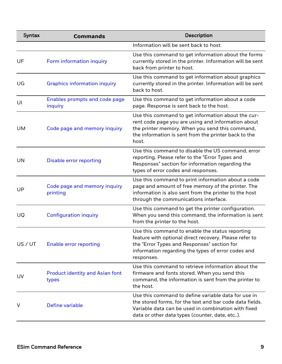| Syntax    | <b>Commands</b>                                 | Description                                                                                                                                                                                                                  |
|-----------|-------------------------------------------------|------------------------------------------------------------------------------------------------------------------------------------------------------------------------------------------------------------------------------|
|           |                                                 | Information will be sent back to host.                                                                                                                                                                                       |
| UF        | Form information inquiry                        | Use this command to get information about the forms<br>currently stored in the printer. Information will be sent<br>back from printer to host.                                                                               |
| UG        | <b>Graphics information inquiry</b>             | Use this command to get information about graphics<br>currently stored in the printer. Information will be sent<br>back to host.                                                                                             |
| UI        | Enables prompts and code page<br>inquiry        | Use this command to get information about a code<br>page. Response is sent back to the host.                                                                                                                                 |
| <b>UM</b> | Code page and memory inquiry                    | Use this command to get information about the cur-<br>rent code page you are using and information about<br>the printer memory. When you send this command,<br>the information is sent from the printer back to the<br>host. |
| UN        | <b>Disable error reporting</b>                  | Use this command to disable the US command, error<br>reporting. Please refer to the "Error Types and<br>Responses" section for information regarding the<br>types of error codes and responses.                              |
| UP        | Code page and memory inquiry<br>printing        | Use this command to print information about a code<br>page and amount of free memory of the printer. The<br>information is also sent from the printer to the host<br>through the communications interface.                   |
| UQ        | <b>Configuration inquiry</b>                    | Use this command to get the printer configuration.<br>When you send this command, the information is sent<br>from the printer to the host.                                                                                   |
| US / UT   | <b>Enable error reporting</b>                   | Use this command to enable the status reporting<br>feature with optional direct recovery. Please refer to<br>the "Error Types and Responses" section for<br>information regarding the types of error codes and<br>responses. |
| <b>UV</b> | <b>Product identity and Asian font</b><br>types | Use this command to retrieve information about the<br>firmware and fonts stored. When you send this<br>command, the information is sent from the printer to<br>the host.                                                     |
| V         | Define variable                                 | Use this command to define variable data for use in<br>the stored forms, for the text and bar code data fields.<br>Variable data can be used in combination with fixed<br>data or other data types (counter, date, etc).     |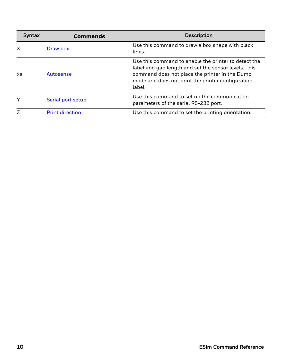| <b>Syntax</b> | <b>Commands</b>        | <b>Description</b>                                                                                                                                                                                                            |
|---------------|------------------------|-------------------------------------------------------------------------------------------------------------------------------------------------------------------------------------------------------------------------------|
| X             | Draw box               | Use this command to draw a box shape with black<br>lines.                                                                                                                                                                     |
| xa            | Autosense              | Use this command to enable the printer to detect the<br>label and gap length and set the sensor levels. This<br>command does not place the printer in the Dump<br>mode and does not print the printer configuration<br>label. |
| Υ             | Serial port setup      | Use this command to set up the communication<br>parameters of the serial RS-232 port.                                                                                                                                         |
| Ζ             | <b>Print direction</b> | Use this command to set the printing orientation.                                                                                                                                                                             |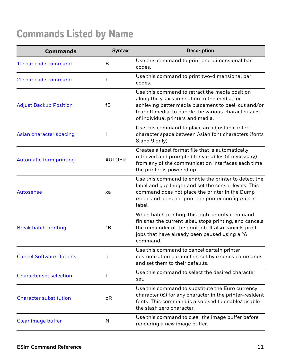# <span id="page-16-0"></span>**Commands Listed by Name**

| <b>Commands</b>                | Syntax        | Description                                                                                                                                                                                                                                            |
|--------------------------------|---------------|--------------------------------------------------------------------------------------------------------------------------------------------------------------------------------------------------------------------------------------------------------|
| 1D bar code command            | B             | Use this command to print one-dimensional bar<br>codes.                                                                                                                                                                                                |
| 2D bar code command            | b             | Use this command to print two-dimensional bar<br>codes.                                                                                                                                                                                                |
| <b>Adjust Backup Position</b>  | fB            | Use this command to retract the media position<br>along the y-axis in relation to the media, for<br>achieving better media placement to peel, cut and/or<br>tear off media, to handle the various characteristics<br>of individual printers and media. |
| Asian character spacing        |               | Use this command to place an adjustable inter-<br>character space between Asian font characters (fonts<br>8 and 9 only).                                                                                                                               |
| <b>Automatic form printing</b> | <b>AUTOFR</b> | Creates a label format file that is automatically<br>retrieved and prompted for variables (if necessary)<br>from any of the communication interfaces each time<br>the printer is powered up.                                                           |
| <b>Autosense</b>               | xa            | Use this command to enable the printer to detect the<br>label and gap length and set the sensor levels. This<br>command does not place the printer in the Dump<br>mode and does not print the printer configuration<br>label.                          |
| <b>Break batch printing</b>    | $^{\wedge}B$  | When batch printing, this high-priority command<br>finishes the current label, stops printing, and cancels<br>the remainder of the print job. It also cancels print<br>jobs that have already been paused using a ^A<br>command.                       |
| <b>Cancel Software Options</b> | о             | Use this command to cancel certain printer<br>customization parameters set by o series commands,<br>and set them to their defaults.                                                                                                                    |
| <b>Character set selection</b> |               | Use this command to select the desired character<br>set.                                                                                                                                                                                               |
| <b>Character substitution</b>  | οR            | Use this command to substitute the Euro currency<br>character $(\epsilon)$ for any character in the printer-resident<br>fonts. This command is also used to enable/disable<br>the slash zero character.                                                |
| Clear image buffer             | N             | Use this command to clear the image buffer before<br>rendering a new image buffer.                                                                                                                                                                     |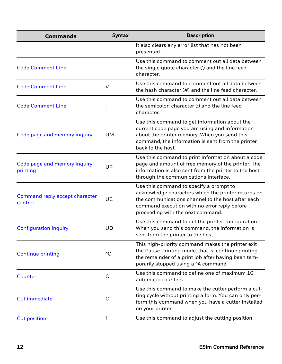| <b>Commands</b>                           | <b>Syntax</b> | <b>Description</b>                                                                                                                                                                                                                       |
|-------------------------------------------|---------------|------------------------------------------------------------------------------------------------------------------------------------------------------------------------------------------------------------------------------------------|
|                                           |               | It also clears any error list that has not been<br>presented.                                                                                                                                                                            |
| <b>Code Comment Line</b>                  |               | Use this command to comment out all data between<br>the single quote character (') and the line feed<br>character.                                                                                                                       |
| <b>Code Comment Line</b>                  | #             | Use this command to comment out all data between<br>the hash character (#) and the line feed character.                                                                                                                                  |
| <b>Code Comment Line</b>                  |               | Use this command to comment out all data between<br>the semicolon character (;) and the line feed<br>character.                                                                                                                          |
| Code page and memory inquiry              | <b>UM</b>     | Use this command to get information about the<br>current code page you are using and information<br>about the printer memory. When you send this<br>command, the information is sent from the printer<br>back to the host.               |
| Code page and memory inquiry<br>printing  | UP            | Use this command to print information about a code<br>page and amount of free memory of the printer. The<br>information is also sent from the printer to the host<br>through the communications interface.                               |
| Command reply accept character<br>control | UC            | Use this command to specify a prompt to<br>acknowledge characters which the printer returns on<br>the communications channel to the host after each<br>command execution with no error reply before<br>proceeding with the next command. |
| <b>Configuration inquiry</b>              | UQ            | Use this command to get the printer configuration.<br>When you send this command, the information is<br>sent from the printer to the host.                                                                                               |
| <b>Continue printing</b>                  | $^{\wedge}$ C | This high-priority command makes the printer exit<br>the Pause Printing mode, that is, continue printing<br>the remainder of a print job after having been tem-<br>porarily stopped using a ^A command.                                  |
| Counter                                   | С             | Use this command to define one of maximum 10<br>automatic counters.                                                                                                                                                                      |
| <b>Cut immediate</b>                      | C             | Use this command to make the cutter perform a cut-<br>ting cycle without printing a form. You can only per-<br>form this command when you have a cutter installed<br>on your printer.                                                    |
| <b>Cut position</b>                       | $\mathsf f$   | Use this command to adjust the cutting position                                                                                                                                                                                          |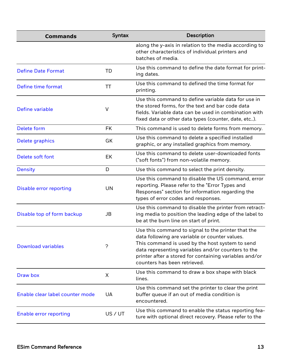| <b>Commands</b>                 | <b>Syntax</b> | Description                                                                                                                                                                                                                                                                                             |
|---------------------------------|---------------|---------------------------------------------------------------------------------------------------------------------------------------------------------------------------------------------------------------------------------------------------------------------------------------------------------|
|                                 |               | along the y-axis in relation to the media according to<br>other characteristics of individual printers and<br>batches of media.                                                                                                                                                                         |
| <b>Define Date Format</b>       | TD            | Use this command to define the date format for print-<br>ing dates.                                                                                                                                                                                                                                     |
| Define time format              | TΤ            | Use this command to defined the time format for<br>printing.                                                                                                                                                                                                                                            |
| Define variable                 | $\vee$        | Use this command to define variable data for use in<br>the stored forms, for the text and bar code data<br>fields. Variable data can be used in combination with<br>fixed data or other data types (counter, date, etc).                                                                                |
| Delete form                     | <b>FK</b>     | This command is used to delete forms from memory.                                                                                                                                                                                                                                                       |
| Delete graphics                 | GK            | Use this command to delete a specified installed<br>graphic, or any installed graphics from memory.                                                                                                                                                                                                     |
| Delete soft font                | EK            | Use this command to delete user-downloaded fonts<br>("soft fonts") from non-volatile memory.                                                                                                                                                                                                            |
| <b>Density</b>                  | D             | Use this command to select the print density.                                                                                                                                                                                                                                                           |
| Disable error reporting         | UN            | Use this command to disable the US command, error<br>reporting. Please refer to the "Error Types and<br>Responses" section for information regarding the<br>types of error codes and responses.                                                                                                         |
| Disable top of form backup      | JB            | Use this command to disable the printer from retract-<br>ing media to position the leading edge of the label to<br>be at the burn line on start of print.                                                                                                                                               |
| <b>Download variables</b>       | ?             | Use this command to signal to the printer that the<br>data following are variable or counter values.<br>This command is used by the host system to send<br>data representing variables and/or counters to the<br>printer after a stored for containing variables and/or<br>counters has been retrieved. |
| Draw box                        | X             | Use this command to draw a box shape with black<br>lines.                                                                                                                                                                                                                                               |
| Enable clear label counter mode | UA            | Use this command set the printer to clear the print<br>buffer queue if an out of media condition is<br>encountered.                                                                                                                                                                                     |
| <b>Enable error reporting</b>   | US / UT       | Use this command to enable the status reporting fea-<br>ture with optional direct recovery. Please refer to the                                                                                                                                                                                         |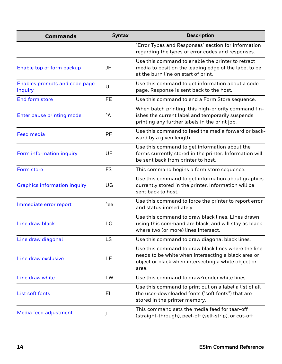| <b>Commands</b>                          | Syntax         | Description                                                                                                                                                                |
|------------------------------------------|----------------|----------------------------------------------------------------------------------------------------------------------------------------------------------------------------|
|                                          |                | "Error Types and Responses" section for information<br>regarding the types of error codes and responses.                                                                   |
| Enable top of form backup                | JF             | Use this command to enable the printer to retract<br>media to position the leading edge of the label to be<br>at the burn line on start of print.                          |
| Enables prompts and code page<br>inquiry | UI             | Use this command to get information about a code<br>page. Response is sent back to the host.                                                                               |
| End form store                           | <b>FE</b>      | Use this command to end a Form Store sequence.                                                                                                                             |
| Enter pause printing mode                | $^{\wedge}$ A  | When batch printing, this high-priority command fin-<br>ishes the current label and temporarily suspends<br>printing any further labels in the print job.                  |
| <b>Feed media</b>                        | PF             | Use this command to feed the media forward or back-<br>ward by a given length.                                                                                             |
| Form information inquiry                 | UF             | Use this command to get information about the<br>forms currently stored in the printer. Information will<br>be sent back from printer to host.                             |
| Form store                               | <b>FS</b>      | This command begins a form store sequence.                                                                                                                                 |
| <b>Graphics information inquiry</b>      | UG             | Use this command to get information about graphics<br>currently stored in the printer. Information will be<br>sent back to host.                                           |
| Immediate error report                   | $^{\wedge}$ ee | Use this command to force the printer to report error<br>and status immediately.                                                                                           |
| Line draw black                          | LO             | Use this command to draw black lines. Lines drawn<br>using this command are black, and will stay as black<br>where two (or more) lines intersect.                          |
| Line draw diagonal                       | LS             | Use this command to draw diagonal black lines.                                                                                                                             |
| Line draw exclusive                      | LE             | Use this command to draw black lines where the line<br>needs to be white when intersecting a black area or<br>object or black when intersecting a white object or<br>area. |
| Line draw white                          | LW             | Use this command to draw/render white lines.                                                                                                                               |
| List soft fonts                          | EI             | Use this command to print out on a label a list of all<br>the user-downloaded fonts ("soft fonts") that are<br>stored in the printer memory.                               |
| Media feed adjustment                    | J              | This command sets the media feed for tear-off<br>(straight-through), peel-off (self-strip), or cut-off                                                                     |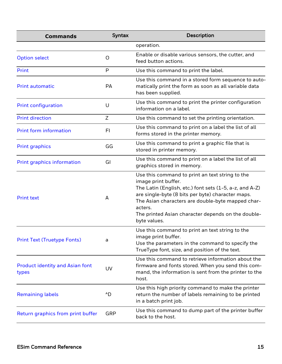| <b>Commands</b>                                 | <b>Syntax</b> | Description                                                                                                                                                                                                                                                                                                                  |
|-------------------------------------------------|---------------|------------------------------------------------------------------------------------------------------------------------------------------------------------------------------------------------------------------------------------------------------------------------------------------------------------------------------|
|                                                 |               | operation.                                                                                                                                                                                                                                                                                                                   |
| <b>Option select</b>                            | O             | Enable or disable various sensors, the cutter, and<br>feed button actions.                                                                                                                                                                                                                                                   |
| Print                                           | P             | Use this command to print the label.                                                                                                                                                                                                                                                                                         |
| <b>Print automatic</b>                          | PA            | Use this command in a stored form sequence to auto-<br>matically print the form as soon as all variable data<br>has been supplied.                                                                                                                                                                                           |
| <b>Print configuration</b>                      | U             | Use this command to print the printer configuration<br>information on a label.                                                                                                                                                                                                                                               |
| <b>Print direction</b>                          | Z             | Use this command to set the printing orientation.                                                                                                                                                                                                                                                                            |
| <b>Print form information</b>                   | FI            | Use this command to print on a label the list of all<br>forms stored in the printer memory.                                                                                                                                                                                                                                  |
| <b>Print graphics</b>                           | GG            | Use this command to print a graphic file that is<br>stored in printer memory.                                                                                                                                                                                                                                                |
| <b>Print graphics information</b>               | GI            | Use this command to print on a label the list of all<br>graphics stored in memory.                                                                                                                                                                                                                                           |
| <b>Print text</b>                               | A             | Use this command to print an text string to the<br>image print buffer.<br>The Latin (English, etc.) font sets (1-5, a-z, and A-Z)<br>are single-byte (8 bits per byte) character maps.<br>The Asian characters are double-byte mapped char-<br>acters.<br>The printed Asian character depends on the double-<br>byte values. |
| <b>Print Text (Truetype Fonts)</b>              | a             | Use this command to print an text string to the<br>image print buffer.<br>Use the parameters in the command to specify the<br>TrueType font, size, and position of the text.                                                                                                                                                 |
| <b>Product identity and Asian font</b><br>types | UV            | Use this command to retrieve information about the<br>firmware and fonts stored. When you send this com-<br>mand, the information is sent from the printer to the<br>host.                                                                                                                                                   |
| <b>Remaining labels</b>                         | ^D            | Use this high priority command to make the printer<br>return the number of labels remaining to be printed<br>in a batch print job.                                                                                                                                                                                           |
| Return graphics from print buffer               | GRP           | Use this command to dump part of the printer buffer<br>back to the host.                                                                                                                                                                                                                                                     |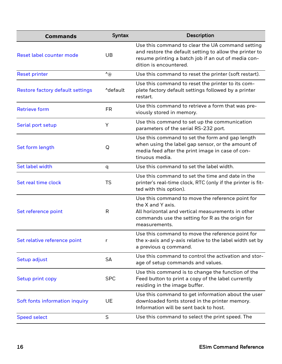| <b>Commands</b>                         | <b>Syntax</b>                   | Description                                                                                                                                                                                     |
|-----------------------------------------|---------------------------------|-------------------------------------------------------------------------------------------------------------------------------------------------------------------------------------------------|
| Reset label counter mode                | UB                              | Use this command to clear the UA command setting<br>and restore the default setting to allow the printer to<br>resume printing a batch job if an out of media con-<br>dition is encountered.    |
| <b>Reset printer</b>                    | $\mathcal{L}_{\textcircled{a}}$ | Use this command to reset the printer (soft restart).                                                                                                                                           |
| <b>Restore factory default settings</b> | ^default                        | Use this command to reset the printer to its com-<br>plete factory default settings followed by a printer<br>restart.                                                                           |
| <b>Retrieve form</b>                    | <b>FR</b>                       | Use this command to retrieve a form that was pre-<br>viously stored in memory.                                                                                                                  |
| Serial port setup                       | Υ                               | Use this command to set up the communication<br>parameters of the serial RS-232 port.                                                                                                           |
| Set form length                         | Q                               | Use this command to set the form and gap length<br>when using the label gap sensor, or the amount of<br>media feed after the print image in case of con-<br>tinuous media.                      |
| Set label width                         | q                               | Use this command to set the label width.                                                                                                                                                        |
| Set real time clock                     | <b>TS</b>                       | Use this command to set the time and date in the<br>printer's real-time clock, RTC (only if the printer is fit-<br>ted with this option).                                                       |
| Set reference point                     | R                               | Use this command to move the reference point for<br>the X and Y axis.<br>All horizontal and vertical measurements in other<br>commands use the setting for R as the origin for<br>measurements. |
| Set relative reference point            | r                               | Use this command to move the reference point for<br>the x-axis and y-axis relative to the label width set by<br>a previous q command.                                                           |
| Setup adjust                            | <b>SA</b>                       | Use this command to control the activation and stor-<br>age of setup commands and values.                                                                                                       |
| Setup print copy                        | <b>SPC</b>                      | Use this command is to change the function of the<br>Feed button to print a copy of the label currently<br>residing in the image buffer.                                                        |
| Soft fonts information inquiry          | UE                              | Use this command to get information about the user<br>downloaded fonts stored in the printer memory.<br>Information will be sent back to host.                                                  |
| <b>Speed select</b>                     | S                               | Use this command to select the print speed. The                                                                                                                                                 |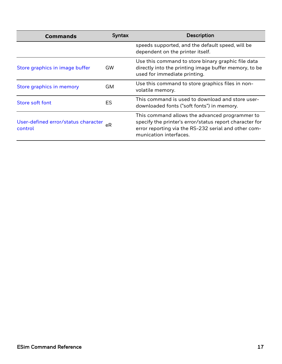| <b>Commands</b>                                | Syntax    | <b>Description</b>                                                                                                                                                                          |  |
|------------------------------------------------|-----------|---------------------------------------------------------------------------------------------------------------------------------------------------------------------------------------------|--|
|                                                |           | speeds supported, and the default speed, will be<br>dependent on the printer itself.                                                                                                        |  |
| Store graphics in image buffer                 | <b>GW</b> | Use this command to store binary graphic file data<br>directly into the printing image buffer memory, to be<br>used for immediate printing.                                                 |  |
| Store graphics in memory                       | GM        | Use this command to store graphics files in non-<br>volatile memory.                                                                                                                        |  |
| Store soft font                                | ES        | This command is used to download and store user-<br>downloaded fonts ("soft fonts") in memory.                                                                                              |  |
| User-defined error/status character<br>control | еR        | This command allows the advanced programmer to<br>specify the printer's error/status report character for<br>error reporting via the RS-232 serial and other com-<br>munication interfaces. |  |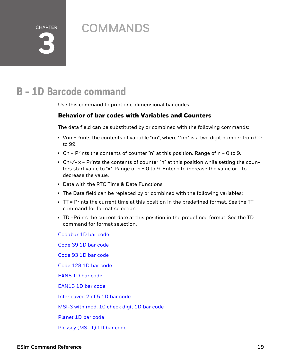CHAPTER **3**

# <span id="page-24-0"></span>**COMMANDS**

# <span id="page-24-1"></span>**B - 1D Barcode command**

Use this command to print one-dimensional bar codes.

#### Behavior of bar codes with Variables and Counters

The data field can be substituted by or combined with the following commands:

- Vnn =Prints the contents of variable "nn", where ""nn" is a two digit number from 00 to 99.
- Cn = Prints the contents of counter "n" at this position. Range of  $n = 0$  to 9.
- $\text{Cn}+/- x = \text{Prints}$  the contents of counter "n" at this position while setting the counters start value to "x". Range of  $n = 0$  to 9. Enter  $+$  to increase the value or  $-$  to decrease the value.
- Data with the RTC Time & Date Functions
- The Data field can be replaced by or combined with the following variables:
- TT = Prints the current time at this position in the predefined format. See the TT command for format selection.
- TD =Prints the current date at this position in the predefined format. See the TD command for format selection.

[Codabar](#page-26-0) 1D bar code [Code](#page-28-0) 39 1D bar code [Code](#page-30-0) 93 1D bar code [Code](#page-32-0) 128 1D bar code [EAN8](#page-36-0) 1D bar code [EAN13](#page-38-0) 1D bar code [Interleaved](#page-40-0) 2 of 5 1D bar code [MSI-3](#page-42-0) with mod. 10 check digit 1D bar code [Planet](#page-44-0) 1D bar code

Plessey [\(MSI-1\)](#page-46-0) 1D bar code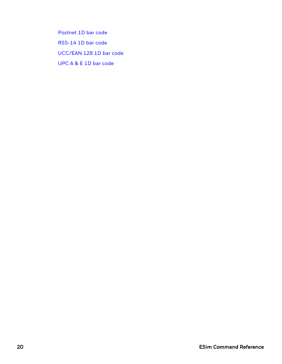[Postnet](#page-48-0) 1D bar code [RSS-14](#page-50-0) 1D bar code [UCC/EAN](#page-52-0) 128 1D bar code UPC A & E 1D bar [code](#page-54-0)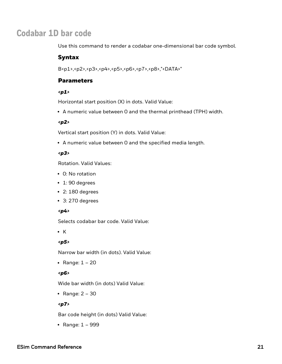### <span id="page-26-0"></span>**Codabar 1D bar code**

Use this command to render a codabar one-dimensional bar code symbol.

#### Syntax

B<p1>,<p2>,<p3>,<p4>,<p5>,<p6>,<p7>,<p8>,"<DATA>"

#### **Parameters**

#### *<p1>*

Horizontal start position (X) in dots. Valid Value:

• A numeric value between 0 and the thermal printhead (TPH) width.

#### *<p2>*

Vertical start position (Y) in dots. Valid Value:

• A numeric value between 0 and the specified media length.

#### *<p3>*

Rotation. Valid Values:

- 0: No rotation
- $\cdot$  1: 90 degrees
- $\cdot$  2: 180 degrees
- $\cdot$  3: 270 degrees

#### *<p4>*

Selects codabar bar code. Valid Value:

 $\cdot$  K

#### *<p5>*

Narrow bar width (in dots). Valid Value:

• Range:  $1 - 20$ 

#### *<p6>*

Wide bar width (in dots) Valid Value:

• Range:  $2 - 30$ 

#### *<p7>*

Bar code height (in dots) Valid Value:

• Range:  $1 - 999$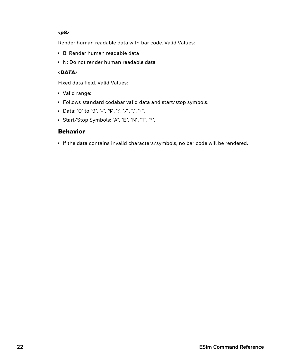#### *<p8>*

Render human readable data with bar code. Valid Values:

- B: Render human readable data
- N: Do not render human readable data

#### *<DATA>*

Fixed data field. Valid Values:

- Valid range:
- Follows standard codabar valid data and start/stop symbols.
- <sup>l</sup> Data: "0" to "9", "-", "\$", ":", "/", ".", "+".
- Start/Stop Symbols: "A", "E", "N", "T", "\*".

#### Behavior

• If the data contains invalid characters/symbols, no bar code will be rendered.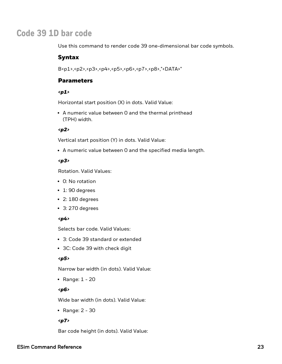### <span id="page-28-0"></span>**Code 39 1D bar code**

Use this command to render code 39 one-dimensional bar code symbols.

#### Syntax

B<p1>,<p2>,<p3>,<p4>,<p5>,<p6>,<p7>,<p8>,"<DATA>"

#### **Parameters**

#### *<p1>*

Horizontal start position (X) in dots. Valid Value:

• A numeric value between 0 and the thermal printhead (TPH) width.

#### *<p2>*

Vertical start position (Y) in dots. Valid Value:

• A numeric value between 0 and the specified media length.

#### *<p3>*

Rotation. Valid Values:

- 0: No rotation
- $\cdot$  1: 90 degrees
- $\cdot$  2: 180 degrees
- $\cdot$  3: 270 degrees

#### *<p4>*

Selects bar code. Valid Values:

- 3: Code 39 standard or extended
- 3C: Code 39 with check digit

#### *<p5>*

Narrow bar width (in dots). Valid Value:

• Range:  $1 - 20$ 

#### *<p6>*

Wide bar width (in dots). Valid Value:

• Range:  $2 - 30$ 

#### *<p7>*

Bar code height (in dots). Valid Value:

#### ESim Command Reference 23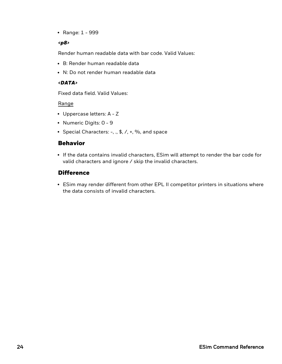• Range: 1 - 999

#### *<p8>*

Render human readable data with bar code. Valid Values:

- B: Render human readable data
- N: Do not render human readable data

#### *<DATA>*

Fixed data field. Valid Values:

Range

- Uppercase letters: A Z
- Numeric Digits: 0 9
- Special Characters:  $-$ , ., \$,  $/$ ,  $+$ ,  $\%$ , and space

#### Behavior

• If the data contains invalid characters, ESim will attempt to render the bar code for valid characters and ignore / skip the invalid characters.

#### **Difference**

• ESim may render different from other EPL II competitor printers in situations where the data consists of invalid characters.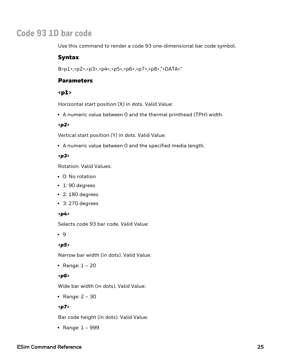### <span id="page-30-0"></span>**Code 93 1D bar code**

Use this command to render a code 93 one-dimensional bar code symbol.

#### Syntax

B<p1>,<p2>,<p3>,<p4>,<p5>,<p6>,<p7>,<p8>,"<DATA>"

#### **Parameters**

#### $<sub>p1</sub>$ </sub>

Horizontal start position (X) in dots. Valid Value:

• A numeric value between 0 and the thermal printhead (TPH) width.

#### *<p2>*

Vertical start position (Y) in dots. Valid Value:

• A numeric value between 0 and the specified media length.

#### *<p3>*

Rotation. Valid Values:

- 0: No rotation
- $\cdot$  1: 90 degrees
- $\cdot$  2: 180 degrees
- $\cdot$  3: 270 degrees

#### *<p4>*

Selects code 93 bar code. Valid Value:

 $.9$ 

#### *<p5>*

Narrow bar width (in dots). Valid Value:

• Range:  $1 - 20$ 

#### *<p6>*

Wide bar width (in dots). Valid Value:

• Range:  $2 - 30$ 

#### *<p7>*

Bar code height (in dots). Valid Value:

• Range:  $1 - 999$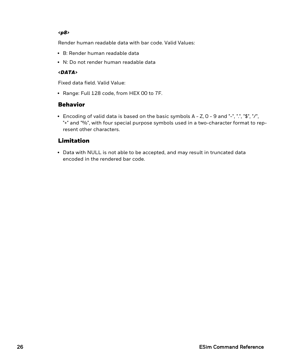#### *<p8>*

Render human readable data with bar code. Valid Values:

- B: Render human readable data
- N: Do not render human readable data

#### *<DATA>*

Fixed data field. Valid Value:

• Range: Full 128 code, from HEX 00 to 7F.

#### Behavior

• Encoding of valid data is based on the basic symbols  $A - Z$ ,  $O - 9$  and "-", ".", "\$", "/", "+" and "%", with four special purpose symbols used in a two-character format to represent other characters.

#### Limitation

• Data with NULL is not able to be accepted, and may result in truncated data encoded in the rendered bar code.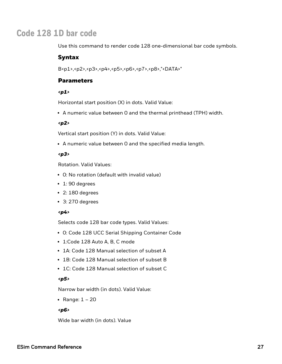### <span id="page-32-0"></span>**Code 128 1D bar code**

Use this command to render code 128 one-dimensional bar code symbols.

#### Syntax

B<p1>,<p2>,<p3>,<p4>,<p5>,<p6>,<p7>,<p8>,"<DATA>"

#### **Parameters**

#### *<p1>*

Horizontal start position (X) in dots. Valid Value:

• A numeric value between 0 and the thermal printhead (TPH) width.

#### *<p2>*

Vertical start position (Y) in dots. Valid Value:

• A numeric value between 0 and the specified media length.

#### *<p3>*

Rotation. Valid Values:

- O: No rotation (default with invalid value)
- $\cdot$  1: 90 degrees
- $\cdot$  2: 180 degrees
- $\cdot$  3: 270 degrees

#### *<p4>*

Selects code 128 bar code types. Valid Values:

- O: Code 128 UCC Serial Shipping Container Code
- 1:Code 128 Auto A, B, C mode
- 1A: Code 128 Manual selection of subset A
- 1B: Code 128 Manual selection of subset B
- 1C: Code 128 Manual selection of subset C

#### *<p5>*

Narrow bar width (in dots). Valid Value:

• Range:  $1 - 20$ 

#### *<p6>*

Wide bar width (in dots). Value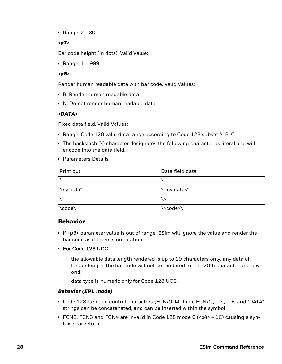• Range:  $2 - 30$ 

#### *<p7>*

Bar code height (in dots). Valid Value:

• Range:  $1 - 999$ 

#### *<p8>*

Render human readable data with bar code. Valid Values:

- B: Render human readable data
- N: Do not render human readable data

#### *<DATA>*

Fixed data field. Valid Values:

- Range: Code 128 valid data range according to Code 128 subset A, B, C.
- The backslash  $(\nabla)$  character designates the following character as literal and will encode into the data field.
- Parameters Details

| Print out | Data field data |
|-----------|-----------------|
| -11       | - 11            |
| "my data" | \"my data\"     |
|           |                 |
| \code\    | \\code\\        |

#### Behavior

- If <p3> parameter value is out of range,  $ESim$  will ignore the value and render the bar code as if there is no rotation.
- For Code 128 UCC
	- $\degree$  the allowable data length rendered is up to 19 characters only, any data of longer length, the bar code will not be rendered for the 20th character and beyond.
	- <sup>o</sup> data type is numeric only for Code 128 UCC.

#### *Behavior (EPL mode)*

- Code 128 function control characters (FCN#). Multiple FCN#s, TTs, TDs and "DATA" strings can be concatenated, and can be inserted within the symbol.
- FCN2, FCN3 and FCN4 are invalid in Code 128 mode C ( $\epsilon$ p4 $>$  = 1C) causing a syntax error return.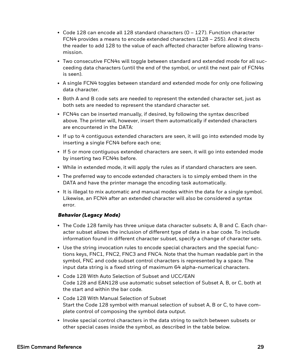- Code 128 can encode all 128 standard characters ( $0 127$ ). Function character FCN4 provides a means to encode extended characters (128 – 255). And it directs the reader to add 128 to the value of each affected character before allowing transmission.
- Two consecutive FCN4s will toggle between standard and extended mode for all succeeding data characters (until the end of the symbol, or until the next pair of FCN4s is seen).
- A single FCN4 toggles between standard and extended mode for only one following data character.
- Both A and B code sets are needed to represent the extended character set, just as both sets are needed to represent the standard character set.
- FCN4s can be inserted manually, if desired, by following the syntax described above. The printer will, however, insert them automatically if extended characters are encountered in the DATA:
- If up to 4 contiguous extended characters are seen, it will go into extended mode by inserting a single FCN4 before each one;
- If 5 or more contiguous extended characters are seen, it will go into extended mode by inserting two FCN4s before.
- While in extended mode, it will apply the rules as if standard characters are seen.
- The preferred way to encode extended characters is to simply embed them in the DATA and have the printer manage the encoding task automatically.
- It is illegal to mix automatic and manual modes within the data for a single symbol. Likewise, an FCN4 after an extended character will also be considered a syntax error.

#### *Behavior (Legacy Mode)*

- The Code 128 family has three unique data character subsets: A, B and C. Each character subset allows the inclusion of different type of data in a bar code. To include information found in different character subset, specify a change of character sets.
- Use the string invocation rules to encode special characters and the special functions keys, FNC1, FNC2, FNC3 and FNC4. Note that the human readable part in the symbol, FNC and code subset control characters is represented by a space. The input data string is a fixed string of maximum 64 alpha-numerical characters.
- Code 128 With Auto Selection of Subset and UCC/EAN Code 128 and EAN128 use automatic subset selection of Subset A, B, or C, both at the start and within the bar code.
- Code 128 With Manual Selection of Subset Start the Code 128 symbol with manual selection of subset A, B or C, to have complete control of composing the symbol data output.
- Invoke special control characters in the data string to switch between subsets or other special cases inside the symbol, as described in the table below.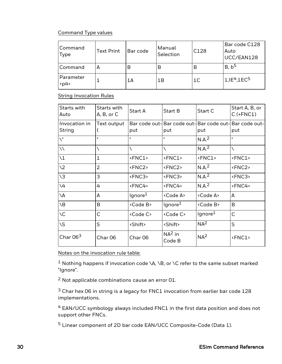#### Command Type values

| Command<br>Type   | <b>Text Print</b> | Bar code | Manual<br>Selection | C128           | Bar code C128<br>Auto<br>UCC/EAN128 |
|-------------------|-------------------|----------|---------------------|----------------|-------------------------------------|
| Command           | А                 | B        | В                   | B              | B, b <sup>5</sup>                   |
| Parameter<br>$p4$ |                   | 1Α       | 1Β                  | 1 <sup>C</sup> | $1,IE^{4}, IEC^{5}$                 |

#### **String Invocation Rules**

| Starts with<br>Auto     | Starts with<br>A, B, or C | Start A             | Start B                                   | Start C             | Start A, B, or<br>$C$ (+FNC1) |
|-------------------------|---------------------------|---------------------|-------------------------------------------|---------------------|-------------------------------|
| Invocation in<br>String | Text output               |                     | Bar code out- Bar code out- Bar code out- |                     | Bar code out-                 |
|                         |                           | put                 | put                                       | put                 | put                           |
| $\mathcal{N}^{\bullet}$ | H.                        | H.                  | H                                         | N.A. <sup>2</sup>   | H.                            |
| $\setminus$             |                           | ∖                   |                                           | N.A. <sup>2</sup>   | ∖                             |
| $\setminus$ 1           | $\mathbf{1}$              | <fnc1></fnc1>       | <fnc1></fnc1>                             | $<$ FNC1>           | <fnc1></fnc1>                 |
| $\sqrt{2}$              | $\overline{2}$            | <fnc2></fnc2>       | <fnc2></fnc2>                             | N.A. <sup>2</sup>   | <fnc2></fnc2>                 |
| $\sqrt{3}$              | 3                         | <fnc3></fnc3>       | <fnc3></fnc3>                             | N.A. <sup>2</sup>   | <fnc3></fnc3>                 |
| $\backslash 4$          | 4                         | <fnc4></fnc4>       | <fnc4></fnc4>                             | N.A. <sup>2</sup>   | <fnc4></fnc4>                 |
| ۱A                      | A                         | lgnore <sup>1</sup> | <code a=""></code>                        | <code a=""></code>  | A                             |
| $\setminus B$           | B                         | <code b=""></code>  | lgnore <sup>1</sup>                       | <code b=""></code>  | B                             |
| $\setminus C$           | C                         | <code c=""></code>  | <code c=""></code>                        | Ignore <sup>1</sup> | C                             |
| \S                      | S                         | <shift></shift>     | <shift></shift>                           | NA <sup>2</sup>     | S                             |
| Char $063$              | Char <sub>06</sub>        | Char <sub>06</sub>  | $NA2$ in<br>Code B                        | NA <sup>2</sup>     | <fnc1></fnc1>                 |

Notes on the invocation rule table:

<sup>1</sup> Nothing happens if invocation code \A, \B, or \C refer to the same subset marked "Ignore".

<sup>2</sup> Not applicable combinations cause an error 01.

 $3$  Char hex 06 in string is a legacy for FNC1 invocation from earlier bar code 128 implementations.

<sup>4</sup> EAN/UCC symbology always included FNC1 in the first data position and does not support other FNCs.

<sup>5</sup> Linear component of 2D bar code EAN/UCC Composite-Code (Data 1).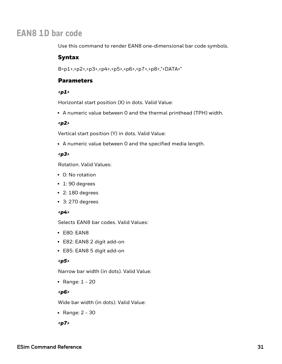# **EAN8 1D bar code**

Use this command to render EAN8 one-dimensional bar code symbols.

#### Syntax

B<p1>,<p2>,<p3>,<p4>,<p5>,<p6>,<p7>,<p8>,"<DATA>"

### **Parameters**

#### *<p1>*

Horizontal start position (X) in dots. Valid Value:

• A numeric value between 0 and the thermal printhead (TPH) width.

#### *<p2>*

Vertical start position (Y) in dots. Valid Value:

• A numeric value between 0 and the specified media length.

#### *<p3>*

Rotation. Valid Values:

- 0: No rotation
- $\cdot$  1: 90 degrees
- $\cdot$  2: 180 degrees
- $\cdot$  3: 270 degrees

#### *<p4>*

Selects EAN8 bar codes. Valid Values:

- $\cdot$  E80: EAN8
- E82: EAN8 2 digit add-on
- E85: EAN8 5 digit add-on

#### *<p5>*

Narrow bar width (in dots). Valid Value:

• Range:  $1 - 20$ 

#### *<p6>*

Wide bar width (in dots). Valid Value:

• Range:  $2 - 30$ 

*<p7>*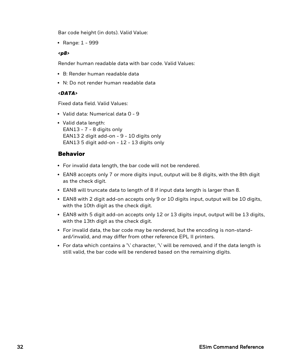Bar code height (in dots). Valid Value:

• Range:  $1 - 999$ 

#### *<p8>*

Render human readable data with bar code. Valid Values:

- B: Render human readable data
- N: Do not render human readable data

#### *<DATA>*

Fixed data field. Valid Values:

- Valid data: Numerical data 0 9
- Valid data length: EAN13 - 7 - 8 digits only EAN13 2 digit add-on - 9 - 10 digits only EAN13 5 digit add-on - 12 - 13 digits only

## Behavior

- For invalid data length, the bar code will not be rendered.
- EAN8 accepts only 7 or more digits input, output will be 8 digits, with the 8th digit as the check digit.
- EAN8 will truncate data to length of 8 if input data length is larger than 8.
- EAN8 with 2 digit add-on accepts only 9 or 10 digits input, output will be 10 digits, with the 10th digit as the check digit.
- EAN8 with 5 digit add-on accepts only 12 or 13 digits input, output will be 13 digits, with the 13th digit as the check digit.
- For invalid data, the bar code may be rendered, but the encoding is non-standard/invalid, and may differ from other reference EPL II printers.
- $\bullet$  For data which contains a '\' character, '\' will be removed, and if the data length is still valid, the bar code will be rendered based on the remaining digits.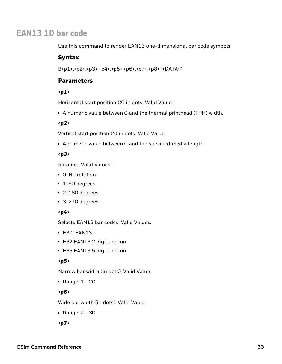# **EAN13 1D bar code**

Use this command to render EAN13 one-dimensional bar code symbols.

### Syntax

B<p1>,<p2>,<p3>,<p4>,<p5>,<p6>,<p7>,<p8>,"<DATA>"

## **Parameters**

#### *<p1>*

Horizontal start position (X) in dots. Valid Value:

• A numeric value between 0 and the thermal printhead (TPH) width.

#### *<p2>*

Vertical start position (Y) in dots. Valid Value:

• A numeric value between O and the specified media length.

#### *<p3>*

Rotation. Valid Values:

- 0: No rotation
- $\cdot$  1: 90 degrees
- $\cdot$  2: 180 degrees
- $\cdot$  3: 270 degrees

#### *<p4>*

Selects EAN13 bar codes. Valid Values:

- $\cdot$  E30: EAN13
- E32:EAN13 2 digit add-on
- E35:EAN13 5 digit add-on

#### *<p5>*

Narrow bar width (in dots). Valid Value:

• Range:  $1 - 20$ 

#### *<p6>*

Wide bar width (in dots). Valid Value:

• Range:  $2 - 30$ 

*<p7>*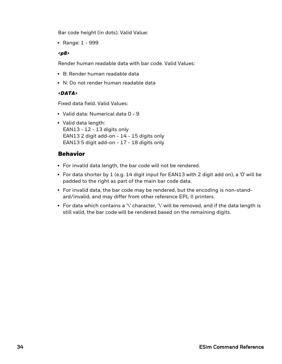Bar code height (in dots). Valid Value:

• Range: 1 - 999

#### *<p8>*

Render human readable data with bar code. Valid Values:

- B: Render human readable data
- N: Do not render human readable data

#### *<DATA>*

Fixed data field. Valid Values:

- Valid data: Numerical data 0 9
- Valid data length: EAN13 - 12 - 13 digits only EAN13 2 digit add-on - 14 - 15 digits only EAN13 5 digit add-on - 17 - 18 digits only

# Behavior

- For invalid data length, the bar code will not be rendered.
- For data shorter by 1 (e.g. 14 digit input for EAN13 with 2 digit add on), a '0' will be padded to the right as part of the main bar code data.
- For invalid data, the bar code may be rendered, but the encoding is non-standard/invalid, and may differ from other reference EPL II printers.
- For data which contains a '\' character, '\' will be removed, and if the data length is still valid, the bar code will be rendered based on the remaining digits.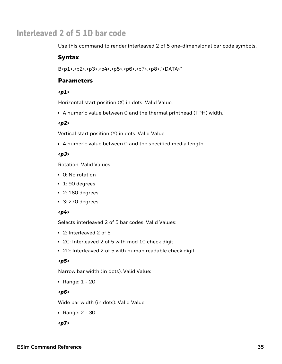# **Interleaved 2 of 5 1D bar code**

Use this command to render interleaved 2 of 5 one-dimensional bar code symbols.

### Syntax

B<p1>,<p2>,<p3>,<p4>,<p5>,<p6>,<p7>,<p8>,"<DATA>"

# **Parameters**

#### *<p1>*

Horizontal start position (X) in dots. Valid Value:

• A numeric value between 0 and the thermal printhead (TPH) width.

#### *<p2>*

Vertical start position (Y) in dots. Valid Value:

• A numeric value between 0 and the specified media length.

#### *<p3>*

Rotation. Valid Values:

- 0: No rotation
- $\cdot$  1: 90 degrees
- $\cdot$  2: 180 degrees
- $\cdot$  3: 270 degrees

### *<p4>*

Selects interleaved 2 of 5 bar codes. Valid Values:

- 2: Interleaved 2 of 5
- 2C: Interleaved 2 of 5 with mod 10 check digit
- 2D: Interleaved 2 of 5 with human readable check digit

### *<p5>*

Narrow bar width (in dots). Valid Value:

• Range:  $1 - 20$ 

### *<p6>*

Wide bar width (in dots). Valid Value:

• Range:  $2 - 30$ 

*<p7>*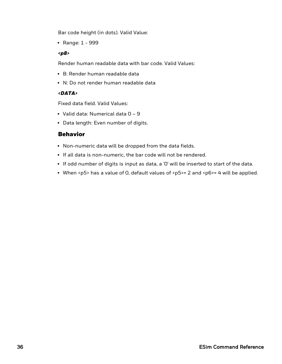Bar code height (in dots). Valid Value:

• Range: 1 - 999

#### *<p8>*

Render human readable data with bar code. Valid Values:

- B: Render human readable data
- N: Do not render human readable data

#### *<DATA>*

Fixed data field. Valid Values:

- Valid data: Numerical data  $0 9$
- Data length: Even number of digits.

### Behavior

- Non-numeric data will be dropped from the data fields.
- If all data is non-numeric, the bar code will not be rendered.
- If odd number of digits is input as data, a 'O' will be inserted to start of the data.
- When <p5> has a value of 0, default values of <p5>= 2 and <p6>= 4 will be applied.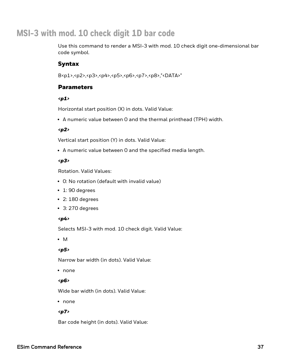# **MSI-3 with mod. 10 check digit 1D bar code**

Use this command to render a MSI-3 with mod. 10 check digit one-dimensional bar code symbol.

# Syntax

B<p1>,<p2>,<p3>,<p4>,<p5>,<p6>,<p7>,<p8>,"<DATA>"

### **Parameters**

#### *<p1>*

Horizontal start position (X) in dots. Valid Value:

• A numeric value between 0 and the thermal printhead (TPH) width.

#### *<p2>*

Vertical start position (Y) in dots. Valid Value:

• A numeric value between 0 and the specified media length.

#### *<p3>*

Rotation. Valid Values:

- O: No rotation (default with invalid value)
- $\cdot$  1: 90 degrees
- $\cdot$  2: 180 degrees
- $\cdot$  3: 270 degrees

#### *<p4>*

Selects MSI-3 with mod. 10 check digit. Valid Value:

 $\bullet$  M

#### *<p5>*

Narrow bar width (in dots). Valid Value:

• none

#### *<p6>*

Wide bar width (in dots). Valid Value:

• none

#### *<p7>*

Bar code height (in dots). Valid Value: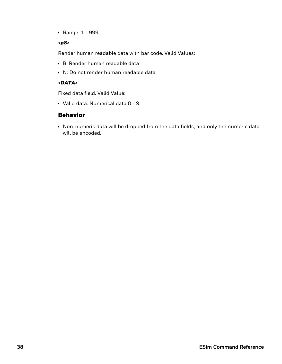• Range: 1 - 999

#### *<p8>*

Render human readable data with bar code. Valid Values:

- B: Render human readable data
- N: Do not render human readable data

#### *<DATA>*

Fixed data field. Valid Value:

• Valid data: Numerical data 0 - 9.

# Behavior

• Non-numeric data will be dropped from the data fields, and only the numeric data will be encoded.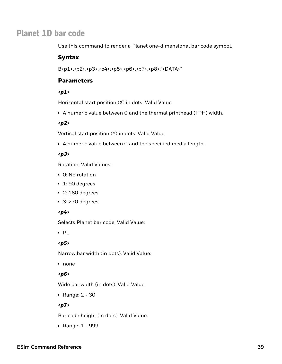# **Planet 1D bar code**

Use this command to render a Planet one-dimensional bar code symbol.

#### Syntax

B<p1>,<p2>,<p3>,<p4>,<p5>,<p6>,<p7>,<p8>,"<DATA>"

## **Parameters**

#### *<p1>*

Horizontal start position (X) in dots. Valid Value:

• A numeric value between 0 and the thermal printhead (TPH) width.

#### *<p2>*

Vertical start position (Y) in dots. Valid Value:

• A numeric value between O and the specified media length.

#### *<p3>*

Rotation. Valid Values:

- 0: No rotation
- $\cdot$  1: 90 degrees
- $\cdot$  2: 180 degrees
- $\cdot$  3: 270 degrees

#### *<p4>*

Selects Planet bar code. Valid Value:

 $\cdot$  PL

#### *<p5>*

Narrow bar width (in dots). Valid Value:

• none

#### *<p6>*

Wide bar width (in dots). Valid Value:

• Range:  $2 - 30$ 

#### *<p7>*

Bar code height (in dots). Valid Value:

• Range: 1 - 999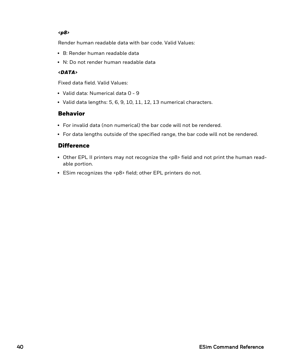#### *<p8>*

Render human readable data with bar code. Valid Values:

- B: Render human readable data
- N: Do not render human readable data

#### *<DATA>*

Fixed data field. Valid Values:

- Valid data: Numerical data 0 9
- $\bullet$  Valid data lengths: 5, 6, 9, 10, 11, 12, 13 numerical characters.

### Behavior

- For invalid data (non numerical) the bar code will not be rendered.
- For data lengths outside of the specified range, the bar code will not be rendered.

### **Difference**

- Other EPL II printers may not recognize the <p8> field and not print the human readable portion.
- ESim recognizes the <p8> field; other EPL printers do not.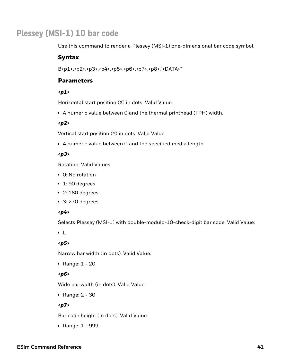# **Plessey (MSI-1) 1D bar code**

Use this command to render a Plessey (MSI-1) one-dimensional bar code symbol.

#### Syntax

B<p1>,<p2>,<p3>,<p4>,<p5>,<p6>,<p7>,<p8>,"<DATA>"

### **Parameters**

#### *<p1>*

Horizontal start position (X) in dots. Valid Value:

• A numeric value between 0 and the thermal printhead (TPH) width.

#### *<p2>*

Vertical start position (Y) in dots. Valid Value:

• A numeric value between 0 and the specified media length.

#### *<p3>*

Rotation. Valid Values:

- 0: No rotation
- $\cdot$  1: 90 degrees
- $\cdot$  2: 180 degrees
- $\cdot$  3: 270 degrees

#### *<p4>*

Selects Plessey (MSI-1) with double-modulo-10-check-digit bar code. Valid Value:

 $\cdot$  L

#### *<p5>*

Narrow bar width (in dots). Valid Value:

• Range:  $1 - 20$ 

#### *<p6>*

Wide bar width (in dots). Valid Value:

• Range:  $2 - 30$ 

#### *<p7>*

Bar code height (in dots). Valid Value:

• Range: 1 - 999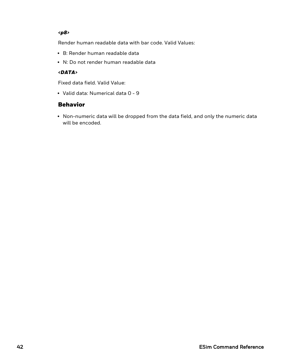#### *<p8>*

Render human readable data with bar code. Valid Values:

- B: Render human readable data
- N: Do not render human readable data

#### *<DATA>*

Fixed data field. Valid Value:

• Valid data: Numerical data 0 - 9

# Behavior

• Non-numeric data will be dropped from the data field, and only the numeric data will be encoded.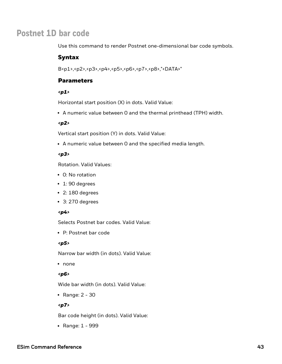# **Postnet 1D bar code**

Use this command to render Postnet one-dimensional bar code symbols.

#### Syntax

B<p1>,<p2>,<p3>,<p4>,<p5>,<p6>,<p7>,<p8>,"<DATA>"

### **Parameters**

#### *<p1>*

Horizontal start position (X) in dots. Valid Value:

• A numeric value between 0 and the thermal printhead (TPH) width.

#### *<p2>*

Vertical start position (Y) in dots. Valid Value:

• A numeric value between 0 and the specified media length.

#### *<p3>*

Rotation. Valid Values:

- 0: No rotation
- $\cdot$  1: 90 degrees
- $\cdot$  2: 180 degrees
- $\cdot$  3: 270 degrees

#### *<p4>*

Selects Postnet bar codes. Valid Value:

• P: Postnet bar code

#### *<p5>*

Narrow bar width (in dots). Valid Value:

• none

#### *<p6>*

Wide bar width (in dots). Valid Value:

• Range:  $2 - 30$ 

#### *<p7>*

Bar code height (in dots). Valid Value:

• Range: 1 - 999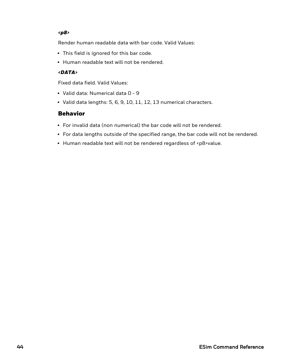#### *<p8>*

Render human readable data with bar code. Valid Values:

- This field is ignored for this bar code.
- Human readable text will not be rendered.

#### *<DATA>*

Fixed data field. Valid Values:

- Valid data: Numerical data 0 9
- $\bullet$  Valid data lengths: 5, 6, 9, 10, 11, 12, 13 numerical characters.

# Behavior

- For invalid data (non numerical) the bar code will not be rendered.
- For data lengths outside of the specified range, the bar code will not be rendered.
- Human readable text will not be rendered regardless of <p8>value.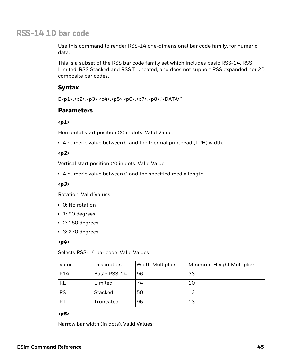# **RSS-14 1D bar code**

Use this command to render RSS-14 one-dimensional bar code family, for numeric data.

This is a subset of the RSS bar code family set which includes basic RSS-14, RSS Limited, RSS Stacked and RSS Truncated, and does not support RSS expanded nor 2D composite bar codes.

## Syntax

B<p1>,<p2>,<p3>,<p4>,<p5>,<p6>,<p7>,<p8>,"<DATA>"

#### **Parameters**

#### *<p1>*

Horizontal start position (X) in dots. Valid Value:

• A numeric value between 0 and the thermal printhead (TPH) width.

#### *<p2>*

Vertical start position (Y) in dots. Valid Value:

• A numeric value between 0 and the specified media length.

#### *<p3>*

Rotation. Valid Values:

- 0: No rotation
- $\cdot$  1: 90 degrees
- $\cdot$  2: 180 degrees
- $\cdot$  3: 270 degrees

#### *<p4>*

Selects RSS-14 bar code. Valid Values:

| Value      | Description  | <b>Width Multiplier</b> | Minimum Height Multiplier |
|------------|--------------|-------------------------|---------------------------|
| <b>R14</b> | Basic RSS-14 | 96                      | 33                        |
| <b>RL</b>  | Limited      | 74                      | 10                        |
| <b>RS</b>  | Stacked      | 50                      | 13                        |
| <b>RT</b>  | Truncated    | 96                      | 13                        |

#### *<p5>*

Narrow bar width (in dots). Valid Values: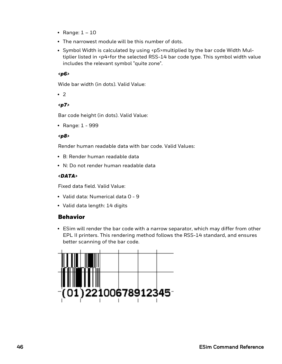- Range:  $1 10$
- The narrowest module will be this number of dots.
- Symbol Width is calculated by using <p5>multiplied by the bar code Width Multiplier listed in <p4>for the selected RSS-14 bar code type. This symbol width value includes the relevant symbol "quite zone".

#### *<p6>*

Wide bar width (in dots). Valid Value:

 $\cdot$  2

#### *<p7>*

Bar code height (in dots). Valid Value:

• Range:  $1 - 999$ 

#### *<p8>*

Render human readable data with bar code. Valid Values:

- B: Render human readable data
- N: Do not render human readable data

#### *<DATA>*

Fixed data field. Valid Value:

- Valid data: Numerical data 0 9
- Valid data length: 14 digits

### Behavior

• ESim will render the bar code with a narrow separator, which may differ from other EPL II printers. This rendering method follows the RSS-14 standard, and ensures better scanning of the bar code.

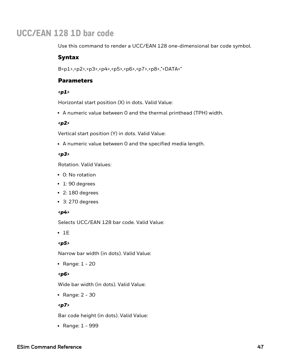# **UCC/EAN 128 1D bar code**

Use this command to render a UCC/EAN 128 one-dimensional bar code symbol.

#### Syntax

B<p1>,<p2>,<p3>,<p4>,<p5>,<p6>,<p7>,<p8>,"<DATA>"

### **Parameters**

#### *<p1>*

Horizontal start position (X) in dots. Valid Value:

• A numeric value between 0 and the thermal printhead (TPH) width.

#### *<p2>*

Vertical start position (Y) in dots. Valid Value:

• A numeric value between 0 and the specified media length.

#### *<p3>*

Rotation. Valid Values:

- 0: No rotation
- $\cdot$  1: 90 degrees
- $\cdot$  2: 180 degrees
- $\cdot$  3: 270 degrees

#### *<p4>*

Selects UCC/EAN 128 bar code. Valid Value:

 $\cdot$  1E

#### *<p5>*

Narrow bar width (in dots). Valid Value:

• Range:  $1 - 20$ 

#### *<p6>*

Wide bar width (in dots). Valid Value:

• Range:  $2 - 30$ 

#### *<p7>*

Bar code height (in dots). Valid Value:

• Range: 1 - 999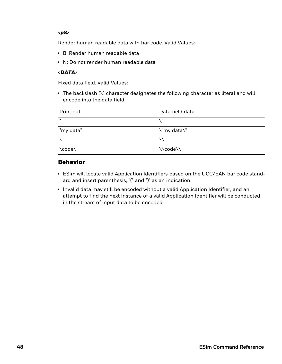#### *<p8>*

Render human readable data with bar code. Valid Values:

- B: Render human readable data
- N: Do not render human readable data

#### *<DATA>*

Fixed data field. Valid Values:

• The backslash (\) character designates the following character as literal and will encode into the data field.

| Print out | Data field data |
|-----------|-----------------|
| lπ        |                 |
| "my data" | \"my data\"     |
|           |                 |
| \code\    | \\code\\        |

## Behavior

- ESim will locate valid Application Identifiers based on the UCC/EAN bar code standard and insert parenthesis, "(" and ")" as an indication.
- Invalid data may still be encoded without a valid Application Identifier, and an attempt to find the next instance of a valid Application Identifier will be conducted in the stream of input data to be encoded.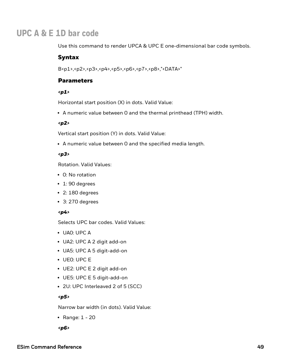# **UPC A & E 1D bar code**

Use this command to render UPCA & UPC E one-dimensional bar code symbols.

### Syntax

B<p1>,<p2>,<p3>,<p4>,<p5>,<p6>,<p7>,<p8>,"<DATA>"

# **Parameters**

#### *<p1>*

Horizontal start position (X) in dots. Valid Value:

• A numeric value between 0 and the thermal printhead (TPH) width.

#### *<p2>*

Vertical start position (Y) in dots. Valid Value:

• A numeric value between 0 and the specified media length.

#### *<p3>*

Rotation. Valid Values:

- 0: No rotation
- $\cdot$  1: 90 degrees
- $\cdot$  2: 180 degrees
- $\cdot$  3: 270 degrees

### *<p4>*

Selects UPC bar codes. Valid Values:

- UA0: UPC A
- UA2: UPC A 2 digit add-on
- UA5: UPC A 5 digit-add-on
- UE0: UPC E
- UE2: UPC E 2 digit add-on
- UE5: UPC E 5 digit-add-on
- 2U: UPC Interleaved 2 of 5 (SCC)

#### *<p5>*

Narrow bar width (in dots). Valid Value:

• Range:  $1 - 20$ 

*<p6>*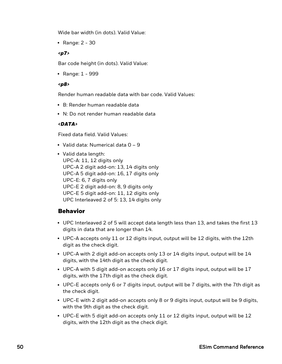Wide bar width (in dots). Valid Value:

• Range:  $2 - 30$ 

#### *<p7>*

Bar code height (in dots). Valid Value:

• Range: 1 - 999

#### *<p8>*

Render human readable data with bar code. Valid Values:

- B: Render human readable data
- N: Do not render human readable data

#### *<DATA>*

Fixed data field. Valid Values:

- Valid data: Numerical data  $0 9$
- Valid data length: UPC-A: 11, 12 digits only UPC-A 2 digit add-on: 13, 14 digits only UPC-A 5 digit add-on: 16, 17 digits only UPC-E: 6, 7 digits only UPC-E 2 digit add-on: 8, 9 digits only UPC-E 5 digit add-on: 11, 12 digits only UPC Interleaved 2 of 5: 13, 14 digits only

# Behavior

- UPC Interleaved 2 of 5 will accept data length less than 13, and takes the first  $13$ digits in data that are longer than 14.
- UPC-A accepts only 11 or 12 digits input, output will be 12 digits, with the 12th digit as the check digit.
- UPC-A with 2 digit add-on accepts only 13 or 14 digits input, output will be 14 digits, with the 14th digit as the check digit.
- UPC-A with 5 digit add-on accepts only 16 or 17 digits input, output will be  $17$ digits, with the 17th digit as the check digit.
- UPC-E accepts only 6 or 7 digits input, output will be 7 digits, with the 7th digit as the check digit.
- UPC-E with 2 digit add-on accepts only 8 or 9 digits input, output will be 9 digits, with the 9th digit as the check digit.
- UPC-E with 5 digit add-on accepts only 11 or 12 digits input, output will be 12 digits, with the 12th digit as the check digit.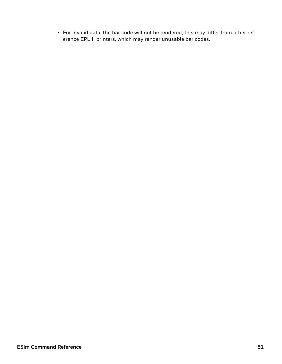• For invalid data, the bar code will not be rendered, this may differ from other reference EPL II printers, which may render unusable bar codes.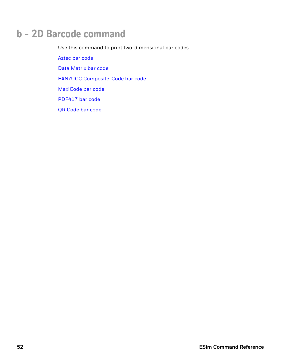# **b - 2D Barcode command**

Use this command to print two-dimensional bar codes [Aztec](#page-58-0) bar code Data [Matrix](#page-60-0) bar code EAN/UCC [Composite-Code](#page-62-0) bar code [MaxiCode](#page-65-0) bar code [PDF417](#page-67-0) bar code QR [Code](#page-71-0) bar code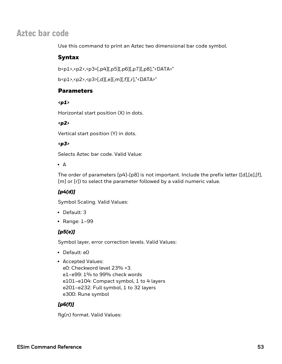# <span id="page-58-0"></span>**Aztec bar code**

Use this command to print an Aztec two dimensional bar code symbol.

# Syntax

b<p1>,<p2>,<p3>[,p4][,p5][,p6][,p7][,p8],"<DATA>"

```
b<p1>,<p2>,<p3>[,d][,e][,m][,f][,r],"<DATA>"
```
# **Parameters**

#### *<p1>*

Horizontal start position (X) in dots.

### *<p2>*

Vertical start position (Y) in dots.

### *<p3>*

Selects Aztec bar code. Valid Value:

#### $\bullet$  A

The order of parameters [p4]-[p8] is not important. Include the prefix letter ([d],[e],[f], [m] or [r]) to select the parameter followed by a valid numeric value.

# *[p4(d)]*

Symbol Scaling. Valid Values:

- Default: 3
- $\cdot$  Range: 1–99

# *[p5(e)]*

Symbol layer, error correction levels. Valid Values:

- Default: e0
- Accepted Values:

e0: Checkword level 23% +3. e1–e99: 1% to 99% check words e101–e104: Compact symbol, 1 to 4 layers e201–e232: Full symbol, 1 to 32 layers e300: Rune symbol

# *[p6(f)]*

flg(n) format. Valid Values: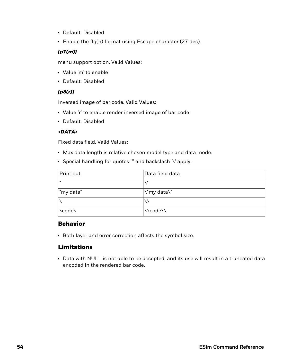- Default: Disabled
- **Enable the flg(n) format using Escape character (27 dec).**

#### *[p7(m)]*

menu support option. Valid Values:

- Value 'm' to enable
- Default: Disabled

#### *[p8(r)]*

Inversed image of bar code. Valid Values:

- Value 'r' to enable render inversed image of bar code
- Default: Disabled

#### *<DATA>*

Fixed data field. Valid Values:

- Max data length is relative chosen model type and data mode.
- Special handling for quotes "" and backslash '\' apply.

| Print out    | Data field data |
|--------------|-----------------|
| $\mathbf{u}$ | H               |
| "my data"    | \"my data\"     |
|              |                 |
| \code\       | \\code\\        |

### Behavior

• Both layer and error correction affects the symbol size.

### Limitations

• Data with NULL is not able to be accepted, and its use will result in a truncated data encoded in the rendered bar code.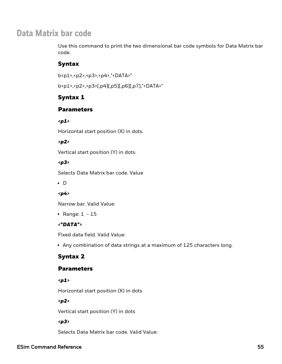# <span id="page-60-0"></span>**Data Matrix bar code**

Use this command to print the two dimensional bar code symbols for Data Matrix bar code.

# Syntax

b<p1>,<p2>,<p3>,<p4>,"<DATA>"

b<p1>,<p2>,<p3>[,p4][,p5][,p6][,p7],"<DATA>"

# Syntax 1

# Parameters

### *<p1>*

Horizontal start position (X) in dots.

## *<p2>*

Vertical start position (Y) in dots.

### *<p3>*

Selects Data Matrix bar code. Value

 $\cdot$  D

# *<p4>*

Narrow bar. Valid Value:

• Range:  $1 - 15$ 

# *<"DATA">*

Fixed data field. Valid Value:

• Any combination of data strings at a maximum of 125 characters long.

# Syntax 2

# **Parameters**

*<p1>*

Horizontal start position (X) in dots

### *<p2>*

Vertical start position (Y) in dots

# *<p3>*

Selects Data Matrix bar code. Valid Value: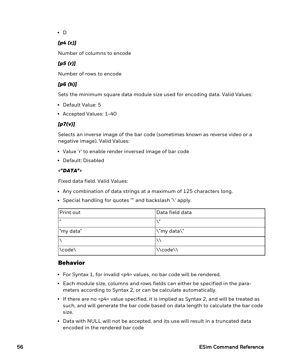$\bullet$  D

## *[p4 (c)]*

Number of columns to encode

# *[p5 (r)]*

Number of rows to encode

# *[p6 (h)]*

Sets the minimum square data module size used for encoding data. Valid Values:

- Default Value: 5
- Accepted Values: 1-40

# *[p7(v)]*

Selects an inverse image of the bar code (sometimes known as reverse video or a negative image). Valid Values:

- Value 'r' to enable render inversed image of bar code
- Default: Disabled

### *<"DATA">*

Fixed data field. Valid Values:

- Any combination of data strings at a maximum of 125 characters long.
- Special handling for quotes "" and backslash '\' apply.

| Print out    | Data field data |
|--------------|-----------------|
| $\mathbf{u}$ | - 11            |
| "my data"    | \"my data\"     |
|              |                 |
| \code\       | \\code\\        |

# Behavior

- For Syntax 1, for invalid <p4> values, no bar code will be rendered.
- <sup>l</sup> Each module size, columns and rows fields can either be specified in the parameters according to Syntax 2, or can be calculate automatically.
- If there are no  $\langle p4 \rangle$  value specified, it is implied as Syntax 2, and will be treated as such, and will generate the bar code based on data length to calculate the bar code size.
- Data with NULL will not be accepted, and its use will result in a truncated data encoded in the rendered bar code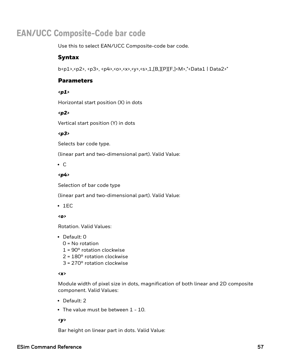# <span id="page-62-0"></span>**EAN/UCC Composite-Code bar code**

Use this to select EAN/UCC Composite-code bar code.

### Syntax

b<p1>,<p2>, <p3>, <p4>,<o>,<x>,<y>,<s>,1,[B,][P][F,]<M>,"<Data1 | Data2>"

## **Parameters**

#### *<p1>*

Horizontal start position (X) in dots

#### *<p2>*

Vertical start position (Y) in dots

#### *<p3>*

Selects bar code type.

(linear part and two-dimensional part). Valid Value:

 $\cdot$  C

#### *<p4>*

Selection of bar code type

(linear part and two-dimensional part). Valid Value:

 $\cdot$  1EC

*<o>*

Rotation. Valid Values:

#### $\cdot$  Default: 0

- 0 = No rotation
- 1 = 90° rotation clockwise
- 2 = 180° rotation clockwise
- 3 = 270° rotation clockwise

#### *<x>*

Module width of pixel size in dots, magnification of both linear and 2D composite component. Valid Values:

- Default: 2
- $\cdot$  The value must be between 1 10.

#### *<y>*

Bar height on linear part in dots. Valid Value: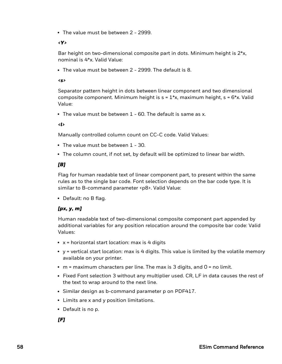• The value must be between 2 - 2999.

#### *<Y>*

Bar height on two-dimensional composite part in dots. Minimum height is 2\*x, nominal is 4\*x. Valid Value:

• The value must be between 2 - 2999. The default is 8.

#### *<s>*

Separator pattern height in dots between linear component and two dimensional composite component. Minimum height is  $s = 1<sup>*</sup>x$ , maximum height,  $s = 6<sup>*</sup>x$ . Valid Value:

• The value must be between  $1$  - 60. The default is same as x.

*<l>*

Manually controlled column count on CC-C code. Valid Values:

- The value must be between  $1 30$ .
- The column count, if not set, by default will be optimized to linear bar width.

#### *[B]*

Flag for human readable text of linear component part, to present within the same rules as to the single bar code. Font selection depends on the bar code type. It is similar to B-command parameter <p8>. Valid Value:

• Default: no B flag.

#### *[px, y, m]*

Human readable text of two-dimensional composite component part appended by additional variables for any position relocation around the composite bar code: Valid Values:

- $\bullet$  x = horizontal start location: max is 4 digits
- $y =$  vertical start location: max is 4 digits. This value is limited by the volatile memory available on your printer.
- $\bullet$  m = maximum characters per line. The max is 3 digits, and 0 = no limit.
- Fixed Font selection 3 without any multiplier used. CR, LF in data causes the rest of the text to wrap around to the next line.
- Similar design as b-command parameter p on PDF417.
- Limits are x and y position limitations.
- Default is no p.

*[F]*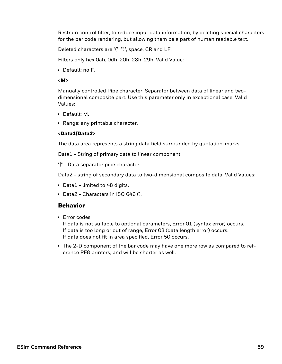Restrain control filter, to reduce input data information, by deleting special characters for the bar code rendering, but allowing them be a part of human readable text.

Deleted characters are "(", ")", space, CR and LF.

Filters only hex 0ah, 0dh, 20h, 28h, 29h. Valid Value:

• Default: no F.

#### *<M>*

Manually controlled Pipe character: Separator between data of linear and twodimensional composite part. Use this parameter only in exceptional case. Valid Values:

- Default: M.
- Range: any printable character.

#### *<Data1|Data2>*

The data area represents a string data field surrounded by quotation-marks.

Data1 - String of primary data to linear component.

"|" - Data separator pipe character.

Data2 - string of secondary data to two-dimensional composite data. Valid Values:

- Data1 limited to 48 digits.
- Data2 Characters in ISO 646 ().

### Behavior

• Error codes

If data is not suitable to optional parameters, Error 01 (syntax error) occurs. If data is too long or out of range, Error 03 (data length error) occurs. If data does not fit in area specified, Error 50 occurs.

• The 2-D component of the bar code may have one more row as compared to reference PF8 printers, and will be shorter as well.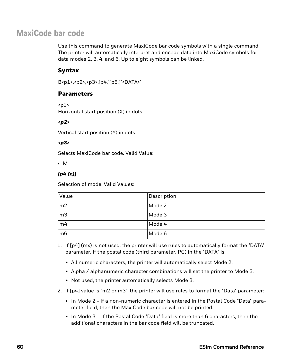# <span id="page-65-0"></span>**MaxiCode bar code**

Use this command to generate MaxiCode bar code symbols with a single command. The printer will automatically interpret and encode data into MaxiCode symbols for data modes 2, 3, 4, and 6. Up to eight symbols can be linked.

# Syntax

B<p1>,<p2>,<p3>,[p4,][p5,]"<DATA>"

## **Parameters**

 $<sub>01</sub>$ </sub>

Horizontal start position (X) in dots

#### *<p2>*

Vertical start position (Y) in dots

#### *<p3>*

Selects MaxiCode bar code. Valid Value:

 $\bullet$  M

## *[p4 (c)]*

Selection of mode. Valid Values:

| Value           | Description |
|-----------------|-------------|
| m2              | Mode 2      |
| m <sub>3</sub>  | Mode 3      |
| m <sub>4</sub>  | Mode 4      |
| $\overline{m6}$ | Mode 6      |

- 1. If [p4] (mx) is not used, the printer will use rules to automatically format the "DATA" parameter. If the postal code (third parameter, PC) in the "DATA" is:
	- All numeric characters, the printer will automatically select Mode 2.
	- Alpha / alphanumeric character combinations will set the printer to Mode 3.
	- Not used, the printer automatically selects Mode 3.
- 2. If [p4] value is "m2 or m3", the printer will use rules to format the "Data" parameter:
	- In Mode 2 If a non-numeric character is entered in the Postal Code "Data" parameter field, then the MaxiCode bar code will not be printed.
	- $\bullet$  In Mode 3 If the Postal Code "Data" field is more than 6 characters, then the additional characters in the bar code field will be truncated.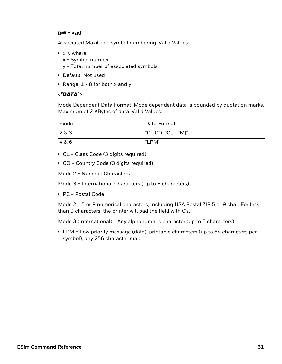#### *[p5 = x,y]*

Associated MaxiCode symbol numbering. Valid Values:

- $\bullet$  x, y where,
	- x = Symbol number
	- y = Total number of associated symbols
- Default: Not used
- Range:  $1 8$  for both x and y

#### *<"DATA">*

Mode Dependent Data Format. Mode dependent data is bounded by quotation marks. Maximum of 2 KBytes of data. Valid Values:

| I mode        | Data Format      |
|---------------|------------------|
| $\vert$ 2 & 3 | "CL,CO,PC[,LPM]" |
| 4&6           | "LPM"            |

- CL = Class Code (3 digits required)
- CO = Country Code (3 digits required)

Mode 2 = Numeric Characters

Mode 3 = International Characters (up to 6 characters)

 $\cdot$  PC = Postal Code

Mode 2 = 5 or 9 numerical characters, including USA Postal ZIP 5 or 9 char. For less than 9 characters, the printer will pad the field with 0's.

Mode 3 (International) = Any alphanumeric character (up to 6 characters)

• LPM = Low priority message (data). printable characters (up to 84 characters per symbol), any 256 character map.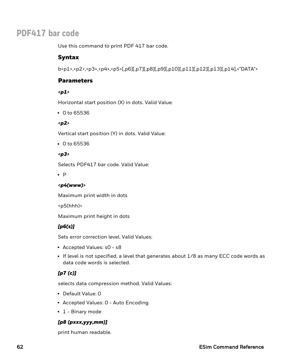# <span id="page-67-0"></span>**PDF417 bar code**

Use this command to print PDF 417 bar code.

# Syntax

b<p1>,<p2>,<p3>,<p4>,<p5>[,p6][,p7][,p8][,p9][,p10][,p11][,p12][,p13][,p14],<"DATA">

# **Parameters**

#### *<p1>*

Horizontal start position (X) in dots. Valid Value:

 $\cdot$  0 to 65536

### *<p2>*

Vertical start position (Y) in dots. Valid Value:

 $\cdot$  0 to 65536

### *<p3>*

Selects PDF417 bar code. Valid Value:

 $\bullet$  P

### *<p4(www)>*

Maximum print width in dots

<p5(hhh)>

Maximum print height in dots

# *[p6(s)]*

Sets error correction level. Valid Values:

- Accepted Values: s0 s8
- If level is not specified, a level that generates about 1/8 as many ECC code words as data code words is selected.

# *[p7 (c)]*

selects data compression method. Valid Values:

- Default Value: 0
- Accepted Values: 0 Auto Encoding
- $\cdot$  1 Binary mode

# *[p8 (pxxx,yyy,mm)]*

print human readable.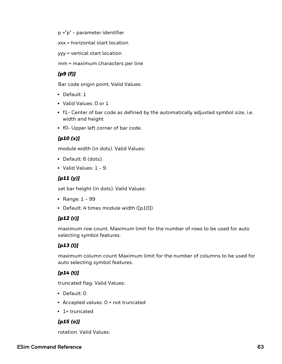p ="p" - parameter identifier

xxx = horizontal start location

yyy = vertical start location

mm = maximum characters per line

## *[p9 (f)]*

Bar code origin point. Valid Values:

- Default: 1
- Valid Values: 0 or 1
- f1- Center of bar code as defined by the automatically adjusted symbol size, i.e. width and height
- f0- Upper left corner of bar code.

### *[p10 (x)]*

module width (in dots). Valid Values:

- Default: 6 (dots).
- $\bullet$  Valid Values: 1 9.

### *[p11 (y)]*

set bar height (in dots). Valid Values:

- Range:  $1 99$
- Default: 4 times module width ([p10])

### *[p12 (r)]*

maximum row count. Maximum limit for the number of rows to be used for auto selecting symbol features.

### *[p13 (l)]*

maximum column count Maximum limit for the number of columns to be used for auto selecting symbol features.

# *[p14 (t)]*

truncated flag. Valid Values:

- Default: 0
- Accepted values:  $0 = not truncated$
- $\cdot$  1= truncated

### *[p15 (o)]*

rotation. Valid Values: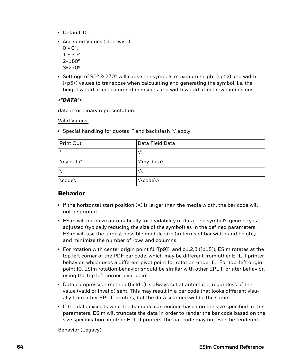- Default: 0
- Accepted Values (clockwise):
	- $0 = 0^{\circ}$ .  $1 = 90^{\circ}$ 2=180º 3=270º
- Settings of 90 $\degree$  & 270 $\degree$  will cause the symbols maximum height (<p4>) and width (<p5>) values to transpose when calculating and generating the symbol, i.e. the height would affect column dimensions and width would affect row dimensions.

#### *<"DATA">*

data in or binary representation.

Valid Values:

• Special handling for quotes "" and backslash '\' apply.

| Print Out | Data Field Data |
|-----------|-----------------|
|           | $\mathbf{u}$    |
| "my data" | \"my data\"     |
|           |                 |
| \code\    | \\code\\        |

# Behavior

- $\bullet$  If the horizontal start position (X) is larger than the media width, the bar code will not be printed.
- ESim will optimize automatically for readability of data. The symbol's geometry is adjusted (typically reducing the size of the symbol) as in the defined parameters. ESim will use the largest possible module size (in terms of bar width and height) and minimize the number of rows and columns.
- For rotation with center origin point f1 ([p9]), and o1,2,3 ([p15]), ESim rotates at the top left corner of the PDF bar code, which may be different from other EPL II printer behavior, which uses a different pivot point for rotation under f1. For top, left origin point f0, ESim rotation behavior should be similar with other EPL II printer behavior, using the top left corner pivot point.
- Data compression method (field c) is always set at automatic, regardless of the value (valid or invalid) sent. This may result in a bar code that looks different visually from other EPL II printers, but the data scanned will be the same.
- $\bullet$  If the data exceeds what the bar code can encode based on the size specified in the parameters, ESim will truncate the data in order to render the bar code based on the size specification, in other EPL II printers, the bar code may not even be rendered.

Behavior (Legacy)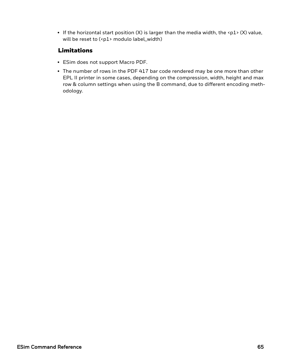If the horizontal start position  $(X)$  is larger than the media width, the <p1>  $(X)$  value, will be reset to (<p1> modulo label\_width)

# Limitations

- ESim does not support Macro PDF.
- The number of rows in the PDF 417 bar code rendered may be one more than other EPL II printer in some cases, depending on the compression, width, height and max row & column settings when using the B command, due to different encoding methodology.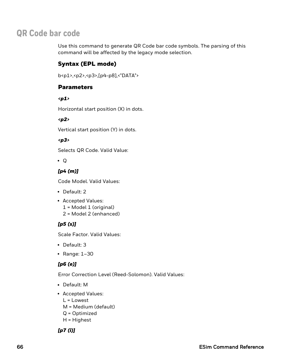# <span id="page-71-0"></span>**QR Code bar code**

Use this command to generate QR Code bar code symbols. The parsing of this command will be affected by the legacy mode selection.

# Syntax (EPL mode)

b<p1>,<p2>,<p3>,[p4-p8],<"DATA">

## **Parameters**

*<p1>*

Horizontal start position (X) in dots.

#### *<p2>*

Vertical start position (Y) in dots.

#### *<p3>*

Selects QR Code. Valid Value:

 $\bullet$  Q

## *[p4 (m)]*

Code Model. Valid Values:

- Default: 2
- Accepted Values:
	- 1 = Model 1 (original)
	- 2 = Model 2 (enhanced)

### *[p5 (s)]*

Scale Factor. Valid Values:

- Default: 3
- Range:  $1-30$

# *[p6 (e)]*

Error Correction Level (Reed-Solomon). Valid Values:

- Default: M
- Accepted Values: L = Lowest M = Medium (default)
	-
	- Q = Optimized H = Highest

### *[p7 (i)]*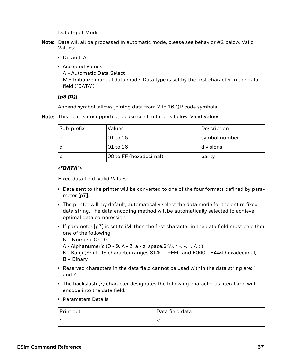Data Input Mode

- Note: Data will all be processed in automatic mode, please see behavior #2 below. Valid Values:
	- Default: A
	- Accepted Values: A = Automatic Data Select M = Initialize manual data mode. Data type is set by the first character in the data field ("DATA").

#### *[p8 (D)]*

Append symbol, allows joining data from 2 to 16 QR code symbols

| Note: This field is unsupported, please see limitations below. Valid Values: |
|------------------------------------------------------------------------------|
|------------------------------------------------------------------------------|

| Sub-prefix | Values                 | Description   |
|------------|------------------------|---------------|
|            | 01 to 16               | symbol number |
|            | 01 to 16               | divisions     |
|            | 00 to FF (hexadecimal) | parity        |

#### *<"DATA">*

Fixed data field. Valid Values:

- Data sent to the printer will be converted to one of the four formats defined by parameter [p7].
- The printer will, by default, automatically select the data mode for the entire fixed data string. The data encoding method will be automatically selected to achieve optimal data compression.
- If parameter  $[p7]$  is set to iM, then the first character in the data field must be either one of the following:
	- N Numeric (0 9)
	- A Alphanumeric (0 9, A Z, a z, space, \$,%,  $*,-$ , ,  $/$ , : )
	- K Kanji (Shift JIS character ranges 8140 9FFC and E040 EAA4 hexadecimal) B – Binary
- Reserved characters in the data field cannot be used within the data string are: " and  $\angle$ .
- The backslash  $(\nabla)$  character designates the following character as literal and will encode into the data field.
- Parameters Details

| Print out | Data field data |
|-----------|-----------------|
| ш         | - 11            |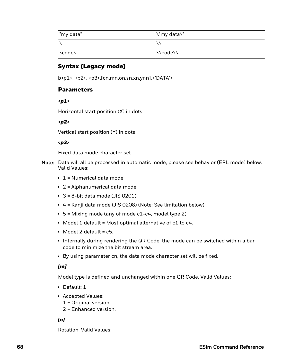| l"my data" | \"my data\"             |
|------------|-------------------------|
|            |                         |
| \code\     | $\bigwedge$ $\bigwedge$ |

## Syntax (Legacy mode)

b<p1>, <p2>, <p3>,[cn,mn,on,sn,xn,ynn],<"DATA">

## **Parameters**

*<p1>*

Horizontal start position (X) in dots

*<p2>*

Vertical start position (Y) in dots

*<p3>*

Fixed data mode character set.

- Note: Data will all be processed in automatic mode, please see behavior (EPL mode) below. Valid Values:
	- $\cdot$  1 = Numerical data mode
	- $\cdot$  2 = Alphanumerical data mode
	- $\cdot$  3 = 8-bit data mode (JIS 0201)
	- 4 = Kanji data mode (JIS 0208) (Note: See limitation below)
	- $\bullet$  5 = Mixing mode (any of mode c1-c4, model type 2)
	- Model 1 default = Most optimal alternative of c1 to c4.
	- $\bullet$  Model 2 default = c5.
	- Internally during rendering the QR Code, the mode can be switched within a bar code to minimize the bit stream area.
	- By using parameter cn, the data mode character set will be fixed.

#### *[m]*

Model type is defined and unchanged within one QR Code. Valid Values:

- $\bullet$  Default: 1
- Accepted Values:
	- 1 = Original version
	- 2 = Enhanced version.

## *[o]*

Rotation. Valid Values: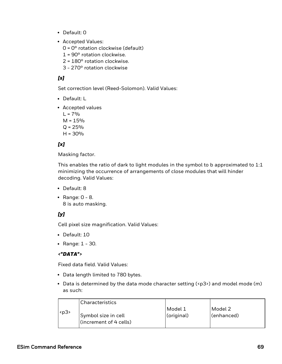- Default: 0
- Accepted Values:
	- $0 = 0^\circ$  rotation clockwise (default)
	- 1 = 90° rotation clockwise.
	- 2 = 180° rotation clockwise.
	- 3 270° rotation clockwise

## *[s]*

Set correction level (Reed-Solomon). Valid Values:

- Default: L
- Accepted values

 $L = 7%$  $M = 15%$  $Q = 25%$ 

 $H = 30%$ 

## *[x]*

Masking factor.

This enables the ratio of dark to light modules in the symbol to b approximated to 1:1 minimizing the occurrence of arrangements of close modules that will hinder decoding. Valid Values:

- Default: 8
- Range:  $0 8$ . 8 is auto masking.

## *[y]*

Cell pixel size magnification. Valid Values:

- Default: 10
- Range:  $1 30$ .

#### *<"DATA">*

Fixed data field. Valid Values:

- Data length limited to 780 bytes.
- Data is determined by the data mode character setting  $\langle \langle p3 \rangle$  and model mode (m) as such:

|      | <b>Characteristics</b>               |            |            |
|------|--------------------------------------|------------|------------|
| $p3$ |                                      | Model 1    | Model 2    |
|      | Symbol size in cell                  | (original) | (enhanced) |
|      | $\left\lvert$ (increment of 4 cells) |            |            |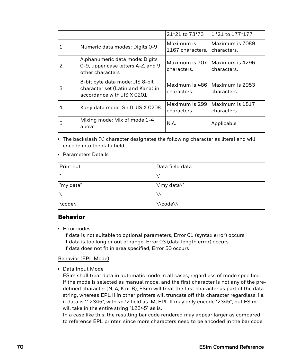|   |                                                                                                    | 21*21 to 73*73                 | 1 <sup>*</sup> 21 to 177*177   |
|---|----------------------------------------------------------------------------------------------------|--------------------------------|--------------------------------|
| 1 | Numeric data modes: Digits 0-9                                                                     | Maximum is<br>1167 characters. | Maximum is 7089<br>characters. |
| 2 | Alphanumeric data mode: Digits<br>0-9, upper case letters A-Z, and 9<br>other characters           | Maximum is 707<br>characters.  | Maximum is 4296<br>characters. |
| 3 | 8-bit byte data mode: JIS 8-bit<br>character set (Latin and Kana) in<br>accordance with JIS X 0201 | Maximum is 486<br>characters.  | Maximum is 2953<br>characters. |
| 4 | Kanji data mode: Shift JIS X 0208                                                                  | Maximum is 299<br>characters.  | Maximum is 1817<br>characters. |
| 5 | Mixing mode: Mix of mode 1-4<br>above                                                              | N.A.                           | Applicable                     |

- The backslash (\) character designates the following character as literal and will encode into the data field.
- Parameters Details

| Print out | Data field data |
|-----------|-----------------|
| lш        | - 8             |
| "my data" | \"my data\"     |
|           |                 |
| \code\    | \\code\\        |

#### Behavior

• Error codes

If data is not suitable to optional parameters, Error 01 (syntax error) occurs. If data is too long or out of range, Error 03 (data length error) occurs. If data does not fit in area specified, Error 50 occurs

#### Behavior (EPL Mode)

• Data Input Mode

ESim shall treat data in automatic mode in all cases, regardless of mode specified. If the mode is selected as manual mode, and the first character is not any of the predefined character (N, A, K or B), ESim will treat the first character as part of the data string, whereas EPL II in other printers will truncate off this character regardless. i.e. if data is "12345", with <p7> field as iM, EPL II may only encode "2345", but ESim will take in the entire string "12345" as is.

In a case like this, the resulting bar code rendered may appear larger as compared to reference EPL printer, since more characters need to be encoded in the bar code.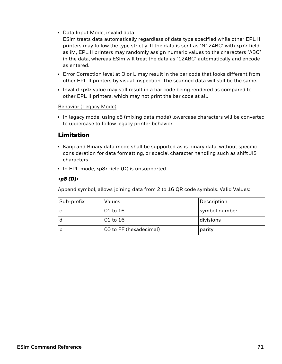• Data Input Mode, invalid data

ESim treats data automatically regardless of data type specified while other EPL II printers may follow the type strictly. If the data is sent as "N12ABC" with <p7> field as iM, EPL II printers may randomly assign numeric values to the characters "ABC" in the data, whereas ESim will treat the data as "12ABC" automatically and encode as entered.

- Error Correction level at Q or L may result in the bar code that looks different from other EPL II printers by visual inspection. The scanned data will still be the same.
- Invalid <p4> value may still result in a bar code being rendered as compared to other EPL II printers, which may not print the bar code at all.

#### Behavior (Legacy Mode)

• In legacy mode, using c5 (mixing data mode) lowercase characters will be converted to uppercase to follow legacy printer behavior.

## Limitation

- Kanji and Binary data mode shall be supported as is binary data, without specific consideration for data formatting, or special character handling such as shift JIS characters.
- $\cdot$  In EPL mode, <p8> field (D) is unsupported.

#### *<p8 (D)>*

Append symbol, allows joining data from 2 to 16 QR code symbols. Valid Values:

| Sub-prefix | Values                 | Description   |
|------------|------------------------|---------------|
| ١c         | 01 to 16               | symbol number |
| l d        | 01 to 16               | divisions     |
| ١p         | 00 to FF (hexadecimal) | parity        |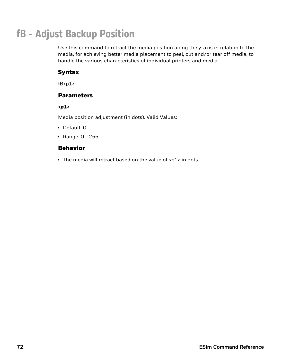# **fB - Adjust Backup Position**

Use this command to retract the media position along the y-axis in relation to the media, for achieving better media placement to peel, cut and/or tear off media, to handle the various characteristics of individual printers and media.

## Syntax

 $fB < p1$ 

## **Parameters**

*<p1>*

Media position adjustment (in dots). Valid Values:

- Default: 0
- Range:  $0 255$

## Behavior

• The media will retract based on the value of  $\langle p1 \rangle$  in dots.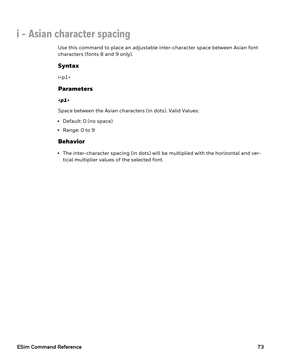# **i - Asian character spacing**

Use this command to place an adjustable inter-character space between Asian font characters (fonts 8 and 9 only).

## Syntax

 $i$ 

## **Parameters**

*<p1>*

Space between the Asian characters (in dots). Valid Values:

- Default: 0 (no space)
- Range:  $0$  to  $9$

## Behavior

• The inter-character spacing (in dots) will be multiplied with the horizontal and vertical multiplier values of the selected font.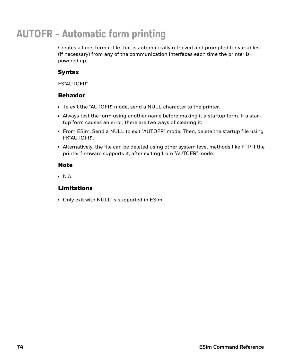# **AUTOFR - Automatic form printing**

Creates a label format file that is automatically retrieved and prompted for variables (if necessary) from any of the communication interfaces each time the printer is powered up.

## Syntax

FS"AUTOFR"

## Behavior

- To exit the "AUTOFR" mode, send a NULL character to the printer.
- Always test the form using another name before making it a startup form. If a startup form causes an error, there are two ways of clearing it:
- From ESim, Send a NULL to exit "AUTOFR" mode. Then, delete the startup file using FK"AUTOFR".
- Alternatively, the file can be deleted using other system level methods like FTP if the printer firmware supports it, after exiting from "AUTOFR" mode.

## **Note**

 $\cdot$  N.A.

## Limitations

• Only exit with NULL is supported in ESim.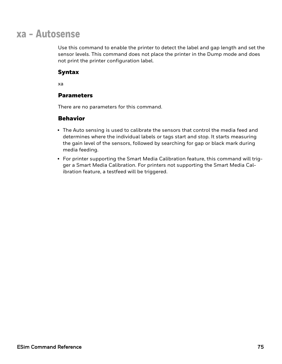## **xa - Autosense**

Use this command to enable the printer to detect the label and gap length and set the sensor levels. This command does not place the printer in the Dump mode and does not print the printer configuration label.

## Syntax

xa

## **Parameters**

There are no parameters for this command.

- The Auto sensing is used to calibrate the sensors that control the media feed and determines where the individual labels or tags start and stop. It starts measuring the gain level of the sensors, followed by searching for gap or black mark during media feeding.
- For printer supporting the Smart Media Calibration feature, this command will trigger a Smart Media Calibration. For printers not supporting the Smart Media Calibration feature, a testfeed will be triggered.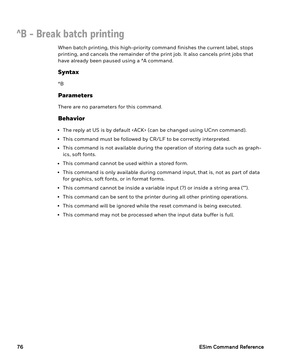# **^B - Break batch printing**

When batch printing, this high-priority command finishes the current label, stops printing, and cancels the remainder of the print job. It also cancels print jobs that have already been paused using a ^A command.

## Syntax

^B

## **Parameters**

There are no parameters for this command.

- The reply at US is by default <ACK> (can be changed using UCnn command).
- This command must be followed by CR/LF to be correctly interpreted.
- This command is not available during the operation of storing data such as graphics, soft fonts.
- This command cannot be used within a stored form.
- This command is only available during command input, that is, not as part of data for graphics, soft fonts, or in format forms.
- This command cannot be inside a variable input  $(?)$  or inside a string area ("").
- This command can be sent to the printer during all other printing operations.
- This command will be ignored while the reset command is being executed.
- This command may not be processed when the input data buffer is full.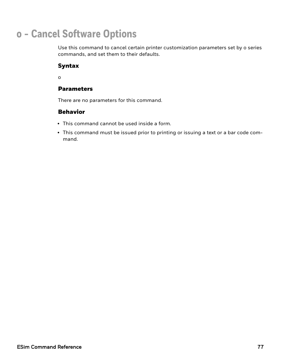## **o - Cancel Software Options**

Use this command to cancel certain printer customization parameters set by o series commands, and set them to their defaults.

## Syntax

o

## **Parameters**

There are no parameters for this command.

- This command cannot be used inside a form.
- This command must be issued prior to printing or issuing a text or a bar code command.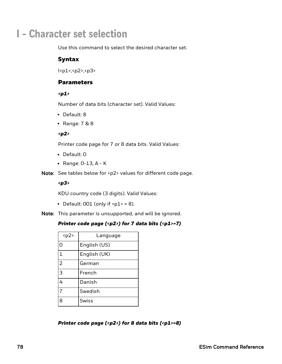## **I - Character set selection**

Use this command to select the desired character set.

## Syntax

I<p1>,<p2>,<p3>

#### **Parameters**

#### *<p1>*

Number of data bits (character set). Valid Values:

- Default: 8
- Range:  $7 & 8 & 8$

#### *<p2>*

Printer code page for 7 or 8 data bits. Valid Values:

- Default: 0
- $\bullet$  Range: 0-13, A K

Note: See tables below for <p2> values for different code page.

*<p3>*

KDU country code (3 digits). Valid Values:

• Default: 001 (only if  $[p1]$  = 8).

Note: This parameter is unsupported, and will be ignored.

#### *Printer code page (<p2>) for 7 data bits (<p1>=7)*

| $p2$           | Language     |
|----------------|--------------|
| O              | English (US) |
| 1              | English (UK) |
| $\overline{2}$ | German       |
| 3              | French       |
| 4              | Danish       |
| 7              | Swedish      |
| 8              | <b>Swiss</b> |

*Printer code page (<p2>) for 8 data bits (<p1>=8)*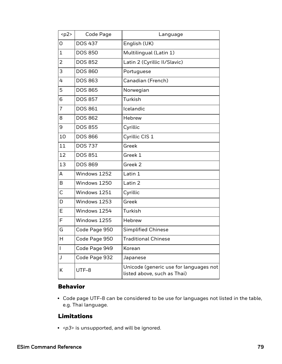| $p2$           | Code Page      | Language                                                              |
|----------------|----------------|-----------------------------------------------------------------------|
| 0              | <b>DOS 437</b> | English (UK)                                                          |
| $\mathbf 1$    | <b>DOS 850</b> | Multilingual (Latin 1)                                                |
| 2              | <b>DOS 852</b> | Latin 2 (Cyrillic II/Slavic)                                          |
| 3              | <b>DOS 860</b> | Portuguese                                                            |
| 4              | <b>DOS 863</b> | Canadian (French)                                                     |
| 5              | <b>DOS 865</b> | Norwegian                                                             |
| 6              | <b>DOS 857</b> | Turkish                                                               |
| $\overline{7}$ | <b>DOS 861</b> | Icelandic                                                             |
| 8              | <b>DOS 862</b> | <b>Hebrew</b>                                                         |
| 9              | <b>DOS 855</b> | Cyrillic                                                              |
| 10             | <b>DOS 866</b> | Cyrillic CIS 1                                                        |
| 11             | <b>DOS 737</b> | Greek                                                                 |
| 12             | <b>DOS 851</b> | Greek 1                                                               |
| 13             | <b>DOS 869</b> | Greek 2                                                               |
| А              | Windows 1252   | Latin 1                                                               |
| B              | Windows 1250   | Latin 2                                                               |
| C              | Windows 1251   | Cyrillic                                                              |
| D              | Windows 1253   | Greek                                                                 |
| E              | Windows 1254   | Turkish                                                               |
| F              | Windows 1255   | Hebrew                                                                |
| G              | Code Page 950  | <b>Simplified Chinese</b>                                             |
| Η              | Code Page 950  | <b>Traditional Chinese</b>                                            |
| L              | Code Page 949  | Korean                                                                |
| J              | Code Page 932  | Japanese                                                              |
| Κ              | UTF-8          | Unicode (generic use for languages not<br>listed above, such as Thai) |

## Behavior

• Code page UTF-8 can be considered to be use for languages not listed in the table, e.g. Thai language.

## Limitations

<sup>l</sup> *<p3>* is unsupported, and will be ignored.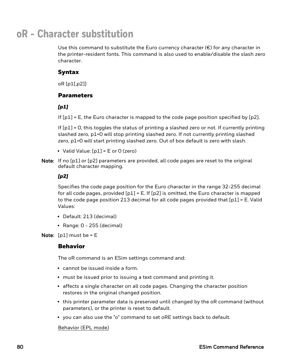## **oR - Character substitution**

Use this command to substitute the Euro currency character  $(\epsilon)$  for any character in the printer-resident fonts. This command is also used to enable/disable the slash zero character.

## Syntax

oR [p1[,p2]]

## **Parameters**

#### *[p1]*

If  $[p1] = E$ , the Euro character is mapped to the code page position specified by  $[p2]$ .

If [p1] = 0, this toggles the status of printing a slashed zero or not. If currently printing slashed zero, p1=0 will stop printing slashed zero. If not currently printing slashed zero, p1=0 will start printing slashed zero. Out of box default is zero with slash.

- Valid Value:  $[p1] = E$  or 0 (zero)
- Note: If no [p1] or [p2] parameters are provided, all code pages are reset to the original default character mapping.

#### *[p2]*

Specifies the code page position for the Euro character in the range 32-255 decimal for all code pages, provided  $[p1] = E$ . If  $[p2]$  is omitted, the Euro character is mapped to the code page position 213 decimal for all code pages provided that [p1] = E. Valid Values:

- Default: 213 (decimal)
- $\cdot$  Range: 0 255 (decimal)

Note:  $[p1]$  must be =  $E$ 

## Behavior

The oR command is an ESim settings command and:

- cannot be issued inside a form.
- must be issued prior to issuing a text command and printing it.
- affects a single character on all code pages. Changing the character position restores in the original changed position.
- this printer parameter data is preserved until changed by the oR command (without parameters), or the printer is reset to default.
- you can also use the "o" command to set oRE settings back to default.

#### Behavior (EPL mode)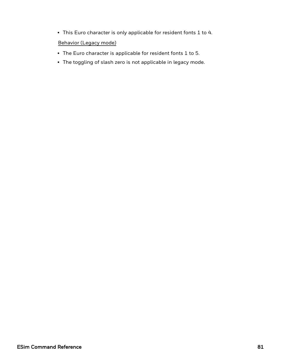• This Euro character is only applicable for resident fonts 1 to 4.

Behavior (Legacy mode)

- The Euro character is applicable for resident fonts 1 to 5.
- The toggling of slash zero is not applicable in legacy mode.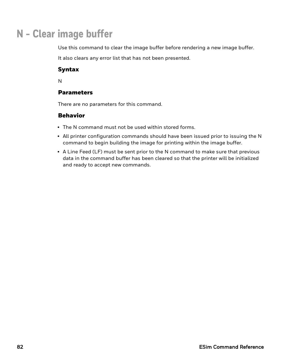## **N - Clear image buffer**

Use this command to clear the image buffer before rendering a new image buffer.

It also clears any error list that has not been presented.

## Syntax

N

## Parameters

There are no parameters for this command.

- The N command must not be used within stored forms.
- All printer configuration commands should have been issued prior to issuing the N command to begin building the image for printing within the image buffer.
- A Line Feed (LF) must be sent prior to the N command to make sure that previous data in the command buffer has been cleared so that the printer will be initialized and ready to accept new commands.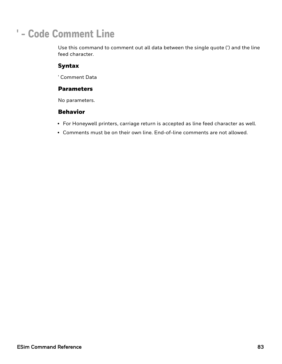# **' - Code Comment Line**

Use this command to comment out all data between the single quote (') and the line feed character.

## Syntax

' Comment Data

### **Parameters**

No parameters.

- For Honeywell printers, carriage return is accepted as line feed character as well.
- Comments must be on their own line. End-of-line comments are not allowed.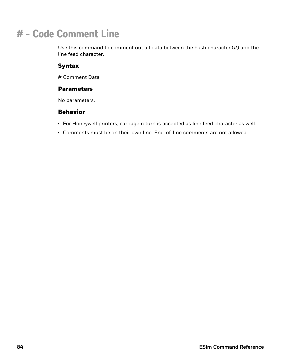# **# - Code Comment Line**

Use this command to comment out all data between the hash character (#) and the line feed character.

## Syntax

# Comment Data

### **Parameters**

No parameters.

- For Honeywell printers, carriage return is accepted as line feed character as well.
- Comments must be on their own line. End-of-line comments are not allowed.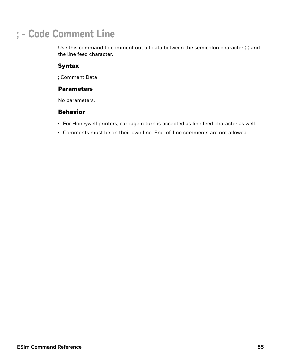# **; - Code Comment Line**

Use this command to comment out all data between the semicolon character (;) and the line feed character.

## Syntax

; Comment Data

## **Parameters**

No parameters.

- For Honeywell printers, carriage return is accepted as line feed character as well.
- Comments must be on their own line. End-of-line comments are not allowed.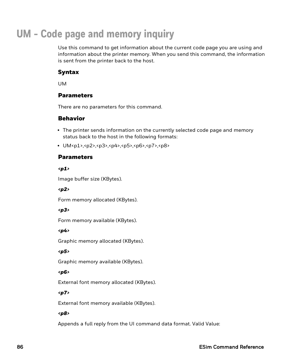# **UM - Code page and memory inquiry**

Use this command to get information about the current code page you are using and information about the printer memory. When you send this command, the information is sent from the printer back to the host.

## Syntax

UM

## Parameters

There are no parameters for this command.

## Behavior

- The printer sends information on the currently selected code page and memory status back to the host in the following formats:
- <sup>l</sup> UM<p1>,<p2>,<p3>,<p4>,<p5>,<p6>,<p7>,<p8>

#### Parameters

*<p1>*

Image buffer size (KBytes).

#### *<p2>*

Form memory allocated (KBytes).

#### *<p3>*

Form memory available (KBytes).

#### *<p4>*

Graphic memory allocated (KBytes).

#### *<p5>*

Graphic memory available (KBytes).

#### *<p6>*

External font memory allocated (KBytes).

#### *<p7>*

External font memory available (KBytes).

#### *<p8>*

Appends a full reply from the UI command data format. Valid Value: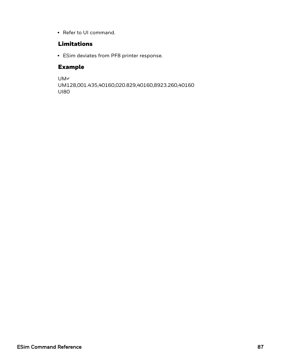• Refer to UI command.

## Limitations

• ESim deviates from PF8 printer response.

## Example

UM↵ UM128,001.435,40160,020.829,40160,8923.260,40160 UI80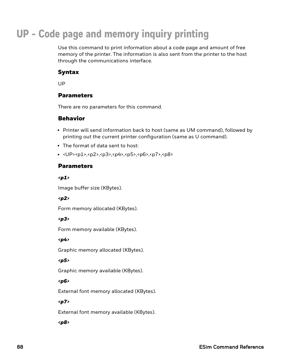# **UP - Code page and memory inquiry printing**

Use this command to print information about a code page and amount of free memory of the printer. The information is also sent from the printer to the host through the communications interface.

## Syntax

UP

## Parameters

There are no parameters for this command.

## Behavior

- Printer will send information back to host (same as UM command), followed by printing out the current printer configuration (same as U command).
- The format of data sent to host:
- <sup>l</sup> <UP><p1>,<p2>,<p3>,<p4>,<p5>,<p6>,<p7>,<p8>

## Parameters

*<p1>*

Image buffer size (KBytes).

#### *<p2>*

Form memory allocated (KBytes).

#### *<p3>*

Form memory available (KBytes).

*<p4>*

Graphic memory allocated (KBytes).

#### *<p5>*

Graphic memory available (KBytes).

#### *<p6>*

External font memory allocated (KBytes).

#### *<p7>*

External font memory available (KBytes).

#### *<p8>*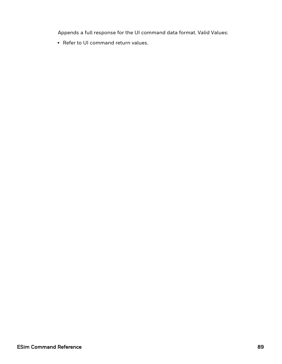Appends a full response for the UI command data format. Valid Values:

• Refer to UI command return values.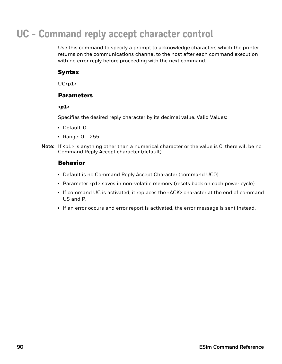# **UC - Command reply accept character control**

Use this command to specify a prompt to acknowledge characters which the printer returns on the communications channel to the host after each command execution with no error reply before proceeding with the next command.

## Syntax

 $UC<sub>p1</sub>$ 

## **Parameters**

*<p1>*

Specifies the desired reply character by its decimal value. Valid Values:

- $\cdot$  Default: 0
- Range:  $0 255$
- Note: If  $\langle p1 \rangle$  is anything other than a numerical character or the value is 0, there will be no Command Reply Accept character (default).

- Default is no Command Reply Accept Character (command UC0).
- Parameter <p1> saves in non-volatile memory (resets back on each power cycle).
- If command UC is activated, it replaces the <ACK> character at the end of command US and P.
- If an error occurs and error report is activated, the error message is sent instead.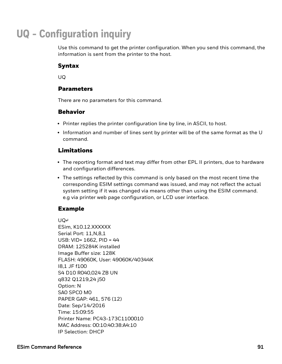# **UQ - Configuration inquiry**

Use this command to get the printer configuration. When you send this command, the information is sent from the printer to the host.

## Syntax

UQ

## Parameters

There are no parameters for this command.

## Behavior

- Printer replies the printer configuration line by line, in ASCII, to host.
- $\cdot$  Information and number of lines sent by printer will be of the same format as the U command.

## Limitations

- The reporting format and text may differ from other EPL II printers, due to hardware and configuration differences.
- The settings reflected by this command is only based on the most recent time the corresponding ESIM settings command was issued, and may not reflect the actual system setting if it was changed via means other than using the ESIM command. e.g via printer web page configuration, or LCD user interface.

## Example

UQ↵

ESim, K10.12.XXXXXX Serial Port: 11,N,8,1 USB: VID= 1662, PID = 44 DRAM: 125284K installed Image Buffer size: 128K FLASH: 49060K, User: 49060K/40344K I8,1 JF f100 S4 D10 R040,024 ZB UN q832 Q1219,24 j50 Option: N SA0 SPC0 M0 PAPER GAP: 461, 576 (12) Date: Sep/14/2016 Time: 15:09:55 Printer Name: PC43-173C1100010 MAC Address: 00:10:40:38:A4:10 IP Selection: DHCP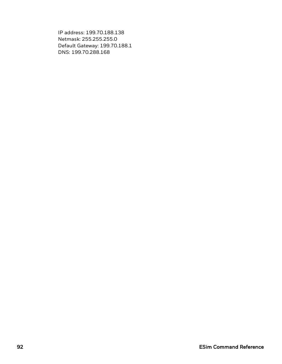IP address: 199.70.188.138 Netmask: 255.255.255.0 Default Gateway: 199.70.188.1 DNS: 199.70.288.168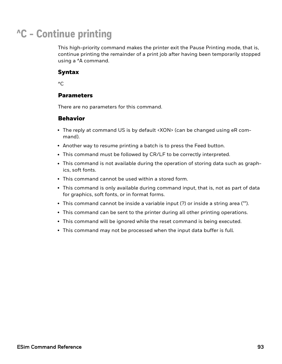# **^C - Continue printing**

This high-priority command makes the printer exit the Pause Printing mode, that is, continue printing the remainder of a print job after having been temporarily stopped using a ^A command.

### Syntax

 $^{\wedge}$ C

## **Parameters**

There are no parameters for this command.

- The reply at command US is by default <XON> (can be changed using eR command).
- Another way to resume printing a batch is to press the Feed button.
- This command must be followed by CR/LF to be correctly interpreted.
- This command is not available during the operation of storing data such as graphics, soft fonts.
- This command cannot be used within a stored form.
- This command is only available during command input, that is, not as part of data for graphics, soft fonts, or in format forms.
- This command cannot be inside a variable input (?) or inside a string area ("").
- This command can be sent to the printer during all other printing operations.
- This command will be ignored while the reset command is being executed.
- This command may not be processed when the input data buffer is full.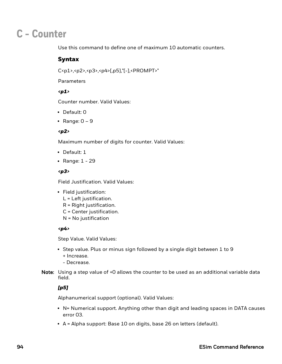## **C - Counter**

Use this command to define one of maximum 10 automatic counters.

## Syntax

C<p1>,<p2>,<p3>,<p4>[,p5],"[-],<PROMPT>"

Parameters

#### *<p1>*

Counter number. Valid Values:

- Default: 0
- Range:  $0 9$

#### *<p2>*

Maximum number of digits for counter. Valid Values:

- $\bullet$  Default: 1
- Range:  $1 29$

#### *<p3>*

Field Justification. Valid Values:

- Field justification:
	- L = Left justification.
	- R = Right justification.
	- C = Center justification.
	- N = No justification

#### *<p4>*

Step Value. Valid Values:

- Step value. Plus or minus sign followed by a single digit between 1 to 9 + Increase.
	- Decrease.
- Note: Using a step value of +0 allows the counter to be used as an additional variable data field.

## *[p5]*

Alphanumerical support (optional). Valid Values:

- N= Numerical support. Anything other than digit and leading spaces in DATA causes error 03.
- $\bullet$  A = Alpha support: Base 10 on digits, base 26 on letters (default).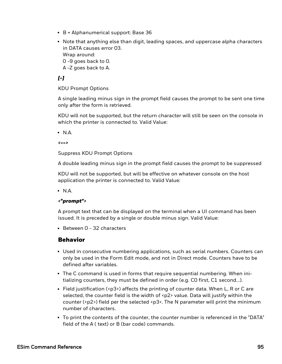- $\bullet$  B = Alphanumerical support: Base 36
- Note that anything else than digit, leading spaces, and uppercase alpha characters in DATA causes error 03.

Wrap around:

- 0 -9 goes back to 0.
- A -Z goes back to A.

## *[-]*

KDU Prompt Options

A single leading minus sign in the prompt field causes the prompt to be sent one time only after the form is retrieved.

KDU will not be supported, but the return character will still be seen on the console in which the printer is connected to. Valid Value:

 $\cdot$  N.A.

*<-->*

Suppress KDU Prompt Options

A double leading minus sign in the prompt field causes the prompt to be suppressed

KDU will not be supported, but will be effective on whatever console on the host application the printer is connected to. Valid Value:

 $\cdot$  N.A.

#### *<"prompt">*

A prompt text that can be displayed on the terminal when a UI command has been issued. It is preceded by a single or double minus sign. Valid Value:

 $\cdot$  Between 0 - 32 characters

- Used in consecutive numbering applications, such as serial numbers. Counters can only be used in the Form Edit mode, and not in Direct mode. Counters have to be defined after variables.
- The C command is used in forms that require sequential numbering. When initializing counters, they must be defined in order (e.g. C0 first, C1 second...).
- Field justification (< $p3$ >) affects the printing of counter data. When L, R or C are selected, the counter field is the width of  $p2$  value. Data will justify within the counter ( $\langle p2\rangle$ ) field per the selected  $\langle p3\rangle$ . The N parameter will print the minimum number of characters.
- To print the contents of the counter, the counter number is referenced in the "DATA" field of the A ( text) or B (bar code) commands.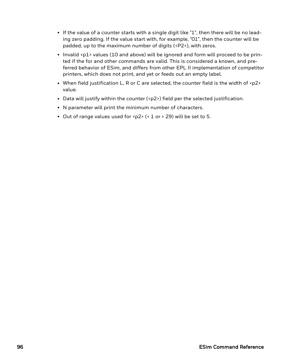- If the value of a counter starts with a single digit like "1", then there will be no leading zero padding. If the value start with, for example, "01", then the counter will be padded, up to the maximum number of digits (<P2>), with zeros.
- Invalid <p1> values (10 and above) will be ignored and form will proceed to be printed if the for and other commands are valid. This is considered a known, and preferred behavior of ESim, and differs from other EPL II implementation of competitor printers, which does not print, and yet or feeds out an empty label.
- When field justification L, R or C are selected, the counter field is the width of <p2> value.
- Data will justify within the counter (<p2>) field per the selected justification.
- N parameter will print the minimum number of characters.
- Out of range values used for <p2> (< 1 or > 29) will be set to 5.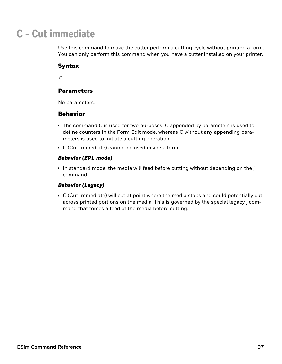## **C - Cut immediate**

Use this command to make the cutter perform a cutting cycle without printing a form. You can only perform this command when you have a cutter installed on your printer.

## Syntax

 $\mathsf{C}$ 

## Parameters

No parameters.

## Behavior

- The command C is used for two purposes. C appended by parameters is used to define counters in the Form Edit mode, whereas C without any appending parameters is used to initiate a cutting operation.
- C (Cut Immediate) cannot be used inside a form.

#### *Behavior (EPL mode)*

 $\cdot$  In standard mode, the media will feed before cutting without depending on the j command.

#### *Behavior (Legacy)*

• C (Cut Immediate) will cut at point where the media stops and could potentially cut across printed portions on the media. This is governed by the special legacy j command that forces a feed of the media before cutting.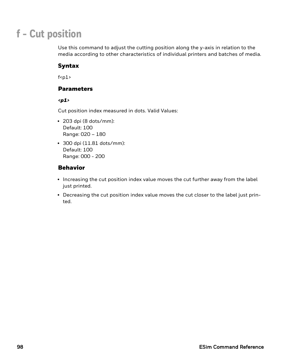## **f - Cut position**

Use this command to adjust the cutting position along the y-axis in relation to the media according to other characteristics of individual printers and batches of media.

## Syntax

 $f$  <p1>

## **Parameters**

*<p1>*

Cut position index measured in dots. Valid Values:

- $\cdot$  203 dpi (8 dots/mm): Default: 100 Range: 020 – 180
- $\cdot$  300 dpi (11.81 dots/mm): Default: 100 Range: 000 - 200

- Increasing the cut position index value moves the cut further away from the label just printed.
- Decreasing the cut position index value moves the cut closer to the label just printed.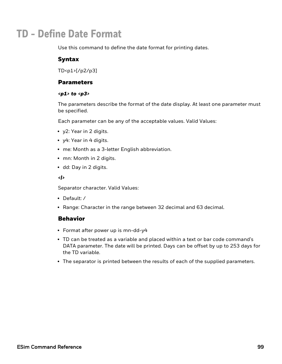## **TD - Define Date Format**

Use this command to define the date format for printing dates.

## Syntax

TD<p1>[/p2/p3]

#### Parameters

#### *<p1> to <p3>*

The parameters describe the format of the date display. At least one parameter must be specified.

Each parameter can be any of the acceptable values. Valid Values:

- y2: Year in 2 digits.
- y4: Year in 4 digits.
- me: Month as a 3-letter English abbreviation.
- mn: Month in 2 digits.
- dd: Day in 2 digits.

#### *<|>*

Separator character. Valid Values:

- Default: /
- Range: Character in the range between 32 decimal and 63 decimal.

- Format after power up is mn-dd-y4
- TD can be treated as a variable and placed within a text or bar code command's DATA parameter. The date will be printed. Days can be offset by up to 253 days for the TD variable.
- The separator is printed between the results of each of the supplied parameters.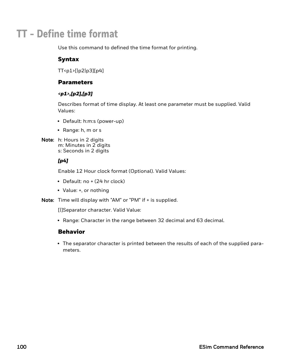## **TT - Define time format**

Use this command to defined the time format for printing.

## Syntax

TT<p1>[|p2|p3][p4]

### **Parameters**

#### *<p1>,[p2],[p3]*

Describes format of time display. At least one parameter must be supplied. Valid Values:

- Default: h:m:s (power-up)
- $\bullet$  Range: h, m or s
- Note: h: Hours in 2 digits m: Minutes in 2 digits s: Seconds in 2 digits

#### *[p4]*

Enable 12 Hour clock format (Optional). Valid Values:

- $\bullet$  Default: no  $+$  (24 hr clock)
- Value: +, or nothing

Note: Time will display with "AM" or "PM" if + is supplied.

[|]Separator character. Valid Value:

• Range: Character in the range between 32 decimal and 63 decimal.

## Behavior

• The separator character is printed between the results of each of the supplied parameters.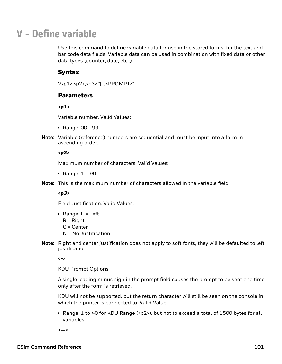## **V - Define variable**

Use this command to define variable data for use in the stored forms, for the text and bar code data fields. Variable data can be used in combination with fixed data or other data types (counter, date, etc..).

#### Syntax

V<p1>,<p2>,<p3>,"[-]<PROMPT>"

#### **Parameters**

*<p1>*

Variable number. Valid Values:

- Range: 00 99
- Note: Variable (reference) numbers are sequential and must be input into a form in ascending order.

#### *<p2>*

Maximum number of characters. Valid Values:

- Range:  $1 99$
- Note: This is the maximum number of characters allowed in the variable field

#### *<p3>*

Field Justification. Valid Values:

- Range:  $L = Left$ 
	- R = Right
	- C = Center
	- N = No Justification
- Note: Right and center justification does not apply to soft fonts, they will be defaulted to left justification.

*<->*

KDU Prompt Options

A single leading minus sign in the prompt field causes the prompt to be sent one time only after the form is retrieved.

KDU will not be supported, but the return character will still be seen on the console in which the printer is connected to. Valid Value:

• Range: 1 to 40 for KDU Range (<p2>), but not to exceed a total of 1500 bytes for all variables.

*<-->*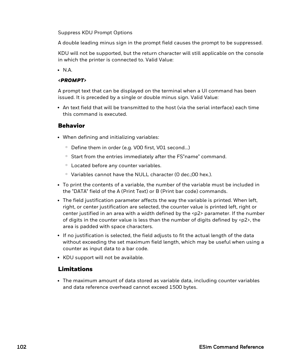#### Suppress KDU Prompt Options

A double leading minus sign in the prompt field causes the prompt to be suppressed.

KDU will not be supported, but the return character will still applicable on the console in which the printer is connected to. Valid Value:

 $\cdot$  N.A.

#### *<PROMPT>*

A prompt text that can be displayed on the terminal when a UI command has been issued. It is preceded by a single or double minus sign. Valid Value:

• An text field that will be transmitted to the host (via the serial interface) each time this command is executed.

#### Behavior

- When defining and initializing variables:
	- Define them in order (e.g. VOO first, VO1 second...)
	- <sup>o</sup> Start from the entries immediately after the FS"name" command.
	- $\circ$  Located before any counter variables.
	- Variables cannot have the NULL character (0 dec.;00 hex.).
- To print the contents of a variable, the number of the variable must be included in the "DATA" field of the A (Print Text) or B (Print bar code) commands.
- The field justification parameter affects the way the variable is printed. When left, right, or center justification are selected, the counter value is printed left, right or center justified in an area with a width defined by the  $\langle p^2 \rangle$  parameter. If the number of digits in the counter value is less than the number of digits defined by  $\langle p2 \rangle$ , the area is padded with space characters.
- If no justification is selected, the field adjusts to fit the actual length of the data without exceeding the set maximum field length, which may be useful when using a counter as input data to a bar code.
- KDU support will not be available.

## Limitations

• The maximum amount of data stored as variable data, including counter variables and data reference overhead cannot exceed 1500 bytes.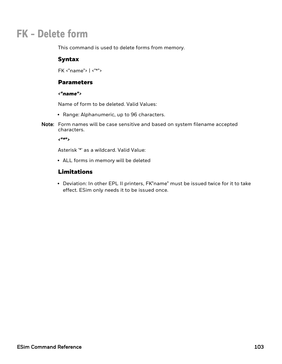# **FK - Delete form**

This command is used to delete forms from memory.

## Syntax

FK <"name"> | <"\*">

#### **Parameters**

#### *<"name">*

Name of form to be deleted. Valid Values:

- Range: Alphanumeric, up to 96 characters.
- Note: Form names will be case sensitive and based on system filename accepted characters.

*<"\*">*

Asterisk '\*' as a wildcard. Valid Value:

• ALL forms in memory will be deleted

## Limitations

• Deviation: In other EPL II printers, FK"name" must be issued twice for it to take effect. ESim only needs it to be issued once.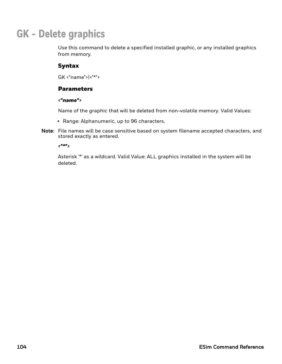# **GK - Delete graphics**

Use this command to delete a specified installed graphic, or any installed graphics from memory.

# Syntax

GK <"name">|<"\*">

## **Parameters**

#### *<"name">*

Name of the graphic that will be deleted from non-volatile memory. Valid Values:

- Range: Alphanumeric, up to 96 characters.
- Note: File names will be case sensitive based on system filename accepted characters, and stored exactly as entered.

*<"\*">*

Asterisk '\*' as a wildcard. Valid Value: ALL graphics installed in the system will be deleted.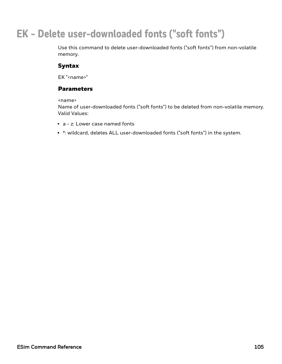# **EK - Delete user-downloaded fonts ("soft fonts")**

Use this command to delete user-downloaded fonts ("soft fonts") from non-volatile memory.

# Syntax

EK "<name>"

# Parameters

<name>

Name of user-downloaded fonts ("soft fonts") to be deleted from non-volatile memory. Valid Values:

- $\bullet$  a z: Lower case named fonts
- \*: wildcard, deletes ALL user-downloaded fonts ("soft fonts") in the system.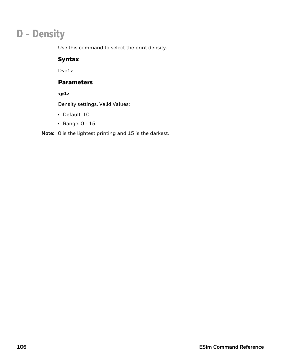# **D - Density**

Use this command to select the print density.

# Syntax

 $D < p1$ 

## Parameters

*<p1>*

Density settings. Valid Values:

- Default: 10
- Range:  $0 15$ .

Note: 0 is the lightest printing and 15 is the darkest.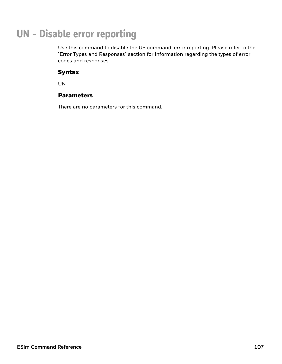# **UN - Disable error reporting**

Use this command to disable the US command, error reporting. Please refer to the "Error Types and Responses" section for information regarding the types of error codes and responses.

## Syntax

UN

# **Parameters**

There are no parameters for this command.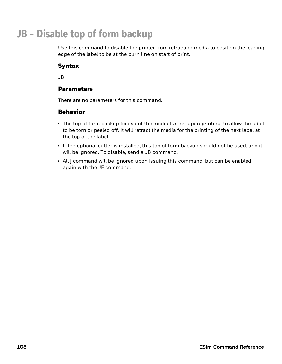# **JB - Disable top of form backup**

Use this command to disable the printer from retracting media to position the leading edge of the label to be at the burn line on start of print.

# Syntax

JB

## **Parameters**

There are no parameters for this command.

- The top of form backup feeds out the media further upon printing, to allow the label to be torn or peeled off. It will retract the media for the printing of the next label at the top of the label.
- If the optional cutter is installed, this top of form backup should not be used, and it will be ignored. To disable, send a JB command.
- All j command will be ignored upon issuing this command, but can be enabled again with the JF command.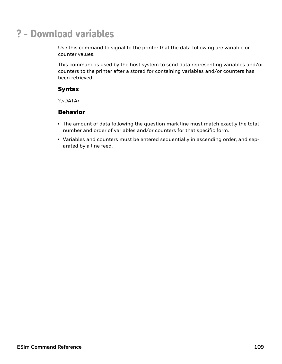# **? - Download variables**

Use this command to signal to the printer that the data following are variable or counter values.

This command is used by the host system to send data representing variables and/or counters to the printer after a stored for containing variables and/or counters has been retrieved.

## Syntax

?,<DATA>

- The amount of data following the question mark line must match exactly the total number and order of variables and/or counters for that specific form.
- Variables and counters must be entered sequentially in ascending order, and separated by a line feed.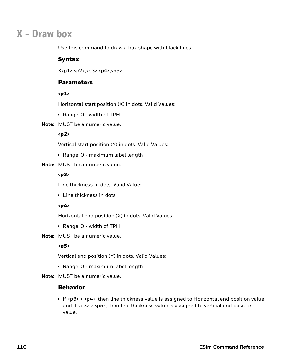# **X - Draw box**

Use this command to draw a box shape with black lines.

### Syntax

X<p1>,<p2>,<p3>,<p4>,<p5>

#### **Parameters**

#### *<p1>*

Horizontal start position (X) in dots. Valid Values:

• Range: 0 - width of TPH

#### Note: MUST be a numeric value.

#### *<p2>*

Vertical start position (Y) in dots. Valid Values:

- Range: 0 maximum label length
- Note: MUST be a numeric value.

#### *<p3>*

Line thickness in dots. Valid Value:

• Line thickness in dots.

#### *<p4>*

Horizontal end position (X) in dots. Valid Values:

- Range: 0 width of TPH
- Note: MUST be a numeric value.

#### *<p5>*

Vertical end position (Y) in dots. Valid Values:

- Range: 0 maximum label length
- Note: MUST be a numeric value.

#### Behavior

If <p3> > <p4>, then line thickness value is assigned to Horizontal end position value and if  $\langle p3 \rangle$  >  $\langle p5 \rangle$ , then line thickness value is assigned to vertical end position value.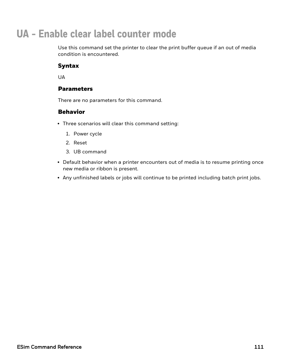# **UA - Enable clear label counter mode**

Use this command set the printer to clear the print buffer queue if an out of media condition is encountered.

# Syntax

**UA** 

### **Parameters**

There are no parameters for this command.

- Three scenarios will clear this command setting:
	- 1. Power cycle
	- 2. Reset
	- 3. UB command
- Default behavior when a printer encounters out of media is to resume printing once new media or ribbon is present.
- Any unfinished labels or jobs will continue to be printed including batch print jobs.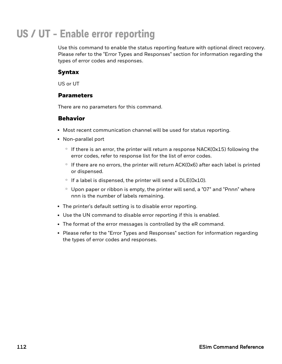# **US / UT - Enable error reporting**

Use this command to enable the status reporting feature with optional direct recovery. Please refer to the "Error Types and Responses" section for information regarding the types of error codes and responses.

## Syntax

US or UT

## **Parameters**

There are no parameters for this command.

- Most recent communication channel will be used for status reporting.
- Non-parallel port
	- $\circ$  If there is an error, the printer will return a response NACK( $0x15$ ) following the error codes, refer to response list for the list of error codes.
	- $\degree$  If there are no errors, the printer will return ACK( $Ox6$ ) after each label is printed or dispensed.
	- $\circ$  If a label is dispensed, the printer will send a DLE(0x10).
	- $\degree$  Upon paper or ribbon is empty, the printer will send, a "07" and "Pnnn" where nnn is the number of labels remaining.
- The printer's default setting is to disable error reporting.
- Use the UN command to disable error reporting if this is enabled.
- The format of the error messages is controlled by the eR command.
- Please refer to the "Error Types and Responses" section for information regarding the types of error codes and responses.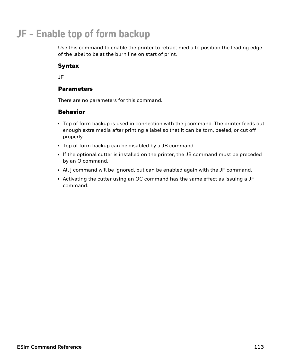# **JF - Enable top of form backup**

Use this command to enable the printer to retract media to position the leading edge of the label to be at the burn line on start of print.

# Syntax

JF

## **Parameters**

There are no parameters for this command.

- Top of form backup is used in connection with the j command. The printer feeds out enough extra media after printing a label so that it can be torn, peeled, or cut off properly.
- Top of form backup can be disabled by a JB command.
- If the optional cutter is installed on the printer, the JB command must be preceded by an O command.
- All j command will be ignored, but can be enabled again with the JF command.
- Activating the cutter using an OC command has the same effect as issuing a JF command.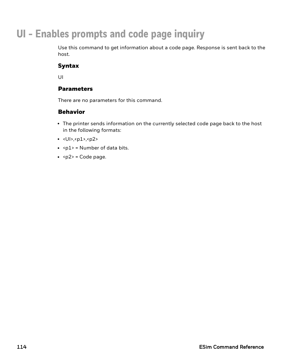# **UI - Enables prompts and code page inquiry**

Use this command to get information about a code page. Response is sent back to the host.

# Syntax

UI

## **Parameters**

There are no parameters for this command.

- The printer sends information on the currently selected code page back to the host in the following formats:
- $\cdot$  <UI>, <p1>, <p2>
- $\cdot$  <p1> = Number of data bits.
- $\cdot$  <p2> = Code page.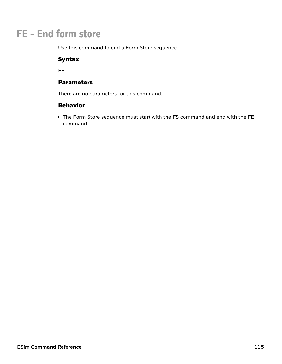# **FE - End form store**

Use this command to end a Form Store sequence.

## Syntax

FE

### Parameters

There are no parameters for this command.

## Behavior

• The Form Store sequence must start with the FS command and end with the FE command.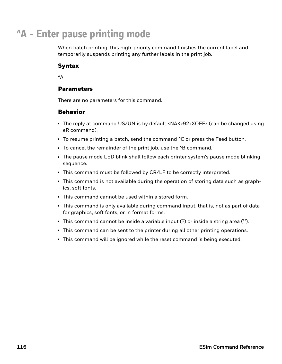# **^A - Enter pause printing mode**

When batch printing, this high-priority command finishes the current label and temporarily suspends printing any further labels in the print job.

# Syntax

 $^{\wedge}$  $\Delta$ 

### **Parameters**

There are no parameters for this command.

- The reply at command US/UN is by default <NAK>92<XOFF> (can be changed using eR command).
- To resume printing a batch, send the command <sup>^</sup>C or press the Feed button.
- To cancel the remainder of the print job, use the ^B command.
- The pause mode LED blink shall follow each printer system's pause mode blinking sequence.
- This command must be followed by CR/LF to be correctly interpreted.
- This command is not available during the operation of storing data such as graphics, soft fonts.
- This command cannot be used within a stored form.
- This command is only available during command input, that is, not as part of data for graphics, soft fonts, or in format forms.
- This command cannot be inside a variable input (?) or inside a string area ("").
- This command can be sent to the printer during all other printing operations.
- This command will be ignored while the reset command is being executed.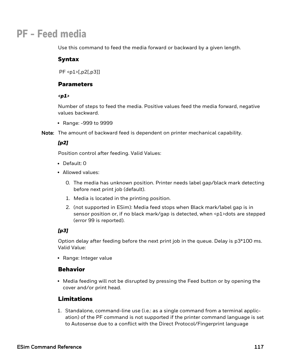# **PF - Feed media**

Use this command to feed the media forward or backward by a given length.

### Syntax

PF <p1>[,p2[,p3]]

### **Parameters**

#### *<p1>*

Number of steps to feed the media. Positive values feed the media forward, negative values backward.

• Range: -999 to 9999

Note: The amount of backward feed is dependent on printer mechanical capability.

#### *[p2]*

Position control after feeding. Valid Values:

- Default: 0
- Allowed values:
	- 0. The media has unknown position. Printer needs label gap/black mark detecting before next print job (default).
	- 1. Media is located in the printing position.
	- 2. (not supported in ESim): Media feed stops when Black mark/label gap is in sensor position or, if no black mark/gap is detected, when <p1>dots are stepped (error 99 is reported).

### *[p3]*

Option delay after feeding before the next print job in the queue. Delay is p3\*100 ms. Valid Value:

• Range: Integer value

### Behavior

• Media feeding will not be disrupted by pressing the Feed button or by opening the cover and/or print head.

# Limitations

1. Standalone, command-line use (i.e.: as a single command from a terminal application) of the PF command is not supported if the printer command language is set to Autosense due to a conflict with the Direct Protocol/Fingerprint language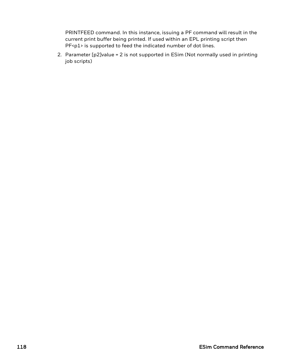PRINTFEED command. In this instance, issuing a PF command will result in the current print buffer being printed. If used within an EPL printing script then PF<p1> is supported to feed the indicated number of dot lines.

2. Parameter [p2]value = 2 is not supported in ESim (Not normally used in printing job scripts)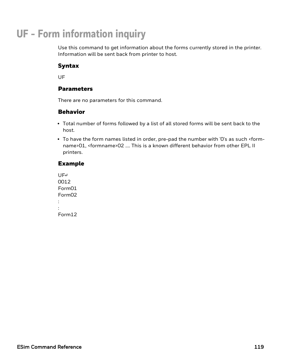# **UF - Form information inquiry**

Use this command to get information about the forms currently stored in the printer. Information will be sent back from printer to host.

# Syntax

UF

### **Parameters**

There are no parameters for this command.

### Behavior

- Total number of forms followed by a list of all stored forms will be sent back to the host.
- To have the form names listed in order, pre-pad the number with 'O's as such <formname>01, <formname>02 .... This is a known different behavior from other EPL II printers.

### Example

| UF⊌                |  |
|--------------------|--|
| 0012               |  |
| Form01             |  |
| Form <sub>02</sub> |  |
|                    |  |
|                    |  |
| Form12             |  |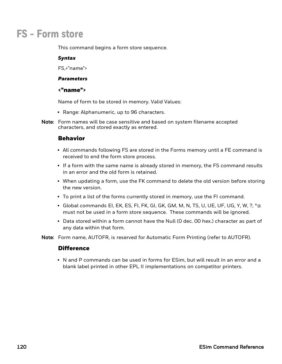# **FS - Form store**

This command begins a form store sequence.

#### *Syntax*

FS,<"name">

#### *Parameters*

#### <"name">

Name of form to be stored in memory. Valid Values:

- Range: Alphanumeric, up to 96 characters.
- Note: Form names will be case sensitive and based on system filename accepted characters, and stored exactly as entered.

### Behavior

- All commands following FS are stored in the Forms memory until a FE command is received to end the form store process.
- If a form with the same name is already stored in memory, the FS command results in an error and the old form is retained.
- When updating a form, use the FK command to delete the old version before storing the new version.
- To print a list of the forms currently stored in memory, use the FI command.
- $\bullet$  Global commands EI, EK, ES, FI, FK, GI, GK, GM, M, N, TS, U, UE, UF, UG, Y, W, ?,  $\land$ @ must not be used in a form store sequence. These commands will be ignored.
- Data stored within a form cannot have the Null (O dec. 00 hex.) character as part of any data within that form.

Note: Form name, AUTOFR, is reserved for Automatic Form Printing (refer to AUTOFR).

#### **Difference**

• N and P commands can be used in forms for ESim, but will result in an error and a blank label printed in other EPL II implementations on competitor printers.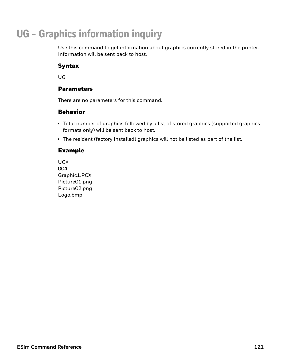# **UG - Graphics information inquiry**

Use this command to get information about graphics currently stored in the printer. Information will be sent back to host.

# Syntax

UG

### **Parameters**

There are no parameters for this command.

### Behavior

- Total number of graphics followed by a list of stored graphics (supported graphics formats only) will be sent back to host.
- The resident (factory installed) graphics will not be listed as part of the list.

#### Example

UG↵ 004 Graphic1.PCX Picture01.png Picture02.png Logo.bmp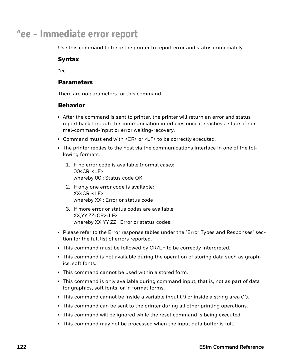# **^ee - Immediate error report**

Use this command to force the printer to report error and status immediately.

## Syntax

 $^{\prime}$ ee

### **Parameters**

There are no parameters for this command.

- After the command is sent to printer, the printer will return an error and status report back through the communication interfaces once it reaches a state of normal-command-input or error waiting-recovery.
- Command must end with <CR> or <LF> to be correctly executed.
- The printer replies to the host via the communications interface in one of the following formats:
	- 1. If no error code is available (normal case): 00<CR><LF> whereby 00 : Status code OK
	- 2. If only one error code is available:  $XX < C$ R $>1$  F $>$ whereby XX : Error or status code
	- 3. If more error or status codes are available: XX,YY,ZZ<CR><LF> whereby XX YY ZZ : Error or status codes.
- Please refer to the Error response tables under the "Error Types and Responses" section for the full list of errors reported.
- This command must be followed by CR/LF to be correctly interpreted.
- This command is not available during the operation of storing data such as graphics, soft fonts.
- This command cannot be used within a stored form.
- This command is only available during command input, that is, not as part of data for graphics, soft fonts, or in format forms.
- This command cannot be inside a variable input (?) or inside a string area ("").
- This command can be sent to the printer during all other printing operations.
- This command will be ignored while the reset command is being executed.
- This command may not be processed when the input data buffer is full.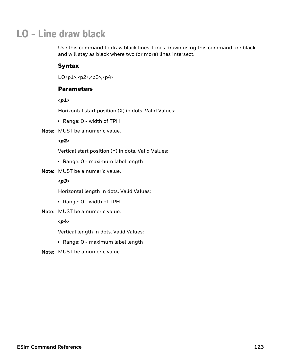# **LO - Line draw black**

Use this command to draw black lines. Lines drawn using this command are black, and will stay as black where two (or more) lines intersect.

# Syntax

LO<p1>,<p2>,<p3>,<p4>

## **Parameters**

#### *<p1>*

Horizontal start position (X) in dots. Valid Values:

- Range: 0 width of TPH
- Note: MUST be a numeric value.

#### *<p2>*

Vertical start position (Y) in dots. Valid Values:

- Range: 0 maximum label length
- Note: MUST be a numeric value.

#### *<p3>*

Horizontal length in dots. Valid Values:

- Range: 0 width of TPH
- Note: MUST be a numeric value.

#### *<p4>*

Vertical length in dots. Valid Values:

- Range: 0 maximum label length
- Note: MUST be a numeric value.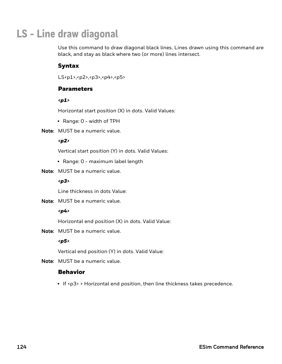# **LS - Line draw diagonal**

Use this command to draw diagonal black lines. Lines drawn using this command are black, and stay as black where two (or more) lines intersect.

# Syntax

LS<p1>,<p2>,<p3>,<p4>,<p5>

## **Parameters**

#### *<p1>*

Horizontal start position (X) in dots. Valid Values:

- Range: 0 width of TPH
- Note: MUST be a numeric value.

#### *<p2>*

Vertical start position (Y) in dots. Valid Values:

- Range: 0 maximum label length
- Note: MUST be a numeric value.

#### *<p3>*

Line thickness in dots Value:

Note: MUST be a numeric value.

#### *<p4>*

Horizontal end position (X) in dots. Valid Value:

Note: MUST be a numeric value.

#### *<p5>*

Vertical end position (Y) in dots. Valid Value:

Note: MUST be a numeric value.

# Behavior

• If <p3> > Horizontal end position, then line thickness takes precedence.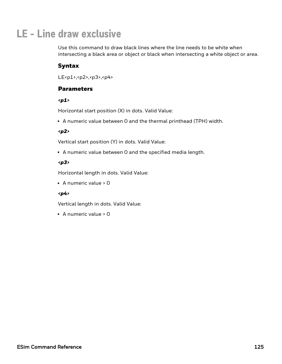# **LE - Line draw exclusive**

Use this command to draw black lines where the line needs to be white when intersecting a black area or object or black when intersecting a white object or area.

# Syntax

LE<p1>,<p2>,<p3>,<p4>

## **Parameters**

*<p1>*

Horizontal start position (X) in dots. Valid Value:

• A numeric value between 0 and the thermal printhead (TPH) width.

#### *<p2>*

Vertical start position (Y) in dots. Valid Value:

• A numeric value between 0 and the specified media length.

### *<p3>*

Horizontal length in dots. Valid Value:

 $\bullet$  A numeric value > 0

### *<p4>*

Vertical length in dots. Valid Value:

 $\bullet$  A numeric value > 0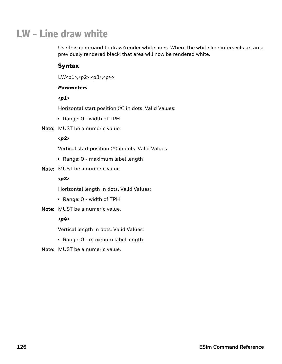# **LW - Line draw white**

Use this command to draw/render white lines. Where the white line intersects an area previously rendered black, that area will now be rendered white.

## Syntax

LW<p1>,<p2>,<p3>,<p4>

#### *Parameters*

#### *<p1>*

Horizontal start position (X) in dots. Valid Values:

- Range: 0 width of TPH
- Note: MUST be a numeric value.

#### *<p2>*

Vertical start position (Y) in dots. Valid Values:

- Range: 0 maximum label length
- Note: MUST be a numeric value.

#### *<p3>*

Horizontal length in dots. Valid Values:

- Range: 0 width of TPH
- Note: MUST be a numeric value.

#### *<p4>*

Vertical length in dots. Valid Values:

- Range: 0 maximum label length
- Note: MUST be a numeric value.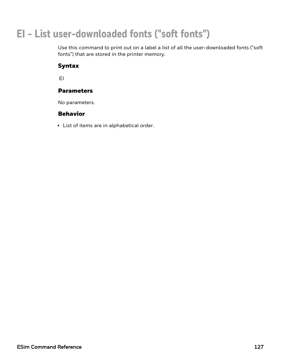# **EI - List user-downloaded fonts ("soft fonts")**

Use this command to print out on a label a list of all the user-downloaded fonts ("soft fonts") that are stored in the printer memory.

# Syntax

EI

## Parameters

No parameters.

# Behavior

• List of items are in alphabetical order.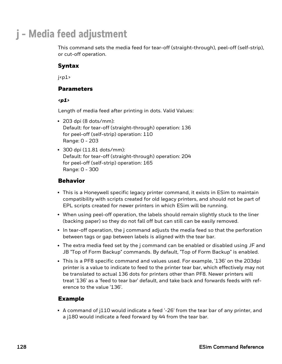# **j - Media feed adjustment**

This command sets the media feed for tear-off (straight-through), peel-off (self-strip), or cut-off operation.

# Syntax

 $i$ 

## Parameters

*<p1>*

Length of media feed after printing in dots. Valid Values:

- $\cdot$  203 dpi (8 dots/mm): Default: for tear-off (straight-through) operation: 136 for peel-off (self-strip) operation: 110 Range: 0 - 203
- $\cdot$  300 dpi (11.81 dots/mm): Default: for tear-off (straight-through) operation: 204 for peel-off (self-strip) operation: 165 Range: 0 - 300

## Behavior

- This is a Honeywell specific legacy printer command, it exists in ESim to maintain compatibility with scripts created for old legacy printers, and should not be part of EPL scripts created for newer printers in which ESim will be running.
- When using peel-off operation, the labels should remain slightly stuck to the liner (backing paper) so they do not fall off but can still can be easily removed.
- In tear-off operation, the j command adjusts the media feed so that the perforation between tags or gap between labels is aligned with the tear bar.
- The extra media feed set by the j command can be enabled or disabled using JF and JB "Top of Form Backup" commands. By default, "Top of Form Backup" is enabled.
- <sup>l</sup> This is a PF8 specific command and values used. For example, '136' on the 203dpi printer is a value to indicate to feed to the printer tear bar, which effectively may not be translated to actual 136 dots for printers other than PF8. Newer printers will treat '136' as a 'feed to tear bar' default, and take back and forwards feeds with reference to the value '136'.

# Example

• A command of j110 would indicate a feed '-26' from the tear bar of any printer, and a j180 would indicate a feed forward by 44 from the tear bar.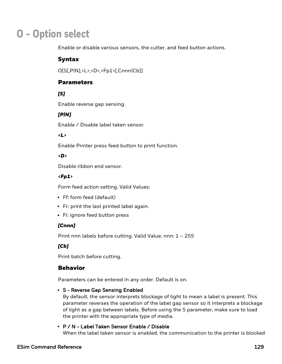# **O - Option select**

Enable or disable various sensors, the cutter, and feed button actions.

### Syntax

O[S[,P|N],<L>,<D>,<Fp1>[,Cnnn|Cb]]

#### **Parameters**

### *[S]*

Enable reverse gap sensing.

### *[P|N]*

Enable / Disable label taken sensor.

#### *<L>*

Enable Printer press feed button to print function.

#### *<D>*

Disable ribbon end sensor.

#### *<Fp1>*

Form feed action setting. Valid Values:

- Ff: form feed (default)
- Fr: print the last printed label again.
- Fi: ignore feed button press

#### *[Cnnn]*

Print nnn labels before cutting. Valid Value: nnn: 1 – 255

#### *[Cb]*

Print batch before cutting.

### Behavior

Parameters can be entered in any order. Default is on.

#### • S - Reverse Gap Sensing Enabled

By default, the sensor interprets blockage of light to mean a label is present. This parameter reverses the operation of the label gap sensor so it interprets a blockage of light as a gap between labels. Before using the S parameter, make sure to load the printer with the appropriate type of media.

#### • P / N - Label Taken Sensor Enable / Disable

When the label taken sensor is enabled, the communication to the printer is blocked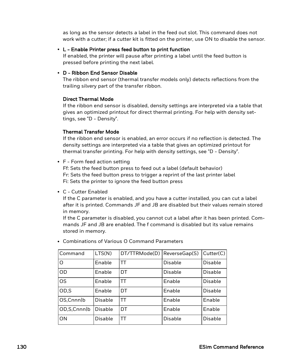as long as the sensor detects a label in the feed out slot. This command does not work with a cutter; if a cutter kit is fitted on the printer, use ON to disable the sensor.

#### $\cdot$  L - Enable Printer press feed button to print function

If enabled, the printer will pause after printing a label until the feed button is pressed before printing the next label.

#### • D - Ribbon End Sensor Disable

The ribbon end sensor (thermal transfer models only) detects reflections from the trailing silvery part of the transfer ribbon.

#### Direct Thermal Mode

If the ribbon end sensor is disabled, density settings are interpreted via a table that gives an optimized printout for direct thermal printing. For help with density settings, see "D - Density".

#### Thermal Transfer Mode

If the ribbon end sensor is enabled, an error occurs if no reflection is detected. The density settings are interpreted via a table that gives an optimized printout for thermal transfer printing. For help with density settings, see "D - Density".

• F - Form feed action setting

Ff: Sets the feed button press to feed out a label (default behavior) Fr: Sets the feed button press to trigger a reprint of the last printer label Fi: Sets the printer to ignore the feed button press

• C - Cutter Enabled

If the C parameter is enabled, and you have a cutter installed, you can cut a label after it is printed. Commands JF and JB are disabled but their values remain stored in memory.

If the C parameter is disabled, you cannot cut a label after it has been printed. Commands JF and JB are enabled. The f command is disabled but its value remains stored in memory.

| Command         | LTS(N)         | DT/TTRMode(D) | ReverseGap(S)  | Cutter(C)      |
|-----------------|----------------|---------------|----------------|----------------|
| O               | Enable         | ТT            | <b>Disable</b> | <b>Disable</b> |
| OD              | Enable         | DT            | Disable        | <b>Disable</b> |
| <b>OS</b>       | Enable         | ТT            | Enable         | <b>Disable</b> |
| OD,S            | Enable         | DT            | Enable         | <b>Disable</b> |
| OS, Cnnn b      | <b>Disable</b> | ТT            | Enable         | Enable         |
| OD, S, Cnnn   b | <b>Disable</b> | DT            | Enable         | Enable         |
| ON              | Disable        | ТT            | <b>Disable</b> | <b>Disable</b> |

• Combinations of Various O Command Parameters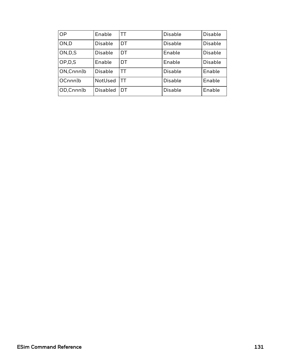| <b>OP</b>  | Enable          | ТT | Disable        | <b>Disable</b> |
|------------|-----------------|----|----------------|----------------|
| ON,D       | <b>Disable</b>  | DT | <b>Disable</b> | <b>Disable</b> |
| ON, D, S   | Disable         | DT | Enable         | <b>Disable</b> |
| OP, D, S   | Enable          | DT | Enable         | <b>Disable</b> |
| ON, Cnnn b | Disable         | TТ | Disable        | Enable         |
| OCnnnlb    | NotUsed         | TТ | <b>Disable</b> | Enable         |
| OD,Cnnn b  | <b>Disabled</b> | DT | <b>Disable</b> | Enable         |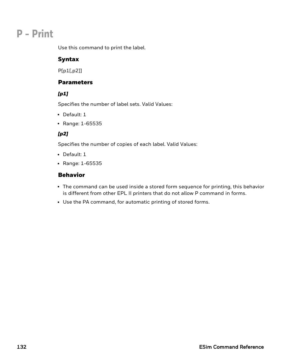# **P - Print**

Use this command to print the label.

# Syntax

P[p1[,p2]]

## **Parameters**

## *[p1]*

Specifies the number of label sets. Valid Values:

- $\bullet$  Default: 1
- Range: 1-65535

# *[p2]*

Specifies the number of copies of each label. Valid Values:

- $\bullet$  Default: 1
- Range: 1-65535

- The command can be used inside a stored form sequence for printing, this behavior is different from other EPL II printers that do not allow P command in forms.
- Use the PA command, for automatic printing of stored forms.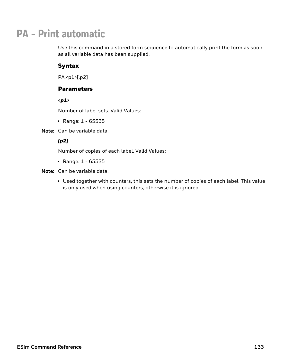# **PA - Print automatic**

Use this command in a stored form sequence to automatically print the form as soon as all variable data has been supplied.

# Syntax

PA,<p1>[,p2]

### **Parameters**

*<p1>*

Number of label sets. Valid Values:

• Range:  $1 - 65535$ 

Note: Can be variable data.

### *[p2]*

Number of copies of each label. Valid Values:

• Range:  $1 - 65535$ 

Note: Can be variable data.

• Used together with counters, this sets the number of copies of each label. This value is only used when using counters, otherwise it is ignored.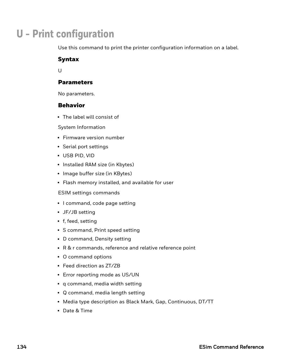# **U - Print configuration**

Use this command to print the printer configuration information on a label.

### Syntax

 $U$ 

### **Parameters**

No parameters.

### Behavior

• The label will consist of

System Information

- Firmware version number
- Serial port settings
- USB PID, VID
- Installed RAM size (in Kbytes)
- Image buffer size (in KBytes)
- Flash memory installed, and available for user

ESIM settings commands

- I command, code page setting
- JF/JB setting
- $\bullet$  f, feed, setting
- S command, Print speed setting
- D command, Density setting
- R & r commands, reference and relative reference point
- O command options
- Feed direction as ZT/ZB
- Error reporting mode as US/UN
- q command, media width setting
- Q command, media length setting
- Media type description as Black Mark, Gap, Continuous, DT/TT
- Date & Time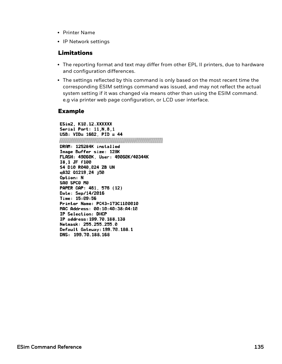- Printer Name
- IP Network settings

### Limitations

- The reporting format and text may differ from other EPL II printers, due to hardware and configuration differences.
- The settings reflected by this command is only based on the most recent time the corresponding ESIM settings command was issued, and may not reflect the actual system setting if it was changed via means other than using the ESIM command. e.g via printer web page configuration, or LCD user interface.

### Example

ESim2, K10.12.XXXXXX Serial Port: 11, N, 8, 1  $USB: VID = 1662, PID = 44$ 

DRAM: 125284K installed Image Buffer size: 128K FLASH: 49060K, User: 49060K/40344K I8,1 JF f100 S4 D10 R040,024 ZB UN q832 01219,24 j50 Option: N SAØ SPCØ MØ PAPER GAP: 461, 576 (12) Date: Sep/14/2016 Time: 15:09:56 Printer Name: PC43-173C1100010 MAC Address: 00:10:40:38:A4:10 IP Selection: DHCP IP address: 199.70.188.138 Netmask: 255.255.255.0 Default Gateway: 199.70.188.1 DNS: 199.70.188.168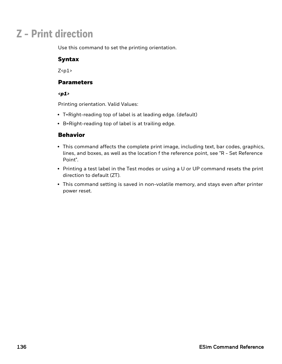# **Z - Print direction**

Use this command to set the printing orientation.

## Syntax

 $Z$  <p $1$ >

### **Parameters**

#### *<p1>*

Printing orientation. Valid Values:

- T=Right-reading top of label is at leading edge. (default)
- $\cdot$  B=Right-reading top of label is at trailing edge.

- This command affects the complete print image, including text, bar codes, graphics, lines, and boxes, as well as the location f the reference point, see "R - Set Reference Point".
- Printing a test label in the Test modes or using a U or UP command resets the print direction to default (ZT).
- This command setting is saved in non-volatile memory, and stays even after printer power reset.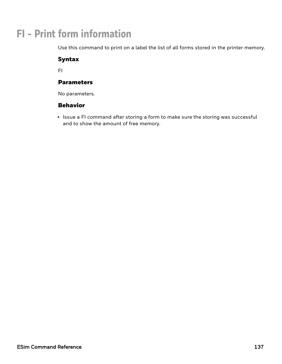# **FI - Print form information**

Use this command to print on a label the list of all forms stored in the printer memory.

## Syntax

FI

## Parameters

No parameters.

# Behavior

• Issue a FI command after storing a form to make sure the storing was successful and to show the amount of free memory.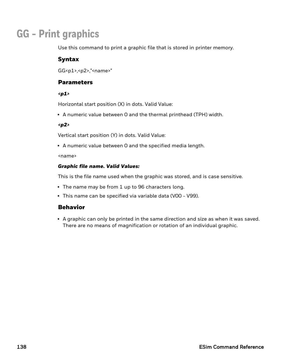# **GG - Print graphics**

Use this command to print a graphic file that is stored in printer memory.

## Syntax

GG<p1>,<p2>,"<name>"

### **Parameters**

#### *<p1>*

Horizontal start position (X) in dots. Valid Value:

• A numeric value between 0 and the thermal printhead (TPH) width.

#### *<p2>*

Vertical start position (Y) in dots. Valid Value:

• A numeric value between 0 and the specified media length.

<name>

#### *Graphic file name. Valid Values:*

This is the file name used when the graphic was stored, and is case sensitive.

- The name may be from 1 up to 96 characters long.
- This name can be specified via variable data (V00 V99).

### Behavior

• A graphic can only be printed in the same direction and size as when it was saved. There are no means of magnification or rotation of an individual graphic.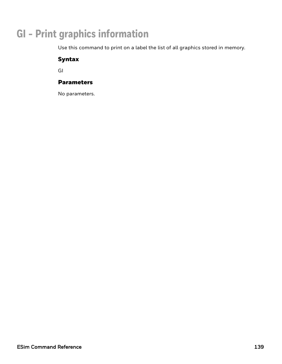# **GI - Print graphics information**

Use this command to print on a label the list of all graphics stored in memory.

# Syntax

GI

## Parameters

No parameters.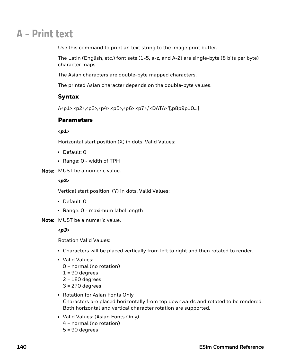# **A - Print text**

Use this command to print an text string to the image print buffer.

The Latin (English, etc.) font sets (1-5, a-z, and A-Z) are single-byte (8 bits per byte) character maps.

The Asian characters are double-byte mapped characters.

The printed Asian character depends on the double-byte values.

# Syntax

A<p1>,<p2>,<p3>,<p4>,<p5>,<p6>,<p7>,"<DATA>"[,p8p9p10…]

## **Parameters**

#### *<p1>*

Horizontal start position (X) in dots. Valid Values:

- Default: 0
- Range: 0 width of TPH
- Note: MUST be a numeric value.

### *<p2>*

Vertical start position (Y) in dots. Valid Values:

- Default: 0
- Range: 0 maximum label length
- Note: MUST be a numeric value.

### *<p3>*

Rotation Valid Values:

- Characters will be placed vertically from left to right and then rotated to render.
- Valid Values:
	- 0 = normal (no rotation)
	- $1 = 90$  degrees
	- $2 = 180$  degrees
	- 3 = 270 degrees
- Rotation for Asian Fonts Only Characters are placed horizontally from top downwards and rotated to be rendered. Both horizontal and vertical character rotation are supported.
- Valid Values: (Asian Fonts Only) 4 = normal (no rotation) 5 = 90 degrees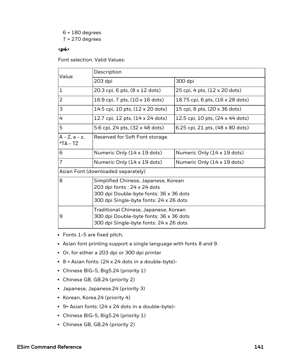6 = 180 degrees 7 = 270 degrees

#### *<p4>*

Font selection. Valid Values:

| Value                              | Description                                                                                                                                               |                                  |  |
|------------------------------------|-----------------------------------------------------------------------------------------------------------------------------------------------------------|----------------------------------|--|
|                                    | 203 dpi                                                                                                                                                   | 300 dpi                          |  |
| $\mathbf 1$                        | 20.3 cpi, 6 pts, (8 x 12 dots)                                                                                                                            | 25 cpi, 4 pts, (12 x 20 dots)    |  |
| $\overline{2}$                     | 16.9 cpi, 7 pts, $(10 \times 16 \text{ dots})$                                                                                                            | 18.75 cpi, 6 pts, (16 x 28 dots) |  |
| 3                                  | 14.5 cpi, 10 pts, (12 x 20 dots)                                                                                                                          | 15 cpi, 8 pts, (20 x 36 dots)    |  |
| 4                                  | 12.7 cpi, 12 pts, (14 x 24 dots)                                                                                                                          | 12.5 cpi, 10 pts, (24 x 44 dots) |  |
| 5                                  | 5.6 cpi, 24 pts, (32 x 48 dots)                                                                                                                           | 6.25 cpi, 21 pts, (48 x 80 dots) |  |
| $A - Z$ , $a - z$ ,<br>*TA - TZ    | Reserved for Soft Font storage.                                                                                                                           |                                  |  |
| 6                                  | Numeric Only (14 x 19 dots)                                                                                                                               | Numeric Only (14 x 19 dots)      |  |
| $\overline{7}$                     | Numeric Only (14 x 19 dots)                                                                                                                               | Numeric Only (14 x 19 dots)      |  |
| Asian Font (downloaded separately) |                                                                                                                                                           |                                  |  |
| 8                                  | Simplified Chinese, Japanese, Korean<br>203 dpi fonts: 24 x 24 dots<br>300 dpi Double-byte fonts: 36 x 36 dots<br>300 dpi Single-byte fonts: 24 x 26 dots |                                  |  |
| 9                                  | Traditional Chinese, Japanese, Korean<br>300 dpi Double-byte fonts: 36 x 36 dots<br>300 dpi Single-byte fonts: 24 x 26 dots                               |                                  |  |

- Fonts 1-5 are fixed pitch.
- Asian font printing support a single language with fonts 8 and 9.
- Or, for either a 203 dpi or 300 dpi printer
- $\cdot$  8 = Asian fonts: (24 x 24 dots in a double-byte)-
- Chinese BIG-5, Big5.24 (priority 1)
- Chinese GB, GB.24 (priority 2)
- Japanese, Japanese.24 (priority 3)
- Korean, Korea.24 (priority 4)
- $\cdot$  9= Asian fonts: (24 x 24 dots in a double-byte)-
- Chinese BIG-5, Big5.24 (priority 1)
- Chinese GB, GB.24 (priority 2)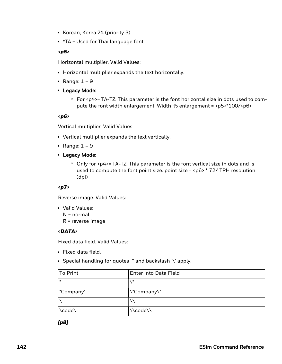- Korean, Korea.24 (priority 3)
- $\cdot$  \*TA = Used for Thai language font

#### *<p5>*

Horizontal multiplier. Valid Values:

- Horizontal multiplier expands the text horizontally.
- Range:  $1 9$
- Legacy Mode:
	- $\degree$  For <p4>= TA-TZ. This parameter is the font horizontal size in dots used to compute the font width enlargement. Width % enlargement = <p5>\*100/<p6>

#### *<p6>*

Vertical multiplier. Valid Values:

- Vertical multiplier expands the text vertically.
- Range:  $1 9$
- Legacy Mode:
	- $\circ$  Only for  $\epsilon$  p4>= TA-TZ. This parameter is the font vertical size in dots and is used to compute the font point size. point size =  $<$ p6>  $*$  72/ TPH resolution (dpi)

#### *<p7>*

Reverse image. Valid Values:

• Valid Values: N = normal

R = reverse image

#### *<DATA>*

Fixed data field. Valid Values:

- Fixed data field.
- Special handling for quotes "" and backslash '\' apply.

| To Print     | <b>Enter into Data Field</b> |
|--------------|------------------------------|
| $\mathbf{u}$ | $\mathbf{u}$                 |
| "Company"    | \"Company\"                  |
|              |                              |
| \code\       | \\code\\                     |

*[p8]*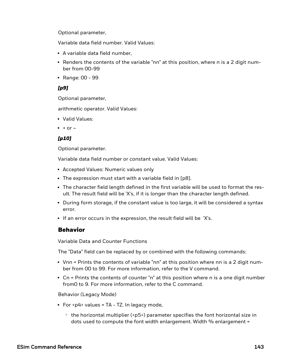Optional parameter,

Variable data field number. Valid Values:

- A variable data field number,
- Renders the contents of the variable "nn" at this position, where n is a 2 digit number from 00-99
- Range: 00 99

#### *[p9]*

Optional parameter,

arithmetic operator. Valid Values:

- Valid Values:
- $\bullet$  + or –

### *[p10]*

Optional parameter.

Variable data field number or constant value. Valid Values:

- Accepted Values: Numeric values only
- The expression must start with a variable field in [p8].
- The character field length defined in the first variable will be used to format the result. The result field will be 'X's, if it is longer than the character length defined.
- During form storage, if the constant value is too large, it will be considered a syntax error.
- If an error occurs in the expression, the result field will be 'X's.

## Behavior

Variable Data and Counter Functions

The "Data" field can be replaced by or combined with the following commands:

- Vnn = Prints the contents of variable "nn" at this position where nn is a 2 digit number from 00 to 99. For more information, refer to the V command.
- Cn = Prints the contents of counter "n" at this position where n is a one digit number from0 to 9. For more information, refer to the C command.

Behavior (Legacy Mode)

- For  $\langle p4 \rangle$  values = TA TZ. In legacy mode,
	- $\degree$  the horizontal multiplier (<p5>) parameter specifies the font horizontal size in dots used to compute the font width enlargement. Width % enlargement =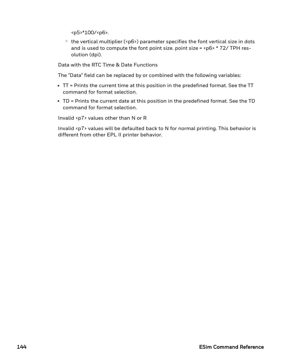<p5>\*100/<p6>.

 $\degree$  the vertical multiplier (<p6>) parameter specifies the font vertical size in dots and is used to compute the font point size. point size =  $\langle p6 \rangle * 72$ /TPH resolution (dpi).

Data with the RTC Time & Date Functions

The "Data" field can be replaced by or combined with the following variables:

- TT = Prints the current time at this position in the predefined format. See the TT command for format selection.
- TD = Prints the current date at this position in the predefined format. See the TD command for format selection.

Invalid <p7> values other than N or R

Invalid <p7> values will be defaulted back to N for normal printing. This behavior is different from other EPL II printer behavior.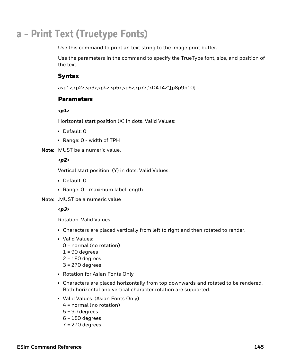# **a - Print Text (Truetype Fonts)**

Use this command to print an text string to the image print buffer.

Use the parameters in the command to specify the TrueType font, size, and position of the text.

## Syntax

a<p1>,<p2>,<p3>,<p4>,<p5>,<p6>,<p7>,"<DATA>",[p8p9p10]…

### **Parameters**

*<p1>*

Horizontal start position (X) in dots. Valid Values:

- Default: 0
- $\bullet$  Range: 0 width of TPH

Note: MUST be a numeric value.

#### *<p2>*

Vertical start position (Y) in dots. Valid Values:

- Default: 0
- Range: 0 maximum label length

Note: .MUST be a numeric value

#### *<p3>*

Rotation. Valid Values:

- Characters are placed vertically from left to right and then rotated to render.
- Valid Values:
	- 0 = normal (no rotation)
	- $1 = 90$  degrees
	- $2 = 180$  degrees
	- 3 = 270 degrees
- Rotation for Asian Fonts Only
- Characters are placed horizontally from top downwards and rotated to be rendered. Both horizontal and vertical character rotation are supported.
- Valid Values: (Asian Fonts Only)
	- 4 = normal (no rotation)
	- 5 = 90 degrees
	- 6 = 180 degrees
	- 7 = 270 degrees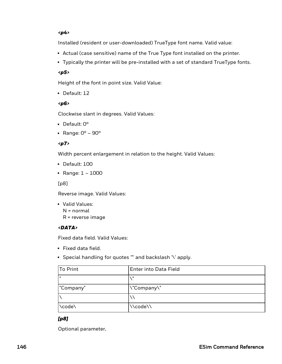#### *<p4>*

Installed (resident or user-downloaded) TrueType font name. Valid value:

- Actual (case sensitive) name of the True Type font installed on the printer.
- Typically the printer will be pre-installed with a set of standard TrueType fonts.

#### *<p5>*

Height of the font in point size. Valid Value:

• Default: 12

#### *<p6>*

Clockwise slant in degrees. Valid Values:

- Default:  $0^\circ$
- Range:  $0^\circ$   $90^\circ$

### *<p7>*

Width percent enlargement in relation to the height. Valid Values:

- $\cdot$  Default: 100
- Range:  $1 1000$

[p8]

Reverse image. Valid Values:

• Valid Values: N = normal R = reverse image

### *<DATA>*

Fixed data field. Valid Values:

- Fixed data field.
- Special handling for quotes "" and backslash '\' apply.

| To Print  | <b>Enter into Data Field</b> |
|-----------|------------------------------|
| ш         |                              |
| "Company" | \"Company\"                  |
|           |                              |
| \code\    | \\code\\                     |

### *[p8]*

Optional parameter,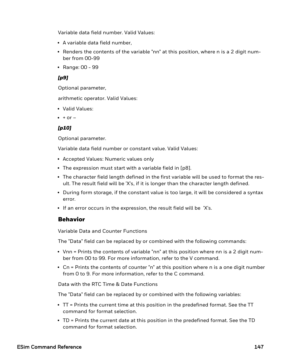Variable data field number. Valid Values:

- A variable data field number,
- $\bullet$  Renders the contents of the variable "nn" at this position, where n is a 2 digit number from 00-99
- Range: 00 99

### *[p9]*

Optional parameter,

arithmetic operator. Valid Values:

- Valid Values:
- $\bullet$  + or –

## *[p10]*

Optional parameter.

Variable data field number or constant value. Valid Values:

- Accepted Values: Numeric values only
- The expression must start with a variable field in [p8].
- The character field length defined in the first variable will be used to format the result. The result field will be 'X's, if it is longer than the character length defined.
- During form storage, if the constant value is too large, it will be considered a syntax error.
- If an error occurs in the expression, the result field will be 'X's.

## Behavior

Variable Data and Counter Functions

The "Data" field can be replaced by or combined with the following commands:

- Vnn = Prints the contents of variable "nn" at this position where nn is a 2 digit number from 00 to 99. For more information, refer to the V command.
- Cn = Prints the contents of counter "n" at this position where n is a one digit number from 0 to 9. For more information, refer to the C command.

Data with the RTC Time & Date Functions

The "Data" field can be replaced by or combined with the following variables:

- TT = Prints the current time at this position in the predefined format. See the TT command for format selection.
- TD = Prints the current date at this position in the predefined format. See the TD command for format selection.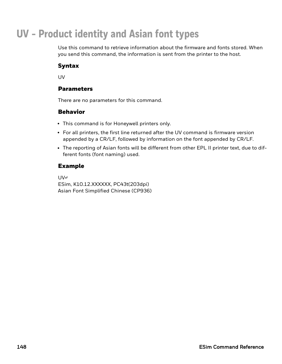# **UV - Product identity and Asian font types**

Use this command to retrieve information about the firmware and fonts stored. When you send this command, the information is sent from the printer to the host.

## Syntax

UV

## **Parameters**

There are no parameters for this command.

## Behavior

- This command is for Honeywell printers only.
- For all printers, the first line returned after the UV command is firmware version appended by a CR/LF, followed by information on the font appended by CR/LF.
- The reporting of Asian fonts will be different from other EPL II printer text, due to different fonts (font naming) used.

## Example

UV↵ ESim, K10.12.XXXXXX, PC43t(203dpi) Asian Font Simplified Chinese (CP936)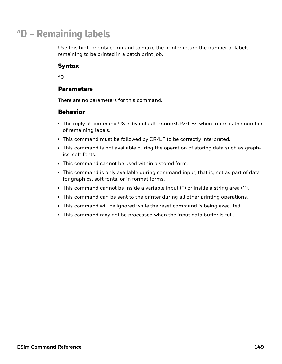# **^D - Remaining labels**

Use this high priority command to make the printer return the number of labels remaining to be printed in a batch print job.

## Syntax

^D

## Parameters

There are no parameters for this command.

- The reply at command US is by default Pnnnn<CR><LF>, where nnnn is the number of remaining labels.
- This command must be followed by CR/LF to be correctly interpreted.
- This command is not available during the operation of storing data such as graphics, soft fonts.
- This command cannot be used within a stored form.
- This command is only available during command input, that is, not as part of data for graphics, soft fonts, or in format forms.
- This command cannot be inside a variable input  $(?)$  or inside a string area ("").
- This command can be sent to the printer during all other printing operations.
- This command will be ignored while the reset command is being executed.
- This command may not be processed when the input data buffer is full.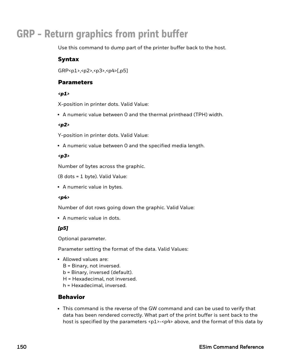# **GRP - Return graphics from print buffer**

Use this command to dump part of the printer buffer back to the host.

## Syntax

GRP<p1>,<p2>,<p3>,<p4>[,p5]

## Parameters

#### *<p1>*

X-position in printer dots. Valid Value:

• A numeric value between 0 and the thermal printhead (TPH) width.

### *<p2>*

Y-position in printer dots. Valid Value:

• A numeric value between 0 and the specified media length.

## *<p3>*

Number of bytes across the graphic.

(8 dots = 1 byte). Valid Value:

• A numeric value in bytes.

### *<p4>*

Number of dot rows going down the graphic. Valid Value:

• A numeric value in dots.

## *[p5]*

Optional parameter.

Parameter setting the format of the data. Valid Values:

- Allowed values are:
	- B = Binary, not inversed.
	- b = Binary, inversed (default).
	- H = Hexadecimal, not inversed.
	- h = Hexadecimal, inversed.

# Behavior

• This command is the reverse of the GW command and can be used to verify that data has been rendered correctly. What part of the print buffer is sent back to the host is specified by the parameters  $\langle p1\rangle - \langle p4\rangle$  above, and the format of this data by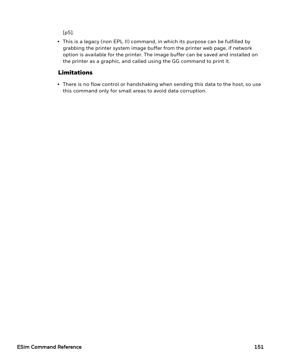[p5].

• This is a legacy (non EPL II) command, in which its purpose can be fulfilled by grabbing the printer system image buffer from the printer web page, if network option is available for the printer. The image buffer can be saved and installed on the printer as a graphic, and called using the GG command to print it.

# Limitations

• There is no flow control or handshaking when sending this data to the host, so use this command only for small areas to avoid data corruption.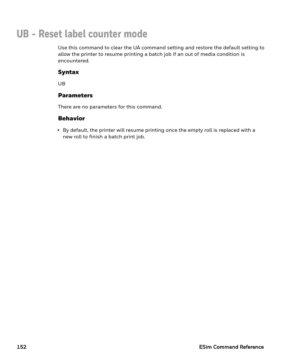# **UB - Reset label counter mode**

Use this command to clear the UA command setting and restore the default setting to allow the printer to resume printing a batch job if an out of media condition is encountered.

## Syntax

UB

## **Parameters**

There are no parameters for this command.

## Behavior

• By default, the printer will resume printing once the empty roll is replaced with a new roll to finish a batch print job.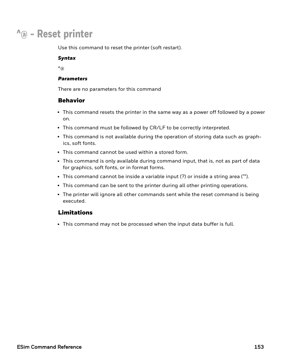# **^@ - Reset printer**

Use this command to reset the printer (soft restart).

#### *Syntax*

 $\mathcal{A}_{\textcircled{a}}$ 

#### *Parameters*

There are no parameters for this command

## Behavior

- This command resets the printer in the same way as a power off followed by a power on.
- This command must be followed by CR/LF to be correctly interpreted.
- This command is not available during the operation of storing data such as graphics, soft fonts.
- This command cannot be used within a stored form.
- This command is only available during command input, that is, not as part of data for graphics, soft fonts, or in format forms.
- This command cannot be inside a variable input (?) or inside a string area ("").
- This command can be sent to the printer during all other printing operations.
- The printer will ignore all other commands sent while the reset command is being executed.

## Limitations

• This command may not be processed when the input data buffer is full.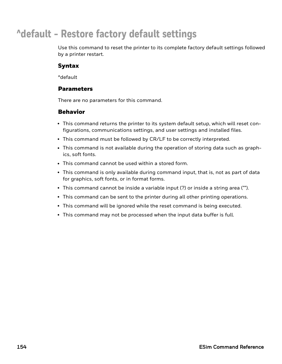# **^default - Restore factory default settings**

Use this command to reset the printer to its complete factory default settings followed by a printer restart.

## Syntax

^default

### Parameters

There are no parameters for this command.

- This command returns the printer to its system default setup, which will reset configurations, communications settings, and user settings and installed files.
- This command must be followed by CR/LF to be correctly interpreted.
- This command is not available during the operation of storing data such as graphics, soft fonts.
- This command cannot be used within a stored form.
- This command is only available during command input, that is, not as part of data for graphics, soft fonts, or in format forms.
- This command cannot be inside a variable input  $(?)$  or inside a string area ("").
- This command can be sent to the printer during all other printing operations.
- This command will be ignored while the reset command is being executed.
- This command may not be processed when the input data buffer is full.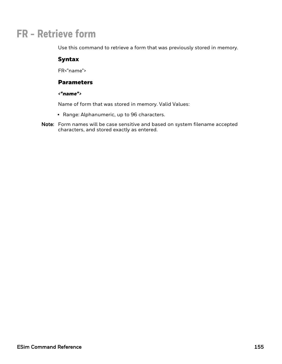# **FR - Retrieve form**

Use this command to retrieve a form that was previously stored in memory.

## Syntax

FR<"name">

### **Parameters**

#### *<"name">*

Name of form that was stored in memory. Valid Values:

- Range: Alphanumeric, up to 96 characters.
- Note: Form names will be case sensitive and based on system filename accepted characters, and stored exactly as entered.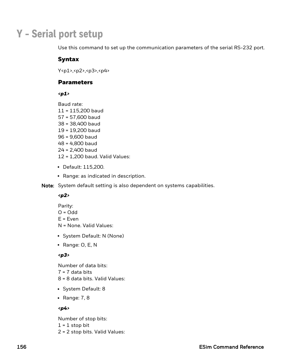# **Y - Serial port setup**

Use this command to set up the communication parameters of the serial RS-232 port.

## Syntax

Y<p1>,<p2>,<p3>,<p4>

### **Parameters**

*<p1>*

Baud rate:

- 11 = 115,200 baud 57 = 57,600 baud 38 = 38,400 baud 19 = 19,200 baud 96 = 9,600 baud 48 = 4,800 baud 24 = 2,400 baud 12 = 1,200 baud. Valid Values:
- Default: 115,200.
- Range: as indicated in description.
- Note: System default setting is also dependent on systems capabilities.

### *<p2>*

- Parity:  $O = Odd$  $E = Even$ N = None. Valid Values:
- System Default: N (None)
- Range:  $O, E, N$

### *<p3>*

Number of data bits:

- $7 = 7$  data bits
- 8 = 8 data bits. Valid Values:
- System Default: 8
- Range:  $7, 8$

### *<p4>*

Number of stop bits:

- $1 = 1$  stop bit
- 2 = 2 stop bits. Valid Values: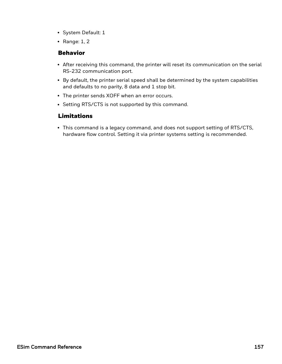- System Default: 1
- Range:  $1, 2$

## Behavior

- After receiving this command, the printer will reset its communication on the serial RS-232 communication port.
- By default, the printer serial speed shall be determined by the system capabilities and defaults to no parity, 8 data and 1 stop bit.
- The printer sends XOFF when an error occurs.
- Setting RTS/CTS is not supported by this command.

# Limitations

• This command is a legacy command, and does not support setting of RTS/CTS, hardware flow control. Setting it via printer systems setting is recommended.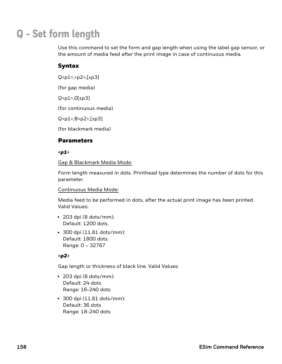# **Q - Set form length**

Use this command to set the form and gap length when using the label gap sensor, or the amount of media feed after the print image in case of continuous media.

# Syntax

Q<p1>,<p2>,[±p3]

(for gap media)

 $Q$ <p1>, $O[±p3]$ 

(for continuous media)

Q<p1>,B<p2>,[±p3]

(for blackmark media)

## **Parameters**

#### *<p1>*

Gap & Blackmark Media Mode:

Form length measured in dots. Printhead type determines the number of dots for this parameter.

#### Continuous Media Mode:

Media feed to be performed in dots, after the actual print image has been printed. Valid Values:

- $\cdot$  203 dpi (8 dots/mm): Default: 1200 dots.
- 300 dpi (11.81 dots/mm): Default: 1800 dots. Range: 0 – 32767

### *<p2>*

Gap length or thickness of black line. Valid Values:

- $\cdot$  203 dpi (8 dots/mm): Default: 24 dots Range: 16-240 dots
- $\cdot$  300 dpi (11.81 dots/mm): Default: 36 dots Range: 18-240 dots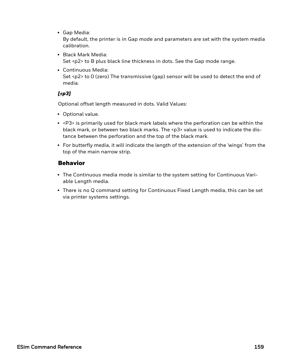• Gap Media:

By default, the printer is in Gap mode and parameters are set with the system media calibration.

- Black Mark Media: Set <p2> to B plus black line thickness in dots. See the Gap mode range.
- Continuous Media: Set <p2> to 0 (zero) The transmissive (gap) sensor will be used to detect the end of media.

# *[±p3]*

Optional offset length measured in dots. Valid Values:

- Optional value.
- $\cdot$  <P3> is primarily used for black mark labels where the perforation can be within the black mark, or between two black marks. The <p3> value is used to indicate the distance between the perforation and the top of the black mark.
- For butterfly media, it will indicate the length of the extension of the 'wings' from the top of the main narrow strip.

- The Continuous media mode is similar to the system setting for Continuous Variable Length media.
- <sup>l</sup> There is no Q command setting for Continuous Fixed Length media, this can be set via printer systems settings.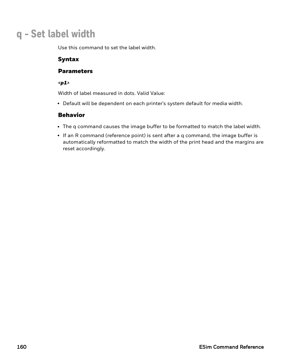# **q - Set label width**

Use this command to set the label width.

## Syntax

## **Parameters**

#### *<p1>*

Width of label measured in dots. Valid Value:

• Default will be dependent on each printer's system default for media width.

- The q command causes the image buffer to be formatted to match the label width.
- If an R command (reference point) is sent after a q command, the image buffer is automatically reformatted to match the width of the print head and the margins are reset accordingly.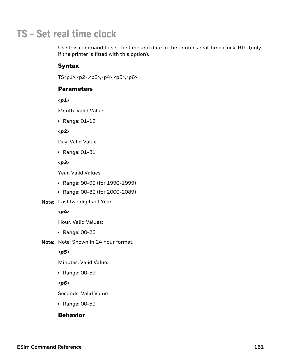# **TS - Set real time clock**

Use this command to set the time and date in the printer's real-time clock, RTC (only if the printer is fitted with this option).

# Syntax

TS<p1>,<p2>,<p3>,<p4>,<p5>,<p6>

## **Parameters**

*<p1>*

Month. Valid Value:

 $\cdot$  Range: 01-12

#### *<p2>*

Day. Valid Value:

 $\cdot$  Range: 01-31

### *<p3>*

Year. Valid Values:

- Range: 90-99 (for 1990-1999)
- Range: 00-89 (for 2000-2089)
- Note: Last two digits of Year.

#### *<p4>*

Hour. Valid Values:

- $\cdot$  Range: 00-23
- Note: Note: Shown in 24 hour format.

#### *<p5>*

Minutes. Valid Value:

• Range: 00-59

#### *<p6>*

Seconds. Valid Value:

• Range: 00-59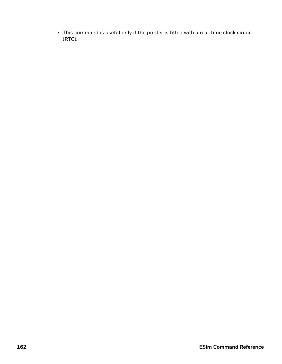• This command is useful only if the printer is fitted with a real-time clock circuit (RTC).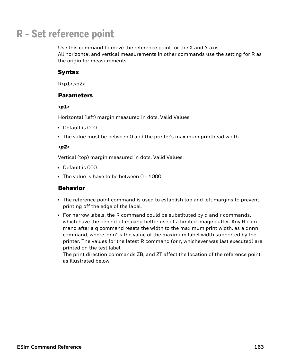# **R - Set reference point**

Use this command to move the reference point for the X and Y axis. All horizontal and vertical measurements in other commands use the setting for R as the origin for measurements.

## Syntax

 $R < p1$ >, $< p2$ >

## Parameters

*<p1>*

Horizontal (left) margin measured in dots. Valid Values:

- Default is 000.
- The value must be between 0 and the printer's maximum printhead width.

#### *<p2>*

Vertical (top) margin measured in dots. Valid Values:

- Default is 000.
- The value is have to be between 0 4000.

## Behavior

- The reference point command is used to establish top and left margins to prevent printing off the edge of the label.
- For narrow labels, the R command could be substituted by q and r commands, which have the benefit of making better use of a limited image buffer. Any R command after a q command resets the width to the maximum print width, as a qnnn command, where 'nnn' is the value of the maximum label width supported by the printer. The values for the latest R command (or r, whichever was last executed) are printed on the test label.

The print direction commands ZB, and ZT affect the location of the reference point, as illustrated below.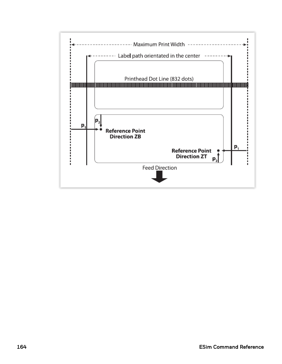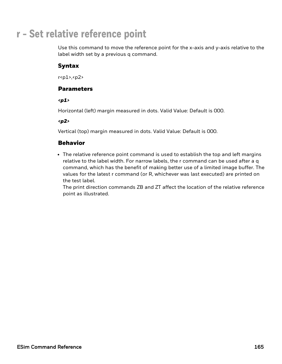# **r - Set relative reference point**

Use this command to move the reference point for the x-axis and y-axis relative to the label width set by a previous q command.

# Syntax

r<p1>,<p2>

## Parameters

*<p1>*

Horizontal (left) margin measured in dots. Valid Value: Default is 000.

#### *<p2>*

Vertical (top) margin measured in dots. Valid Value: Default is 000.

## Behavior

• The relative reference point command is used to establish the top and left margins relative to the label width. For narrow labels, the r command can be used after a q command, which has the benefit of making better use of a limited image buffer. The values for the latest r command (or R, whichever was last executed) are printed on the test label.

The print direction commands ZB and ZT affect the location of the relative reference point as illustrated.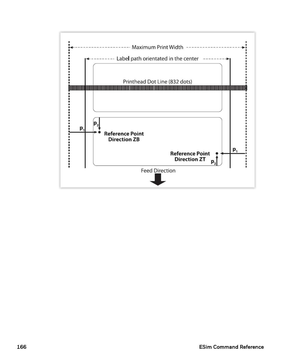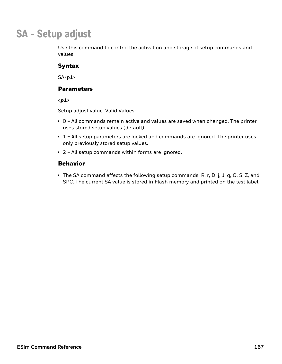# **SA - Setup adjust**

Use this command to control the activation and storage of setup commands and values.

# Syntax

 $SA < p1$ 

## Parameters

*<p1>*

Setup adjust value. Valid Values:

- $\bullet$  0 = All commands remain active and values are saved when changed. The printer uses stored setup values (default).
- $\cdot$  1 = All setup parameters are locked and commands are ignored. The printer uses only previously stored setup values.
- $\cdot$  2 = All setup commands within forms are ignored.

## Behavior

• The SA command affects the following setup commands: R, r, D, j, J, q, Q, S, Z, and SPC. The current SA value is stored in Flash memory and printed on the test label.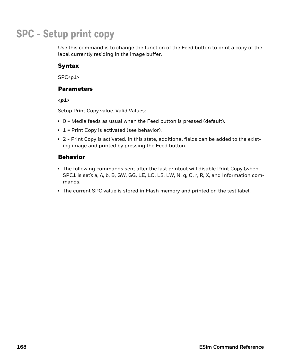# **SPC - Setup print copy**

Use this command is to change the function of the Feed button to print a copy of the label currently residing in the image buffer.

# Syntax

 $SPC < p1$ 

## Parameters

*<p1>*

Setup Print Copy value. Valid Values:

- O = Media feeds as usual when the Feed button is pressed (default).
- $\cdot$  1 = Print Copy is activated (see behavior).
- 2 Print Copy is activated. In this state, additional fields can be added to the existing image and printed by pressing the Feed button.

- The following commands sent after the last printout will disable Print Copy (when SPC1 is set): a, A, b, B, GW, GG, LE, LO, LS, LW, N, q, Q, r, R, X, and Information commands.
- The current SPC value is stored in Flash memory and printed on the test label.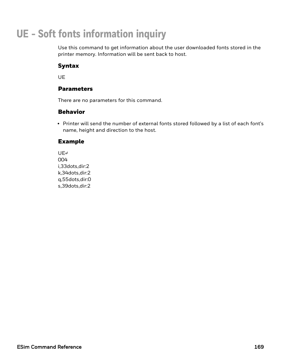# **UE - Soft fonts information inquiry**

Use this command to get information about the user downloaded fonts stored in the printer memory. Information will be sent back to host.

# Syntax

UE

## Parameters

There are no parameters for this command.

## Behavior

• Printer will send the number of external fonts stored followed by a list of each font's name, height and direction to the host.

# Example

UE↵ 004 i,33dots,dir:2 k,34dots,dir:2 q,55dots,dir:0 s,39dots,dir:2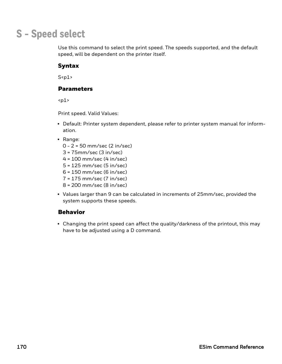# **S - Speed select**

Use this command to select the print speed. The speeds supported, and the default speed, will be dependent on the printer itself.

# Syntax

 $S<sub>p1</sub>$ 

## Parameters

 $<sub>p1</sub>$ </sub>

Print speed. Valid Values:

- Default: Printer system dependent, please refer to printer system manual for information.
- Range:
	- 0 2 = 50 mm/sec (2 in/sec)
	- 3 = 75mm/sec (3 in/sec)
	- 4 = 100 mm/sec (4 in/sec)
	- 5 = 125 mm/sec (5 in/sec)
	- 6 = 150 mm/sec (6 in/sec)
	- 7 = 175 mm/sec (7 in/sec)
	- 8 = 200 mm/sec (8 in/sec)
- Values larger than 9 can be calculated in increments of 25mm/sec, provided the system supports these speeds.

## Behavior

• Changing the print speed can affect the quality/darkness of the printout, this may have to be adjusted using a D command.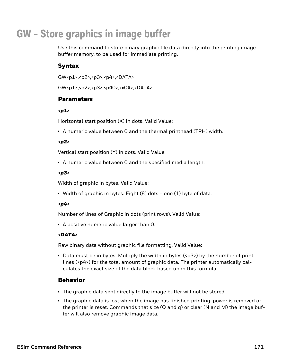# **GW - Store graphics in image buffer**

Use this command to store binary graphic file data directly into the printing image buffer memory, to be used for immediate printing.

# Syntax

GW<p1>,<p2>,<p3>,<p4>,<DATA>

GW<p1>,<p2>,<p3>,<p40>,<x0A>,<DATA>

## **Parameters**

### *<p1>*

Horizontal start position (X) in dots. Valid Value:

• A numeric value between 0 and the thermal printhead (TPH) width.

## *<p2>*

Vertical start position (Y) in dots. Valid Value:

• A numeric value between 0 and the specified media length.

### *<p3>*

Width of graphic in bytes. Valid Value:

• Width of graphic in bytes. Eight  $(8)$  dots = one  $(1)$  byte of data.

### *<p4>*

Number of lines of Graphic in dots (print rows). Valid Value:

• A positive numeric value larger than 0.

## *<DATA>*

Raw binary data without graphic file formatting. Valid Value:

• Data must be in bytes. Multiply the width in bytes (<p3>) by the number of print lines ( $\langle \varphi |4 \rangle$ ) for the total amount of graphic data. The printer automatically calculates the exact size of the data block based upon this formula.

- The graphic data sent directly to the image buffer will not be stored.
- The graphic data is lost when the image has finished printing, power is removed or the printer is reset. Commands that size (Q and q) or clear (N and M) the image buffer will also remove graphic image data.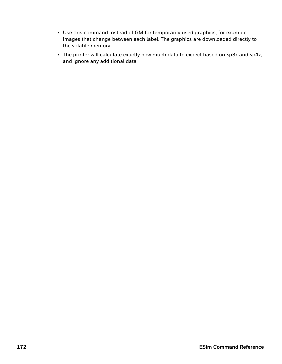- Use this command instead of GM for temporarily used graphics, for example images that change between each label. The graphics are downloaded directly to the volatile memory.
- The printer will calculate exactly how much data to expect based on <p3> and <p4>, and ignore any additional data.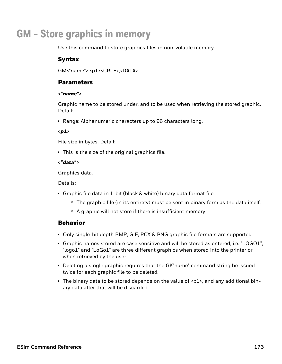# **GM - Store graphics in memory**

Use this command to store graphics files in non-volatile memory.

## Syntax

GM<"name">,<p1><CRLF>,<DATA>

## Parameters

#### *<"name">*

Graphic name to be stored under, and to be used when retrieving the stored graphic. Detail:

• Range: Alphanumeric characters up to 96 characters long.

### *<p1>*

File size in bytes. Detail:

• This is the size of the original graphics file.

## *<"data">*

Graphics data.

### Details:

- Graphic file data in 1-bit (black & white) binary data format file.
	- $\degree$  The graphic file (in its entirety) must be sent in binary form as the data itself.
	- $\circ$  A graphic will not store if there is insufficient memory

- Only single-bit depth BMP, GIF, PCX & PNG graphic file formats are supported.
- Graphic names stored are case sensitive and will be stored as entered; i.e. "LOGO1", "logo1" and "LoGo1" are three different graphics when stored into the printer or when retrieved by the user.
- Deleting a single graphic requires that the GK"name" command string be issued twice for each graphic file to be deleted.
- The binary data to be stored depends on the value of  $\langle p1\rangle$ , and any additional binary data after that will be discarded.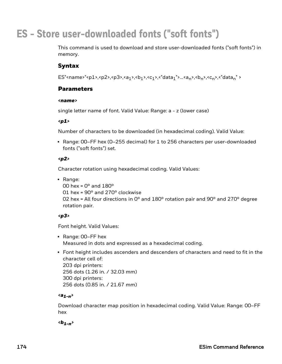# **ES - Store user-downloaded fonts ("soft fonts")**

This command is used to download and store user-downloaded fonts ("soft fonts") in memory.

## Syntax

ES"<name>"<p1>,<p2>,<p3>,<a<sub>1</sub>>,<br/><br/><br/>c\_1>,<"data<sub>1</sub>">...<an>,<br/><br/>cn>,<"datan">

## Parameters

#### *<name>*

single letter name of font. Valid Value: Range: a - z (lower case)

#### *<p1>*

Number of characters to be downloaded (in hexadecimal coding). Valid Value:

• Range: 00–FF hex (0–255 decimal) for 1 to 256 characters per user-downloaded fonts ("soft fonts") set.

### *<p2>*

Character rotation using hexadecimal coding. Valid Values:

- Range:
	- $00$  hex =  $0^\circ$  and 180 $^\circ$
	- 01 hex = 90° and 270° clockwise

02 hex = All four directions in  $0^{\circ}$  and  $180^{\circ}$  rotation pair and  $90^{\circ}$  and  $270^{\circ}$  degree rotation pair.

### *<p3>*

Font height. Valid Values:

- Range: 00–FF hex Measured in dots and expressed as a hexadecimal coding.
- Font height includes ascenders and descenders of characters and need to fit in the character cell of: 203 dpi printers: 256 dots (1.26 in. / 32.03 mm) 300 dpi printers: 256 dots (0.85 in. / 21.67 mm)

### *<a1-n>*

Download character map position in hexadecimal coding. Valid Value: Range: 00–FF hex

### *<b1-n>*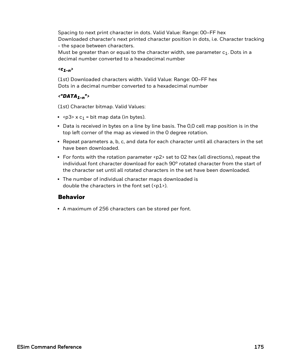Spacing to next print character in dots. Valid Value: Range: 00–FF hex Downloaded character's next printed character position in dots, i.e. Character tracking - the space between characters.

Must be greater than or equal to the character width, see parameter  $c_1$ . Dots in a decimal number converted to a hexadecimal number

#### *<c1-n>*

(1st) Downloaded characters width. Valid Value: Range: 00–FF hex Dots in a decimal number converted to a hexadecimal number

#### *<"DATA1-n">*

(1st) Character bitmap. Valid Values:

- $\langle p3\rangle \times c_1$  = bit map data (in bytes).
- Data is received in bytes on a line by line basis. The 0,0 cell map position is in the top left corner of the map as viewed in the 0 degree rotation.
- Repeat parameters a, b, c, and data for each character until all characters in the set have been downloaded.
- For fonts with the rotation parameter <p2> set to 02 hex (all directions), repeat the individual font character download for each 90° rotated character from the start of the character set until all rotated characters in the set have been downloaded.
- The number of individual character maps downloaded is double the characters in the font set  $(\text{p1-}).$

#### Behavior

• A maximum of 256 characters can be stored per font.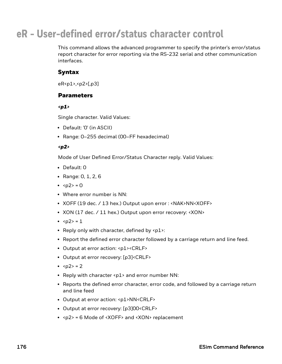### **eR - User-defined error/status character control**

This command allows the advanced programmer to specify the printer's error/status report character for error reporting via the RS-232 serial and other communication interfaces.

#### Syntax

eR<p1>,<p2>[,p3]

#### **Parameters**

*<p1>*

Single character. Valid Values:

- Default: '0' (in ASCII)
- Range: 0-255 decimal (00-FF hexadecimal)

#### *<p2>*

Mode of User Defined Error/Status Character reply. Valid Values:

- Default: 0
- Range:  $0, 1, 2, 6$
- $\cdot$  <p2> = 0
- Where error number is NN:
- XOFF (19 dec. / 13 hex.) Output upon error : <NAK>NN<XOFF>
- XON (17 dec. / 11 hex.) Output upon error recovery: <XON>
- $2> = 1$
- Reply only with character, defined by  $\langle p1 \rangle$ :
- Report the defined error character followed by a carriage return and line feed.
- Output at error action: <p1><CRLF>
- Output at error recovery: [p3]<CRLF>
- $\cdot$  <p2> = 2
- Reply with character  $\langle p1 \rangle$  and error number NN:
- Reports the defined error character, error code, and followed by a carriage return and line feed
- Output at error action: <p1>NN<CRLF>
- Output at error recovery: [p3]00<CRLF>
- $\langle p2 \rangle$  = 6 Mode of  $\langle XOFF \rangle$  and  $\langle XON \rangle$  replacement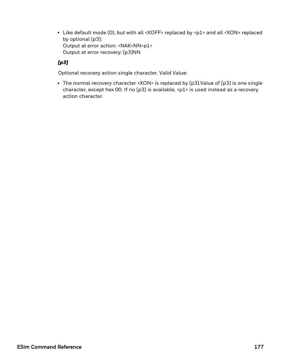• Like default mode (0), but with all <XOFF> replaced by <p1> and all <XON> replaced by optional [p3]: Output at error action: <NAK>NN<p1> Output at error recovery: [p3]NN

#### *[p3]*

Optional recovery action single character. Valid Value:

• The normal recovery character <XON> is replaced by [p3].Value of [p3] is one single character, except hex 00. If no [p3] is available, <p1> is used instead as a recovery action character.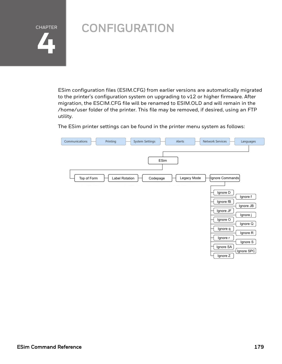

# **CONFIGURATION**

ESim configuration files (ESIM.CFG) from earlier versions are automatically migrated to the printer's configuration system on upgrading to v12 or higher firmware. After migration, the ESCIM.CFG file will be renamed to ESIM.OLD and will remain in the /home/user folder of the printer. This file may be removed, if desired, using an FTP utility.

The ESim printer settings can be found in the printer menu system as follows:

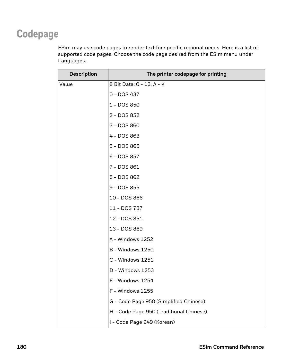# **Codepage**

ESim may use code pages to render text for specific regional needs. Here is a list of supported code pages. Choose the code page desired from the ESim menu under Languages.

| Description | The printer codepage for printing       |
|-------------|-----------------------------------------|
| Value       | 8 Bit Data: 0 - 13, A - K               |
|             | 0 - DOS 437                             |
|             | 1 - DOS 850                             |
|             | 2 - DOS 852                             |
|             | 3 - DOS 860                             |
|             | 4 - DOS 863                             |
|             | 5 - DOS 865                             |
|             | 6 - DOS 857                             |
|             | 7 - DOS 861                             |
|             | 8 - DOS 862                             |
|             | 9 - DOS 855                             |
|             | 10 - DOS 866                            |
|             | 11 - DOS 737                            |
|             | 12 - DOS 851                            |
|             | 13 - DOS 869                            |
|             | A - Windows 1252                        |
|             | B - Windows 1250                        |
|             | C - Windows 1251                        |
|             | D - Windows 1253                        |
|             | E - Windows 1254                        |
|             | F - Windows 1255                        |
|             | G - Code Page 950 (Simplified Chinese)  |
|             | H - Code Page 950 (Traditional Chinese) |
|             | I - Code Page 949 (Korean)              |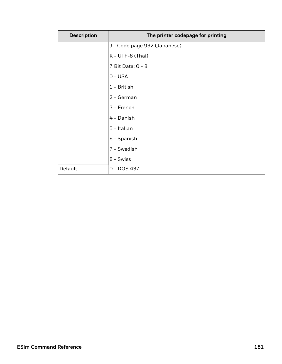| Description | The printer codepage for printing |
|-------------|-----------------------------------|
|             | J - Code page 932 (Japanese)      |
|             | K - UTF-8 (Thai)                  |
|             | 7 Bit Data: 0 - 8                 |
|             | $0 - USA$                         |
|             | 1 - British                       |
|             | 2 - German                        |
|             | 3 - French                        |
|             | 4 - Danish                        |
|             | 5 - Italian                       |
|             | 6 - Spanish                       |
|             | 7 - Swedish                       |
|             | 8 - Swiss                         |
| Default     | 0 - DOS 437                       |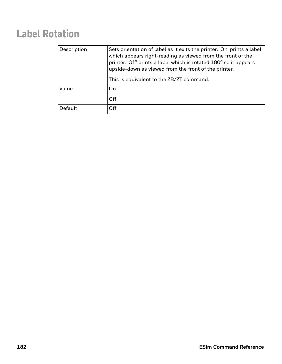# **Label Rotation**

| Description | Sets orientation of label as it exits the printer. 'On' prints a label<br>which appears right-reading as viewed from the front of the<br>printer. 'Off' prints a label which is rotated 180° so it appears<br>upside-down as viewed from the front of the printer.<br>This is equivalent to the ZB/ZT command. |
|-------------|----------------------------------------------------------------------------------------------------------------------------------------------------------------------------------------------------------------------------------------------------------------------------------------------------------------|
| Value       | On.                                                                                                                                                                                                                                                                                                            |
|             | <b>Off</b>                                                                                                                                                                                                                                                                                                     |
| Default     | Off                                                                                                                                                                                                                                                                                                            |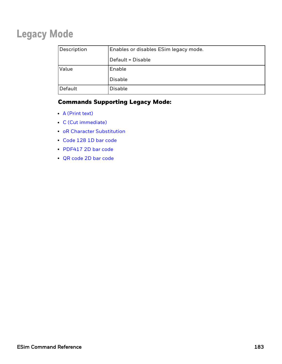### **Legacy Mode**

| Description | Enables or disables ESim legacy mode. |
|-------------|---------------------------------------|
|             | Default = Disable                     |
| Value       | Enable                                |
|             | Disable                               |
| Default     | <b>Disable</b>                        |

#### Commands Supporting Legacy Mode:

- $\bullet$  A [\(Print](#page-145-0) text)
- C (Cut [immediate\)](#page-102-0)
- oR Character [Substitution](#page-85-0)
- [Code](#page-32-0) 128 1D bar code
- [PDF417](#page-67-0) 2D bar code
- <sup>l</sup> QR [code](#page-71-0) 2D bar code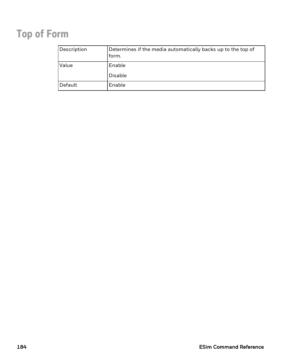# **Top of Form**

| Description | Determines if the media automatically backs up to the top of<br>form. |
|-------------|-----------------------------------------------------------------------|
| Value       | Enable                                                                |
|             | <b>Disable</b>                                                        |
| Default     | Enable                                                                |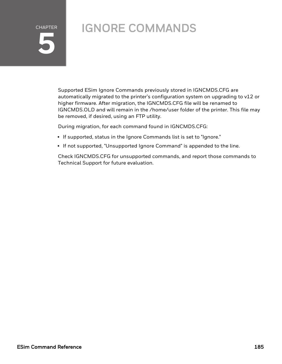# CHAPTER **5**

# IGNORE COMMANDS

Supported ESim Ignore Commands previously stored in IGNCMDS.CFG are automatically migrated to the printer's configuration system on upgrading to v12 or higher firmware. After migration, the IGNCMDS.CFG file will be renamed to IGNCMDS.OLD and will remain in the /home/user folder of the printer. This file may be removed, if desired, using an FTP utility.

During migration, for each command found in IGNCMDS.CFG:

- If supported, status in the Ignore Commands list is set to "Ignore."
- If not supported, "Unsupported Ignore Command" is appended to the line.

Check IGNCMDS.CFG for unsupported commands, and report those commands to Technical Support for future evaluation.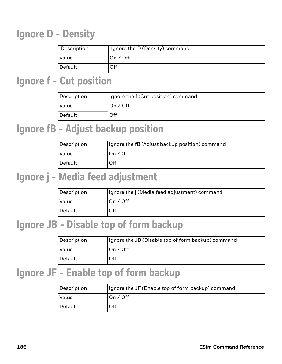### **Ignore D - Density**

| Description | Ignore the D (Density) command |
|-------------|--------------------------------|
| Value       | On $/$ Off                     |
| Default     | Off                            |

#### **Ignore f - Cut position**

| Description | Ignore the f (Cut position) command |
|-------------|-------------------------------------|
| Value       | ∣On ∕ Off                           |
| Default     | Off                                 |

### **Ignore fB - Adjust backup position**

| Description | Ignore the fB (Adjust backup position) command |
|-------------|------------------------------------------------|
| Value       | On / Off                                       |
| Default     | Off                                            |

#### **Ignore j - Media feed adjustment**

| Description | Ignore the j (Media feed adjustment) command |
|-------------|----------------------------------------------|
| Value       | lOn / Off                                    |
| Default     | Off                                          |

### **Ignore JB - Disable top of form backup**

| Description | Ignore the JB (Disable top of form backup) command |
|-------------|----------------------------------------------------|
| Value       | ∣On ∕ Off                                          |
| Default     | Off                                                |

### **Ignore JF - Enable top of form backup**

| Description | Ignore the JF (Enable top of form backup) command |
|-------------|---------------------------------------------------|
| Value       | On $/$ Off                                        |
| Default     | Off                                               |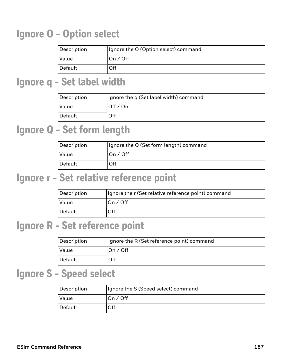### **Ignore O - Option select**

| Description | Ignore the O (Option select) command |
|-------------|--------------------------------------|
| Value       | On / Off                             |
| Default     | Off                                  |

#### **Ignore q - Set label width**

| Description | Ignore the q (Set label width) command |  |
|-------------|----------------------------------------|--|
| Value       | Off $\prime$ On                        |  |
| Default     | Off                                    |  |

### **Ignore Q - Set form length**

| Description | Ignore the Q (Set form length) command |  |
|-------------|----------------------------------------|--|
| Value       | ∣On ∕ Off                              |  |
| Default     | Off                                    |  |

### **Ignore r - Set relative reference point**

| Description | Ignore the r (Set relative reference point) command |  |
|-------------|-----------------------------------------------------|--|
| Value       | On / Off                                            |  |
| Default     | Off                                                 |  |

### **Ignore R - Set reference point**

| Description | Ignore the R (Set reference point) command |  |
|-------------|--------------------------------------------|--|
| Value       | IOn / Off                                  |  |
| Default     | Off                                        |  |

### **Ignore S - Speed select**

| Description | Ignore the S (Speed select) command |  |
|-------------|-------------------------------------|--|
| Value       | On / Off                            |  |
| Default     | Off                                 |  |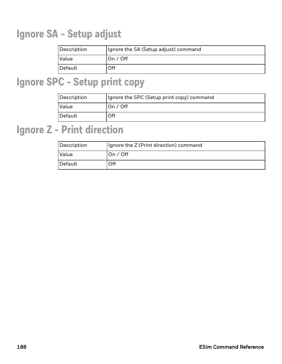# **Ignore SA - Setup adjust**

| Description | Ignore the SA (Setup adjust) command |  |
|-------------|--------------------------------------|--|
| Value       | On $/$ Off                           |  |
| Default     | Эff                                  |  |

### **Ignore SPC - Setup print copy**

| Description | Ignore the SPC (Setup print copy) command |  |
|-------------|-------------------------------------------|--|
| Value       | On / Off                                  |  |
| Default     | Off                                       |  |

### **Ignore Z - Print direction**

| Description  | Ignore the Z (Print direction) command |  |
|--------------|----------------------------------------|--|
| <b>Value</b> | ∣On ∕ Off                              |  |
| Default      | Off                                    |  |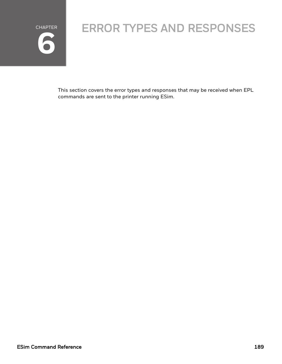

# ERROR TYPES AND RESPONSES

This section covers the error types and responses that may be received when EPL commands are sent to the printer running ESim.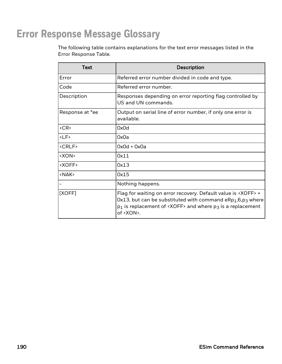### **Error Response Message Glossary**

The following table contains explanations for the text error messages listed in the Error Response Table.

| <b>Text</b>            | Description                                                                                                                                                                                                                                                                                |  |
|------------------------|--------------------------------------------------------------------------------------------------------------------------------------------------------------------------------------------------------------------------------------------------------------------------------------------|--|
| Error                  | Referred error number divided in code and type.                                                                                                                                                                                                                                            |  |
| Code                   | Referred error number.                                                                                                                                                                                                                                                                     |  |
| Description            | Responses depending on error reporting flag controlled by<br>US and UN commands.                                                                                                                                                                                                           |  |
| Response at <i>Nee</i> | Output on serial line of error number, if only one error is<br>available.                                                                                                                                                                                                                  |  |
| $<$ CR $>$             | 0x0d                                                                                                                                                                                                                                                                                       |  |
| $<$ LF>                | 0x0a                                                                                                                                                                                                                                                                                       |  |
| <crlf></crlf>          | $0x0d + 0x0a$                                                                                                                                                                                                                                                                              |  |
| <xon></xon>            | 0x11                                                                                                                                                                                                                                                                                       |  |
| <xoff></xoff>          | 0x13                                                                                                                                                                                                                                                                                       |  |
| <nak></nak>            | 0x15                                                                                                                                                                                                                                                                                       |  |
|                        | Nothing happens.                                                                                                                                                                                                                                                                           |  |
| [XOFF]                 | Flag for waiting on error recovery. Default value is <xoff> =<br/><math>0x13</math>, but can be substituted with command eRp<sub>1</sub>,6,p<sub>3</sub> where<br/><math>p_1</math> is replacement of <xoff> and where <math>p_3</math> is a replacement<br/>of <xon>.</xon></xoff></xoff> |  |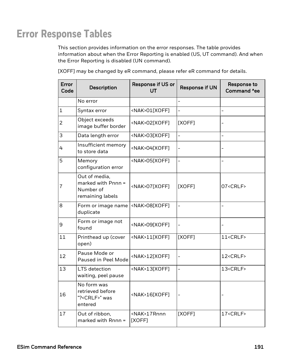### **Error Response Tables**

This section provides information on the error responses. The table provides information about when the Error Reporting is enabled (US, UT command). And when the Error Reporting is disabled (UN command).

[XOFF] may be changed by eR command, please refer eR command for details.

| Error<br>Code | <b>Description</b>                                                   | <b>Response if US or</b><br>UT | <b>Response if UN</b>    | <b>Response to</b><br>Command ^ee |
|---------------|----------------------------------------------------------------------|--------------------------------|--------------------------|-----------------------------------|
|               | No error                                                             |                                |                          |                                   |
| $\mathbf{1}$  | Syntax error                                                         | <nak>01[XOFF]</nak>            |                          |                                   |
| 2             | Object exceeds<br>image buffer border                                | <nak>02[XOFF]</nak>            | [XOFF]                   |                                   |
| 3             | Data length error                                                    | <nak>03[XOFF]</nak>            | $\overline{\phantom{0}}$ | -                                 |
| 4             | Insufficient memory<br>to store data                                 | <nak>04[XOFF]</nak>            |                          |                                   |
| 5             | Memory<br>configuration error                                        | <nak>05[XOFF]</nak>            | $\overline{a}$           |                                   |
| 7             | Out of media,<br>marked with Pnnn =<br>Number of<br>remaining labels | <nak>07[XOFF]</nak>            | [XOFF]                   | 07 <crlf></crlf>                  |
| 8             | Form or image name<br>duplicate                                      | <nak>08[XOFF]</nak>            | $\overline{a}$           | $\overline{\phantom{0}}$          |
| 9             | Form or image not<br>found                                           | <nak>09[XOFF]</nak>            | $\overline{\phantom{0}}$ |                                   |
| 11            | Printhead up (cover<br>open)                                         | <nak>11[XOFF]</nak>            | [XOFF]                   | 11 <crlf></crlf>                  |
| 12            | Pause Mode or<br>Paused in Peel Mode                                 | <nak>12[XOFF]</nak>            | $\overline{a}$           | 12 <crlf></crlf>                  |
| 13            | LTS detection<br>waiting, peel pause                                 | <nak>13[XOFF]</nak>            | $\overline{a}$           | 13 <crlf></crlf>                  |
| 16            | No form was<br>retrieved before<br>"?< CRLF>" was<br>entered         | <nak>16[XOFF]</nak>            |                          |                                   |
| 17            | Out of ribbon,<br>marked with $R_{nnn}$ =                            | <nak>17Rnnn<br/>[XOFF]</nak>   | [XOFF]                   | 17 <crlf></crlf>                  |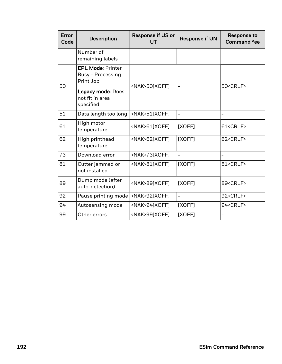| Error<br>Code | <b>Description</b>                                                                                                     | Response if US or<br>UT | <b>Response if UN</b>    | Response to<br>Command ^ee |
|---------------|------------------------------------------------------------------------------------------------------------------------|-------------------------|--------------------------|----------------------------|
|               | Number of<br>remaining labels                                                                                          |                         |                          |                            |
| 50            | <b>EPL Mode: Printer</b><br><b>Busy - Processing</b><br>Print Job<br>Legacy mode: Does<br>not fit in area<br>specified | <nak>50[XOFF]</nak>     |                          | 50 <crlf></crlf>           |
| 51            | Data length too long                                                                                                   | <nak>51[XOFF]</nak>     |                          |                            |
| 61            | High motor<br>temperature                                                                                              | <nak>61[XOFF]</nak>     | [XOFF]                   | 61 <crlf></crlf>           |
| 62            | High printhead<br>temperature                                                                                          | <nak>62[XOFF]</nak>     | [XOFF]                   | 62 <crlf></crlf>           |
| 73            | Download error                                                                                                         | <nak>73[XOFF]</nak>     |                          |                            |
| 81            | Cutter jammed or<br>not installed                                                                                      | <nak>81[XOFF]</nak>     | [XOFF]                   | 81 <crlf></crlf>           |
| 89            | Dump mode (after<br>auto-detection)                                                                                    | <nak>89[XOFF]</nak>     | [XOFF]                   | 89 <crlf></crlf>           |
| 92            | Pause printing mode                                                                                                    | <nak>92[XOFF]</nak>     | $\overline{\phantom{0}}$ | 92 <crlf></crlf>           |
| 94            | Autosensing mode                                                                                                       | <nak>94[XOFF]</nak>     | [XOFF]                   | 94 <crlf></crlf>           |
| 99            | Other errors                                                                                                           | <nak>99[XOFF]</nak>     | [XOFF]                   |                            |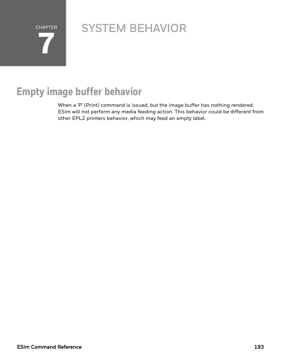CHAPTER **7**

# SYSTEM BEHAVIOR

# **Empty image buffer behavior**

When a 'P' (Print) command is issued, but the image buffer has nothing rendered, ESim will not perform any media feeding action. This behavior could be different from other EPL2 printers behavior, which may feed an empty label.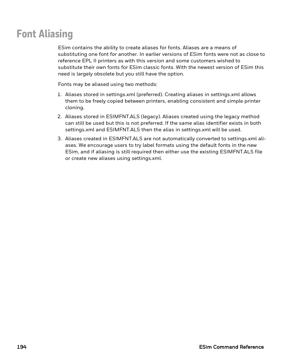# **Font Aliasing**

ESim contains the ability to create aliases for fonts. Aliases are a means of substituting one font for another. In earlier versions of ESim fonts were not as close to reference EPL II printers as with this version and some customers wished to substitute their own fonts for ESim classic fonts. With the newest version of ESim this need is largely obsolete but you still have the option.

Fonts may be aliased using two methods:

- 1. Aliases stored in settings.xml (preferred). Creating aliases in settings.xml allows them to be freely copied between printers, enabling consistent and simple printer cloning.
- 2. Aliases stored in ESIMFNT.ALS (legacy). Aliases created using the legacy method can still be used but this is not preferred. If the same alias identifier exists in both settings.xml and ESIMFNT.ALS then the alias in settings.xml will be used.
- 3. Aliases created in ESIMFNT.ALS are not automatically converted to settings.xml aliases. We encourage users to try label formats using the default fonts in the new ESim, and if aliasing is still required then either use the existing ESIMFNT.ALS file or create new aliases using settings.xml.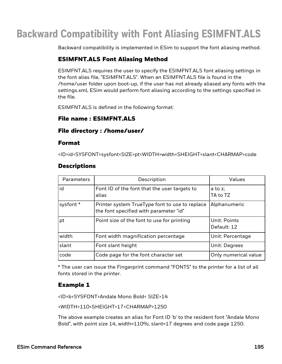# **Backward Compatibility with Font Aliasing ESIMFNT.ALS**

Backward compatibility is implemented in ESim to support the font aliasing method.

#### ESIMFNT.ALS Font Aliasing Method

ESIMFNT.ALS requires the user to specify the ESIMFNT.ALS font aliasing settings in the font alias file, "ESIMFNT.ALS". When an ESIMFNT.ALS file is found in the /home/user folder upon boot-up, if the user has not already aliased any fonts with the settings.xml, ESim would perform font aliasing according to the settings specified in the file.

ESIMFNT.ALS is defined in the following format:

#### File name : ESIMFNT.ALS

#### File directory : /home/user/

#### Format

<ID>id<SYSFONT>sysfont<SIZE>pt<WIDTH>width<SHEIGHT>slant<CHARMAP>code

#### **Descriptions**

| Parameters | Description                                                                              | Values                             |
|------------|------------------------------------------------------------------------------------------|------------------------------------|
| id         | Font ID of the font that the user targets to<br>alias                                    | $a$ to $z$ ;<br>TA to TZ           |
| sysfont *  | Printer system TrueType font to use to replace<br>the font specified with parameter "id" | Alphanumeric                       |
| pt         | Point size of the font to use for printing                                               | <b>Unit: Points</b><br>Default: 12 |
| width      | Font width magnification percentage                                                      | Unit: Percentage                   |
| slant      | Font slant height                                                                        | Unit: Degrees                      |
| code       | Code page for the font character set                                                     | Only numerical value               |

\* The user can issue the Fingerprint command "FONTS" to the printer for a list of all fonts stored in the printer.

#### Example 1

<ID>b<SYSFONT>Andale Mono Bold< SIZE>14

<WIDTH>110<SHEIGHT>17<CHARMAP>1250

The above example creates an alias for Font ID 'b' to the resident font "Andale Mono Bold", with point size 14, width=110%, slant=17 degrees and code page 1250.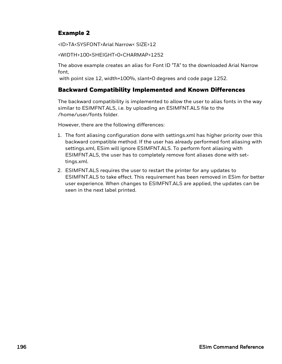#### Example 2

<ID>TA<SYSFONT>Arial Narrow< SIZE>12

<WIDTH>100<SHEIGHT>0<CHARMAP>1252

The above example creates an alias for Font ID "TA" to the downloaded Arial Narrow font,

with point size 12, width=100%, slant=0 degrees and code page 1252.

#### Backward Compatibility Implemented and Known Differences

The backward compatibility is implemented to allow the user to alias fonts in the way similar to ESIMFNT.ALS, i.e. by uploading an ESIMFNT.ALS file to the /home/user/fonts folder.

However, there are the following differences:

- 1. The font aliasing configuration done with settings.xml has higher priority over this backward compatible method. If the user has already performed font aliasing with settings.xml, ESim will ignore ESIMFNT.ALS. To perform font aliasing with ESIMFNT.ALS, the user has to completely remove font aliases done with settings.xml.
- 2. ESIMFNT.ALS requires the user to restart the printer for any updates to ESIMFNT.ALS to take effect. This requirement has been removed in ESim for better user experience. When changes to ESIMFNT.ALS are applied, the updates can be seen in the next label printed.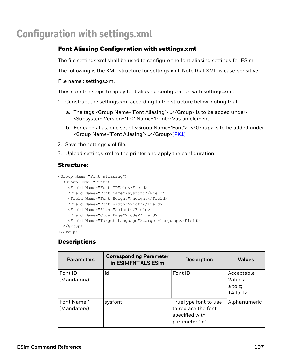### **Configuration with settings.xml**

#### Font Aliasing Configuration with settings.xml

The file settings.xml shall be used to configure the font aliasing settings for ESim.

The following is the XML structure for settings.xml. Note that XML is case-sensitive.

File name : settings.xml

These are the steps to apply font aliasing configuration with settings.xml:

- 1. Construct the settings.xml according to the structure below, noting that:
	- a. The tags <Group Name="Font Aliasing">…</Group> is to be added under- <Subsystem Version="1.0" Name="Printer">as an element
	- b. For each alias, one set of <Group Name="Font">...</Group> is to be added under-<Group Name="Font Aliasing">…</Group>[\[PK1\]](https://acscontour.honeywell.com/contour/perspective.req#_msocom_1)
- 2. Save the settings.xml file.
- 3. Upload settings.xml to the printer and apply the configuration.

#### Structure:

```
<Group Name="Font Aliasing">
 <Group Name="Font">
   <Field Name="Font ID">id</Field>
   <Field Name="Font Name">sysfont</Field>
   <Field Name="Font Height">height</Field>
   <Field Name="Font Width">width</Field>
   <Field Name="Slant">slant</Field>
   <Field Name="Code Page">code</Field>
   <Field Name="Target Language">target-language</Field>
 </Group>
</Group>
```
#### **Descriptions**

| <b>Parameters</b>          | <b>Corresponding Parameter</b><br>in ESIMFNT.ALS ESim | <b>Description</b>                                                              | <b>Values</b>                                |
|----------------------------|-------------------------------------------------------|---------------------------------------------------------------------------------|----------------------------------------------|
| Font ID<br>(Mandatory)     | id                                                    | Font ID                                                                         | Acceptable<br>Values:<br>a to z:<br>TA to TZ |
| Font Name *<br>(Mandatory) | sysfont                                               | TrueType font to use<br>to replace the font<br>specified with<br>parameter "id" | Alphanumeric                                 |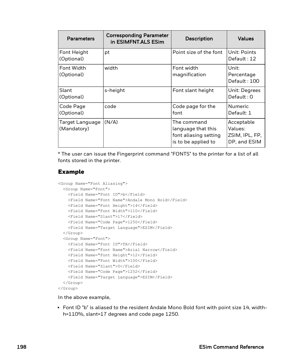| <b>Parameters</b>                     | <b>Corresponding Parameter</b><br>in ESIMFNT.ALS ESim | <b>Description</b>                                                                | <b>Values</b>                                           |
|---------------------------------------|-------------------------------------------------------|-----------------------------------------------------------------------------------|---------------------------------------------------------|
| Font Height<br>(Optional)             | pt                                                    | Point size of the font                                                            | Unit: Points<br>Default: 12                             |
| Font Width<br>(Optional)              | width                                                 | Font width<br>magnification                                                       | Unit:<br>Percentage<br>Default: 100                     |
| Slant<br>(Optional)                   | s-height                                              | Font slant height                                                                 | Unit: Degrees<br>Default: 0                             |
| Code Page<br>(Optional)               | code                                                  | Code page for the<br>font                                                         | <b>Numeric</b><br>Default: 1                            |
| <b>Target Language</b><br>(Mandatory) | (N/A)                                                 | The command<br>language that this<br>font aliasing setting<br>is to be applied to | Acceptable<br>Values:<br>ZSIM, IPL, FP,<br>DP, and ESIM |

\* The user can issue the Fingerprint command "FONTS" to the printer for a list of all fonts stored in the printer.

#### Example

```
<Group Name="Font Aliasing">
 <Group Name="Font">
   <Field Name="Font ID">b</Field>
   <Field Name="Font Name">Andale Mono Bold</Field>
   <Field Name="Font Height">14</Field>
   <Field Name="Font Width">110</Field>
   <Field Name="Slant">17</Field>
   <Field Name="Code Page">1250</Field>
   <Field Name="Target Language">ESIM</Field>
 </Group>
 <Group Name="Font">
   <Field Name="Font ID">TA</Field>
   <Field Name="Font Name">Arial Narrow</Field>
   <Field Name="Font Height">12</Field>
   <Field Name="Font Width">100</Field>
   <Field Name="Slant">0</Field>
   <Field Name="Code Page">1252</Field>
   <Field Name="Target Language">ESIM</Field>
 </Group>
</Group>
```
In the above example,

• Font ID "b" is aliased to the resident Andale Mono Bold font with point size 14, widthh=110%, slant=17 degrees and code page 1250.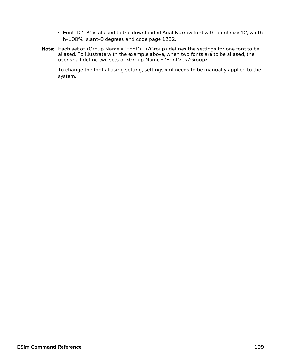- Font ID "TA" is aliased to the downloaded Arial Narrow font with point size 12, widthh=100%, slant=0 degrees and code page 1252.
- Note: Each set of <Group Name = "Font">...</Group> defines the settings for one font to be aliased. To illustrate with the example above, when two fonts are to be aliased, the user shall define two sets of <Group Name = "Font">...</Group>

To change the font aliasing setting, settings.xml needs to be manually applied to the system.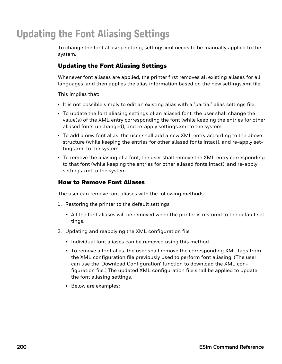# **Updating the Font Aliasing Settings**

To change the font aliasing setting, settings.xml needs to be manually applied to the system.

#### Updating the Font Aliasing Settings

Whenever font aliases are applied, the printer first removes all existing aliases for all languages, and then applies the alias information based on the new settings.xml file.

This implies that:

- It is not possible simply to edit an existing alias with a "partial" alias settings file.
- To update the font aliasing settings of an aliased font, the user shall change the value(s) of the XML entry corresponding the font (while keeping the entries for other aliased fonts unchanged), and re-apply settings.xml to the system.
- To add a new font alias, the user shall add a new XML entry according to the above structure (while keeping the entries for other aliased fonts intact), and re-apply settings.xml to the system.
- To remove the aliasing of a font, the user shall remove the XML entry corresponding to that font (while keeping the entries for other aliased fonts intact), and re-apply settings.xml to the system.

#### How to Remove Font Aliases

The user can remove font aliases with the following methods:

- 1. Restoring the printer to the default settings
	- All the font aliases will be removed when the printer is restored to the default settings.
- 2. Updating and reapplying the XML configuration file
	- Individual font aliases can be removed using this method.
	- To remove a font alias, the user shall remove the corresponding XML tags from the XML configuration file previously used to perform font aliasing. (The user can use the 'Download Configuration' function to download the XML configuration file.) The updated XML configuration file shall be applied to update the font aliasing settings.
	- Below are examples: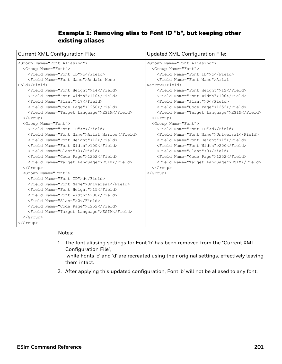#### Example 1: Removing alias to Font ID "b", but keeping other existing aliases

| <b>Current XML Configuration File:</b>                                                                                                                                                                                                                                                                                                                                                                                                                                                                                                                                                                                                                                                                                                                                                                                                                                                                                                                                                                                                                               | <b>Updated XML Configuration File:</b>                                                                                                                                                                                                                                                                                                                                                                                                                                                                                                                                                                                                                                                                                                                                             |
|----------------------------------------------------------------------------------------------------------------------------------------------------------------------------------------------------------------------------------------------------------------------------------------------------------------------------------------------------------------------------------------------------------------------------------------------------------------------------------------------------------------------------------------------------------------------------------------------------------------------------------------------------------------------------------------------------------------------------------------------------------------------------------------------------------------------------------------------------------------------------------------------------------------------------------------------------------------------------------------------------------------------------------------------------------------------|------------------------------------------------------------------------------------------------------------------------------------------------------------------------------------------------------------------------------------------------------------------------------------------------------------------------------------------------------------------------------------------------------------------------------------------------------------------------------------------------------------------------------------------------------------------------------------------------------------------------------------------------------------------------------------------------------------------------------------------------------------------------------------|
| <group name="Font Aliasing"><br/><group name="Font"><br/><field name="Font ID">b</field><br/><field name="Font Name">Andale Mono<br/>Bold</field><br/><field name="Font Height">14</field><br/><field name="Font Width">110</field><br/><field name="Slant">17</field><br/><field name="Code Page">1250</field><br/><field name="Target Language">ESIM</field><br/><math>\langle</math>/Group&gt;<br/><group name="Font"><br/><field name="Font ID">c</field><br/><field name="Font Name">Arial Narrow</field><br/><field name="Font Height">12</field><br/><field name="Font Width">100</field><br/><field name="Slant">0</field><br/><field name="Code Page">1252</field><br/><field name="Target Language">ESIM</field><br/><math>\langle</math>/Group&gt;<br/><group name="Font"><br/><field name="Font ID">d</field><br/><field name="Font Name">Universal</field><br/><field name="Font Height">15</field><br/><field name="Font Width">200</field><br/><field name="Slant">0</field><br/><field name="Code Page">1252</field></group></group></group></group> | <group name="Font Aliasing"><br/><group name="Font"><br/><field name="Font ID">c</field><br/><field name="Font Name">Arial<br/>Narrow</field><br/><field name="Font Height">12</field><br/><field name="Font Width">100</field><br/><field name="Slant">0</field><br/><field name="Code Page">1252</field><br/><field name="Target Language">ESIM</field><br/><math>\langle</math>/Group&gt;<br/><group name="Font"><br/><field name="Font ID">d</field><br/><field name="Font Name">Universal</field><br/><field name="Font Height">15</field><br/><field name="Font Width">200</field><br/><field name="Slant">0</field><br/><field name="Code Page">1252</field><br/><field name="Target Language">ESIM</field><br/><math>\langle</math>/Group&gt;<br/></group></group></group> |
| <field name="Target Language">ESIM</field><br>$\langle$ /Group><br>                                                                                                                                                                                                                                                                                                                                                                                                                                                                                                                                                                                                                                                                                                                                                                                                                                                                                                                                                                                                  |                                                                                                                                                                                                                                                                                                                                                                                                                                                                                                                                                                                                                                                                                                                                                                                    |

#### Notes:

- 1. The font aliasing settings for Font 'b' has been removed from the "Current XML Configuration File", while Fonts 'c' and 'd' are recreated using their original settings, effectively leaving them intact.
- 2. After applying this updated configuration, Font 'b' will not be aliased to any font.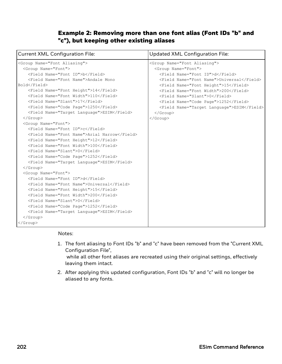#### Example 2: Removing more than one font alias (Font IDs "b" and "c"), but keeping other existing aliases

| <b>Current XML Configuration File:</b>                                                                                                                                                                                                                                                                                                                                                                                                                                                                                                                                                                                                                                                                                                                                                                                                                                                                                                                                                                                                                                                                                                                                                    | <b>Updated XML Configuration File:</b>                                                                                                                                                                                                                                                                                                                                                                     |  |
|-------------------------------------------------------------------------------------------------------------------------------------------------------------------------------------------------------------------------------------------------------------------------------------------------------------------------------------------------------------------------------------------------------------------------------------------------------------------------------------------------------------------------------------------------------------------------------------------------------------------------------------------------------------------------------------------------------------------------------------------------------------------------------------------------------------------------------------------------------------------------------------------------------------------------------------------------------------------------------------------------------------------------------------------------------------------------------------------------------------------------------------------------------------------------------------------|------------------------------------------------------------------------------------------------------------------------------------------------------------------------------------------------------------------------------------------------------------------------------------------------------------------------------------------------------------------------------------------------------------|--|
| <group name="Font Aliasing"><br/><group name="Font"><br/><field name="Font ID">b</field><br/><field name="Font Name">Andale Mono<br/>Bold</field><br/><field name="Font Height">14</field><br/><field name="Font Width">110</field><br/><field name="Slant">17</field><br/><field name="Code Page">1250</field><br/><field name="Target Language">ESIM</field><br/><math>\langle</math>/Group&gt;<br/><group name="Font"><br/><field name="Font ID">c</field><br/><field name="Font Name">Arial Narrow</field><br/><field name="Font Height">12</field><br/><field name="Font Width">100</field><br/><field name="Slant">0</field><br/><field name="Code Page">1252</field><br/><field name="Target Language">ESIM</field><br/><math>\langle</math>/Group&gt;<br/><group name="Font"><br/><field name="Font ID">d</field><br/><field name="Font Name">Universal</field><br/><field name="Font Height">15</field><br/><field name="Font Width">200</field><br/><field name="Slant">0</field><br/><field name="Code Page">1252</field><br/><field name="Target Language">ESIM</field><br/><math>\langle</math>/Group&gt;<br/><math>\langle</math>/Group&gt;</group></group></group></group> | <group name="Font Aliasing"><br/><group name="Font"><br/><field name="Font ID">d</field><br/><field name="Font Name">Universal</field><br/><field name="Font Height">15</field><br/><field name="Font Width">200</field><br/><field name="Slant">0</field><br/><field name="Code Page">1252</field><br/><field name="Target Language">ESIM</field><br/><math>\langle</math>/Group&gt;<br/></group></group> |  |

#### Notes:

- 1. The font aliasing to Font IDs "b" and "c" have been removed from the "Current XML Configuration File", while all other font aliases are recreated using their original settings, effectively leaving them intact.
- 2. After applying this updated configuration, Font IDs "b" and "c" will no longer be aliased to any fonts.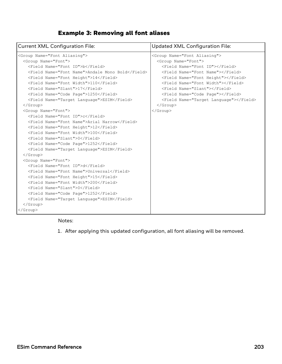#### Example 3: Removing all font aliases

| <b>Current XML Configuration File:</b>                                                                                                                                                                                                                                                                                                                                                                                                                                                                                                                                                                                                                                                                                                                                                                                                      | <b>Updated XML Configuration File:</b>                                                                                                                                                                                                                     |
|---------------------------------------------------------------------------------------------------------------------------------------------------------------------------------------------------------------------------------------------------------------------------------------------------------------------------------------------------------------------------------------------------------------------------------------------------------------------------------------------------------------------------------------------------------------------------------------------------------------------------------------------------------------------------------------------------------------------------------------------------------------------------------------------------------------------------------------------|------------------------------------------------------------------------------------------------------------------------------------------------------------------------------------------------------------------------------------------------------------|
| <group name="Font Aliasing"><br/><group name="Font"><br/><field name="Font ID">b</field><br/><field name="Font Name">Andale Mono Bold</field><br/><field name="Font Height">14</field><br/><field name="Font Width">110</field><br/><field name="Slant">17</field></group></group>                                                                                                                                                                                                                                                                                                                                                                                                                                                                                                                                                          | <group name="Font Aliasing"><br/><group name="Font"><br/><field name="Font ID"></field><br/><field name="Font Name"></field><br/><field name="Font Height"></field><br/><field name="Font Width"></field><br/><field name="Slant"></field></group></group> |
| <field name="Code Page">1250</field><br><field name="Target Language">ESIM</field><br>$\langle$ /Group><br><group name="Font"><br/><field name="Font ID">c</field><br/><field name="Font Name">Arial Narrow</field><br/><field name="Font Height">12</field><br/><field name="Font Width">100</field><br/><field name="Slant">0</field><br/><field name="Code Page">1252</field><br/><field name="Target Language">ESIM</field><br/><math>\langle</math>/Group&gt;<br/><group name="Font"><br/><field name="Font ID">d</field><br/><field name="Font Name">Universal</field><br/><field name="Font Height">15</field><br/><field name="Font Width">200</field><br/><field name="Slant">0</field><br/><field name="Code Page">1252</field><br/><field name="Target Language">ESIM</field><br/><math>\langle</math>/Group&gt;</group></group> | <field name="Code Page"></field><br><field name="Target Language"></field><br>$\langle$ /Group><br>                                                                                                                                                        |
|                                                                                                                                                                                                                                                                                                                                                                                                                                                                                                                                                                                                                                                                                                                                                                                                                                             |                                                                                                                                                                                                                                                            |

#### Notes:

1. After applying this updated configuration, all font aliasing will be removed.